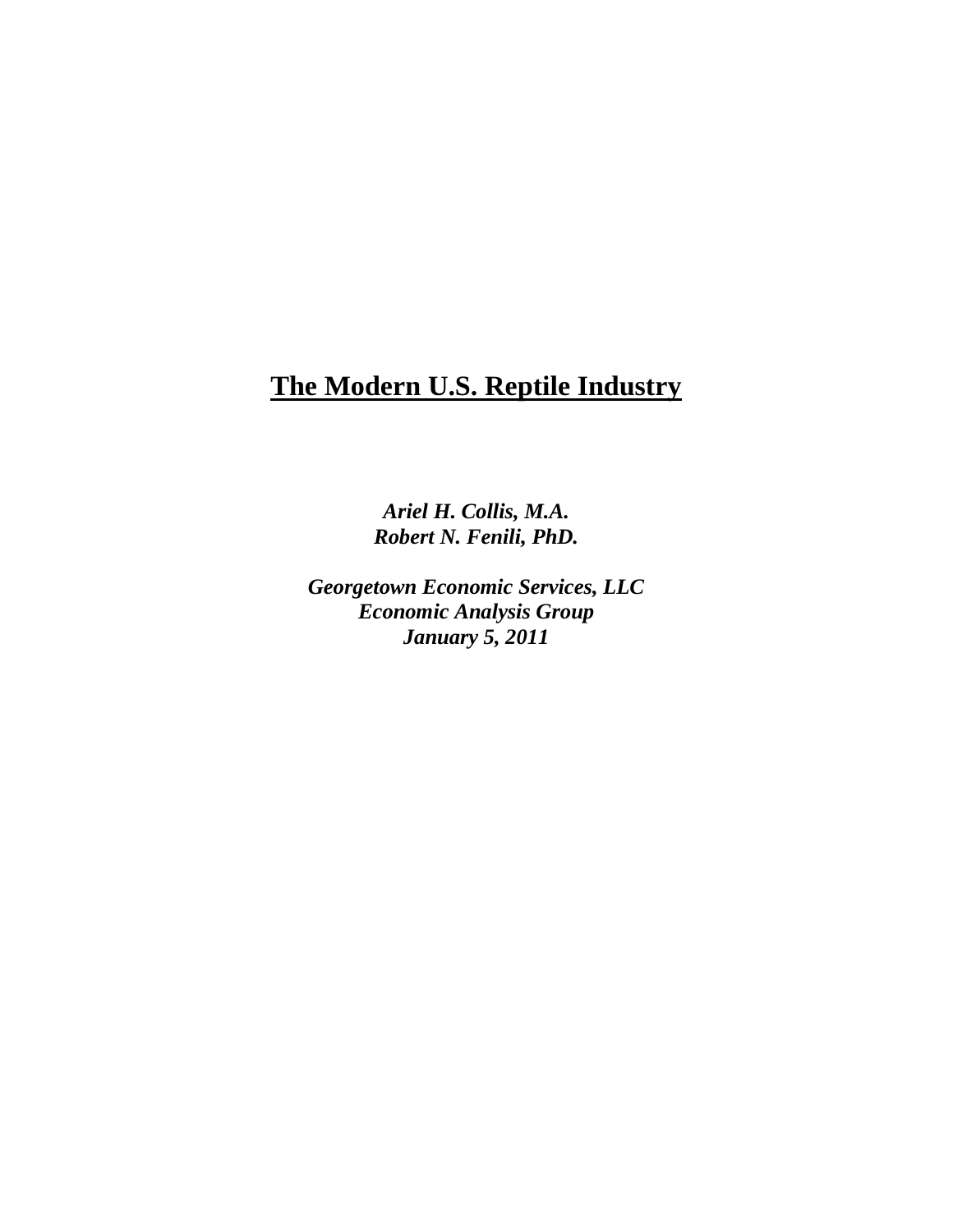# **The Modern U.S. Reptile Industry**

*Ariel H. Collis, M.A. Robert N. Fenili, PhD.*

*Georgetown Economic Services, LLC Economic Analysis Group January 5, 2011*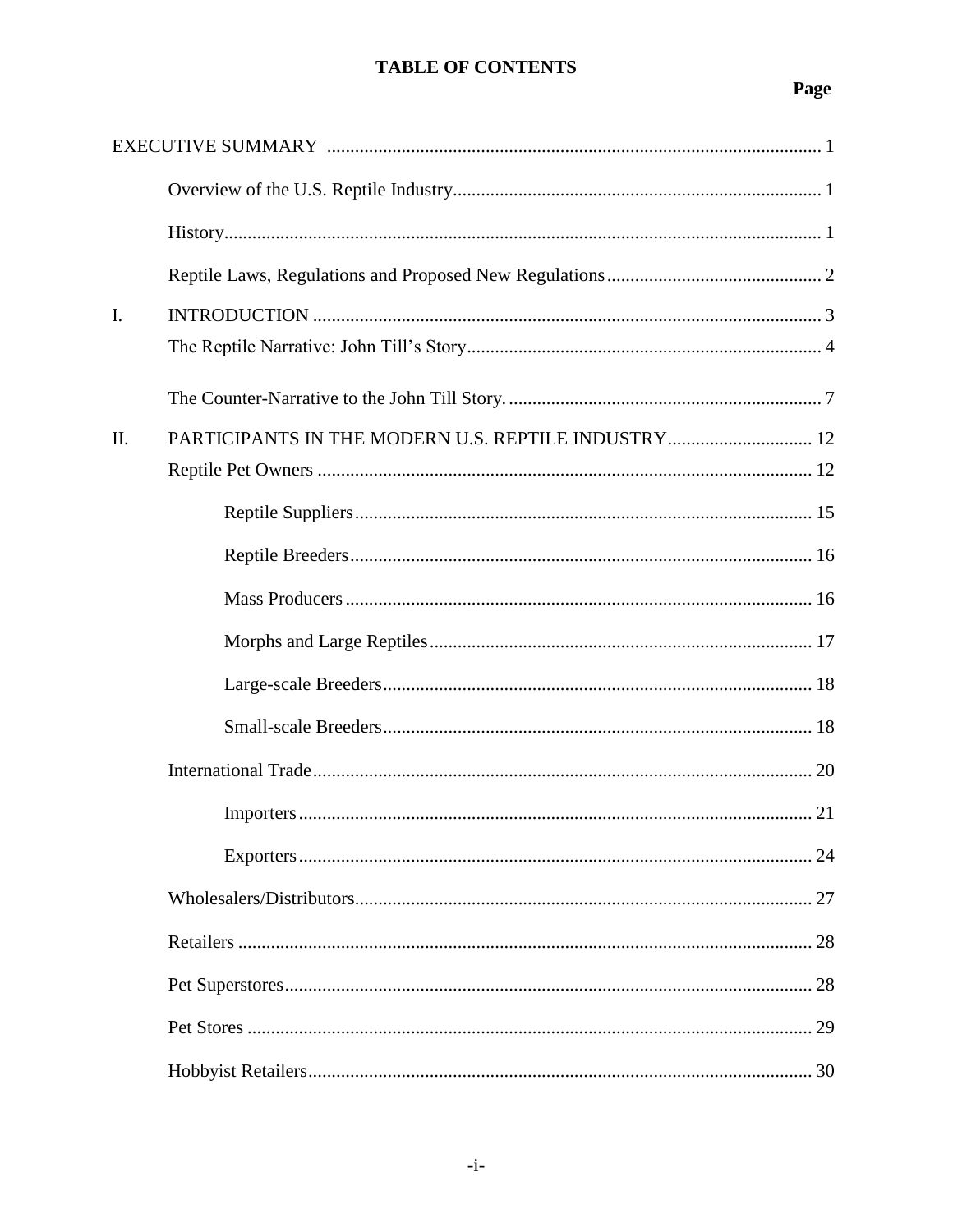# **TABLE OF CONTENTS**

# Page

| I.  |                                                     |    |
|-----|-----------------------------------------------------|----|
|     |                                                     |    |
|     |                                                     |    |
| II. | PARTICIPANTS IN THE MODERN U.S. REPTILE INDUSTRY 12 |    |
|     |                                                     |    |
|     |                                                     |    |
|     |                                                     |    |
|     |                                                     |    |
|     |                                                     |    |
|     |                                                     |    |
|     |                                                     |    |
|     |                                                     |    |
|     |                                                     |    |
|     |                                                     |    |
|     |                                                     |    |
|     |                                                     |    |
|     |                                                     |    |
|     |                                                     | 29 |
|     |                                                     |    |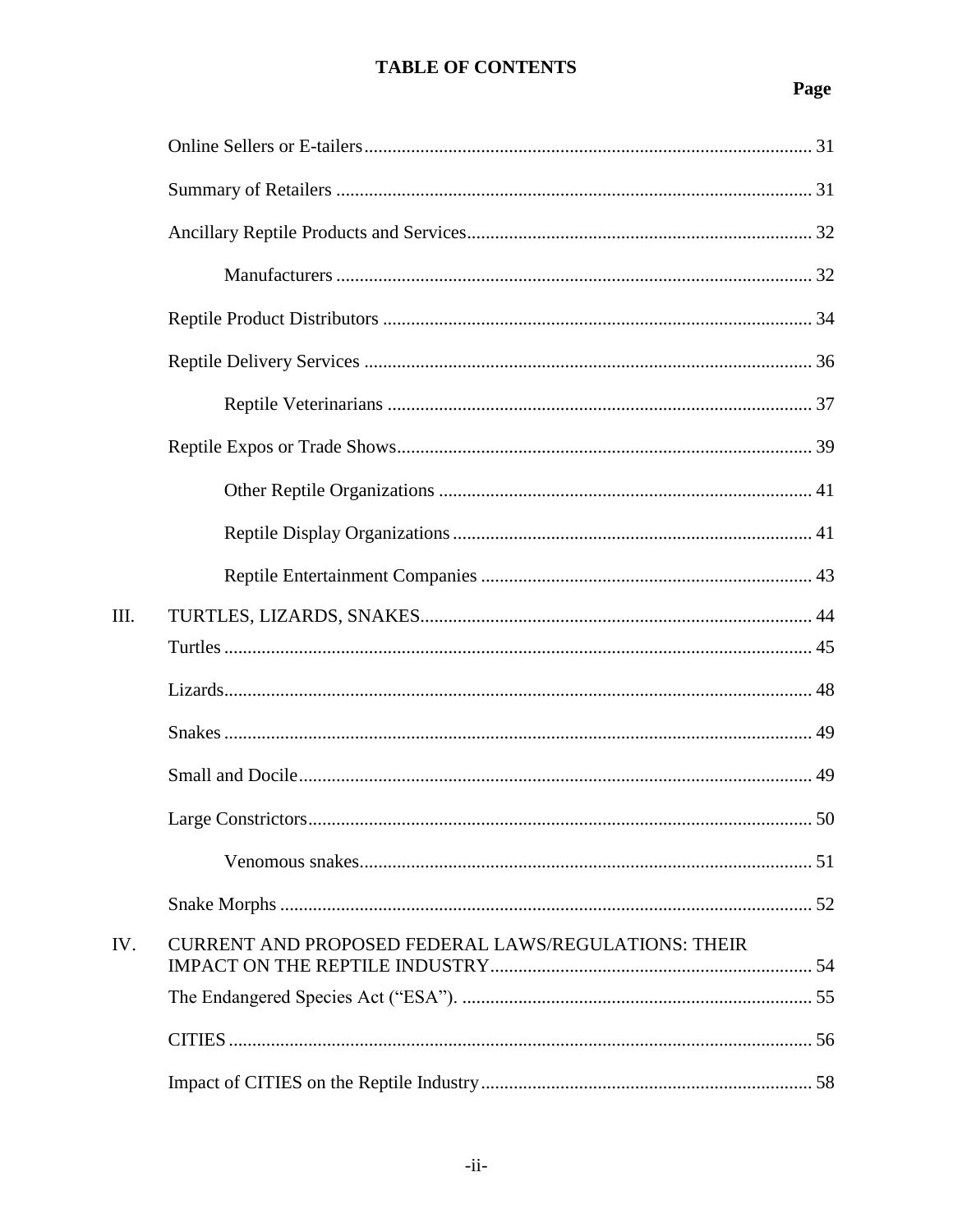# **TABLE OF CONTENTS**

# Page

| Ш.  |                                                             |  |
|-----|-------------------------------------------------------------|--|
|     |                                                             |  |
|     |                                                             |  |
|     |                                                             |  |
|     |                                                             |  |
|     |                                                             |  |
|     |                                                             |  |
|     |                                                             |  |
| IV. | <b>CURRENT AND PROPOSED FEDERAL LAWS/REGULATIONS: THEIR</b> |  |
|     |                                                             |  |
|     |                                                             |  |
|     |                                                             |  |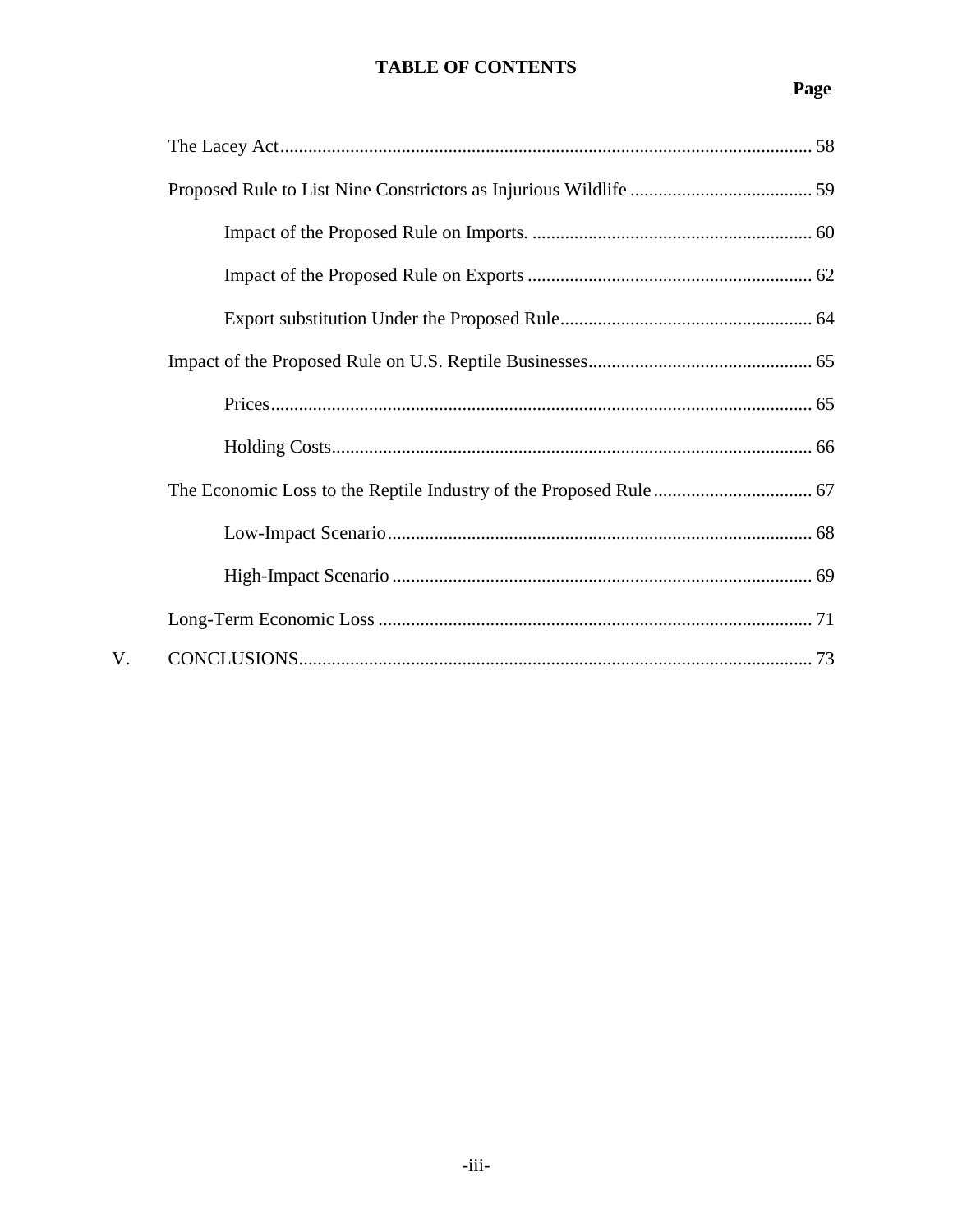# **TABLE OF CONTENTS**

# Page

| V. |  |
|----|--|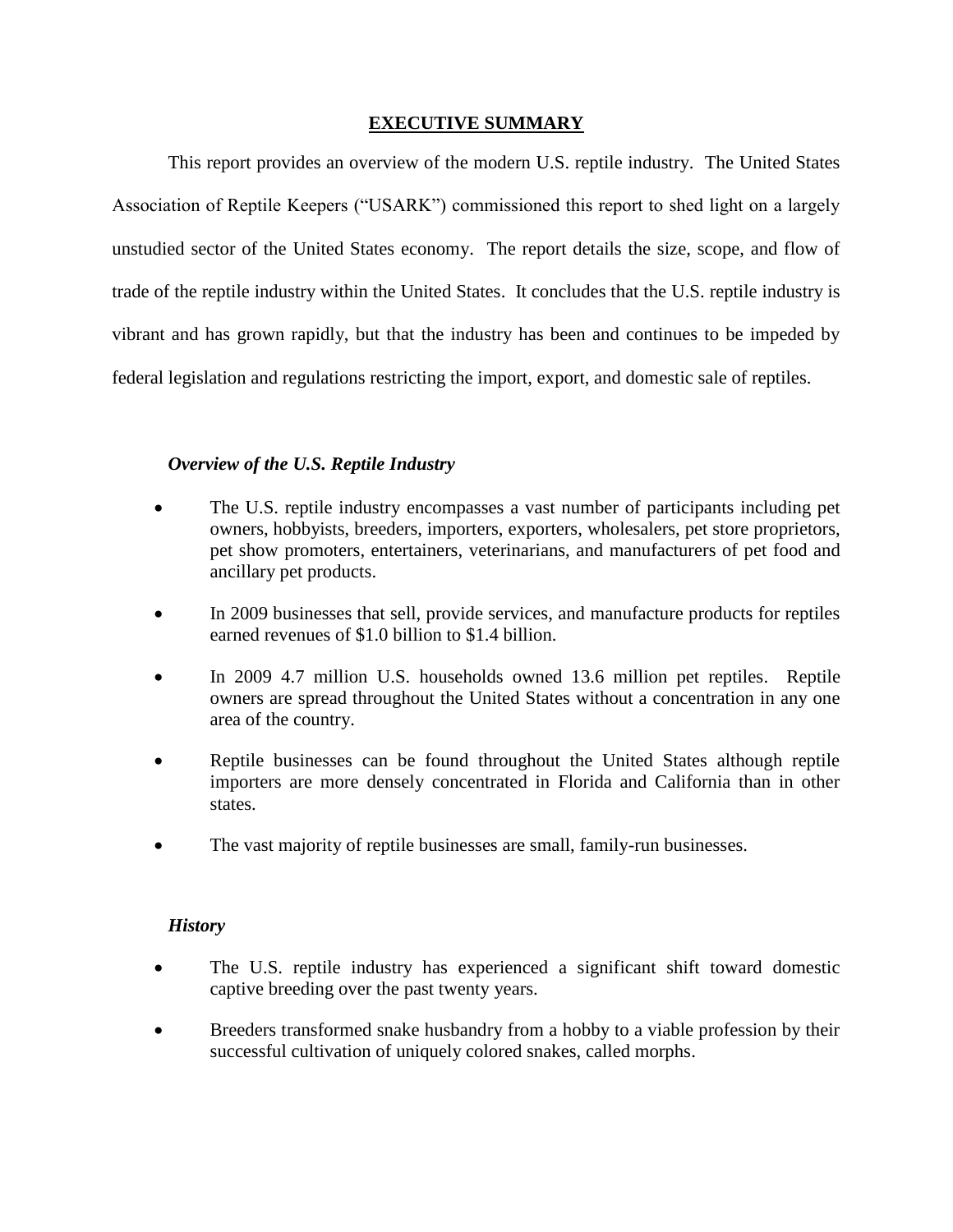#### **EXECUTIVE SUMMARY**

This report provides an overview of the modern U.S. reptile industry. The United States Association of Reptile Keepers ("USARK") commissioned this report to shed light on a largely unstudied sector of the United States economy. The report details the size, scope, and flow of trade of the reptile industry within the United States. It concludes that the U.S. reptile industry is vibrant and has grown rapidly, but that the industry has been and continues to be impeded by federal legislation and regulations restricting the import, export, and domestic sale of reptiles.

#### *Overview of the U.S. Reptile Industry*

- The U.S. reptile industry encompasses a vast number of participants including pet owners, hobbyists, breeders, importers, exporters, wholesalers, pet store proprietors, pet show promoters, entertainers, veterinarians, and manufacturers of pet food and ancillary pet products.
- In 2009 businesses that sell, provide services, and manufacture products for reptiles earned revenues of \$1.0 billion to \$1.4 billion.
- In 2009 4.7 million U.S. households owned 13.6 million pet reptiles. Reptile owners are spread throughout the United States without a concentration in any one area of the country.
- Reptile businesses can be found throughout the United States although reptile importers are more densely concentrated in Florida and California than in other states.
- The vast majority of reptile businesses are small, family-run businesses.

#### *History*

- The U.S. reptile industry has experienced a significant shift toward domestic captive breeding over the past twenty years.
- Breeders transformed snake husbandry from a hobby to a viable profession by their successful cultivation of uniquely colored snakes, called morphs.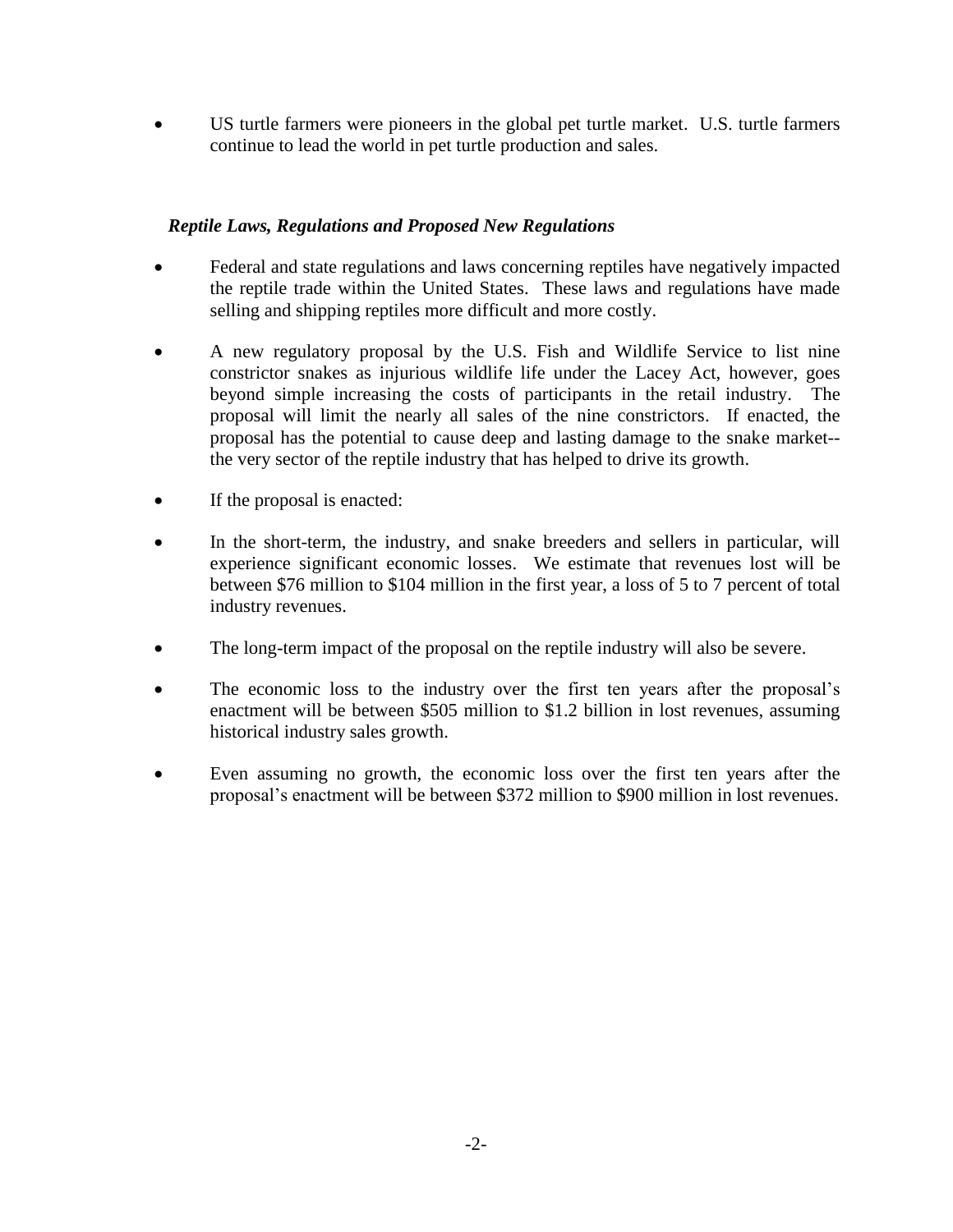US turtle farmers were pioneers in the global pet turtle market. U.S. turtle farmers continue to lead the world in pet turtle production and sales.

### *Reptile Laws, Regulations and Proposed New Regulations*

- Federal and state regulations and laws concerning reptiles have negatively impacted the reptile trade within the United States. These laws and regulations have made selling and shipping reptiles more difficult and more costly.
- A new regulatory proposal by the U.S. Fish and Wildlife Service to list nine constrictor snakes as injurious wildlife life under the Lacey Act, however, goes beyond simple increasing the costs of participants in the retail industry. The proposal will limit the nearly all sales of the nine constrictors. If enacted, the proposal has the potential to cause deep and lasting damage to the snake market- the very sector of the reptile industry that has helped to drive its growth.
- If the proposal is enacted:
- In the short-term, the industry, and snake breeders and sellers in particular, will experience significant economic losses. We estimate that revenues lost will be between \$76 million to \$104 million in the first year, a loss of 5 to 7 percent of total industry revenues.
- The long-term impact of the proposal on the reptile industry will also be severe.
- The economic loss to the industry over the first ten years after the proposal's enactment will be between \$505 million to \$1.2 billion in lost revenues, assuming historical industry sales growth.
- Even assuming no growth, the economic loss over the first ten years after the proposal's enactment will be between \$372 million to \$900 million in lost revenues.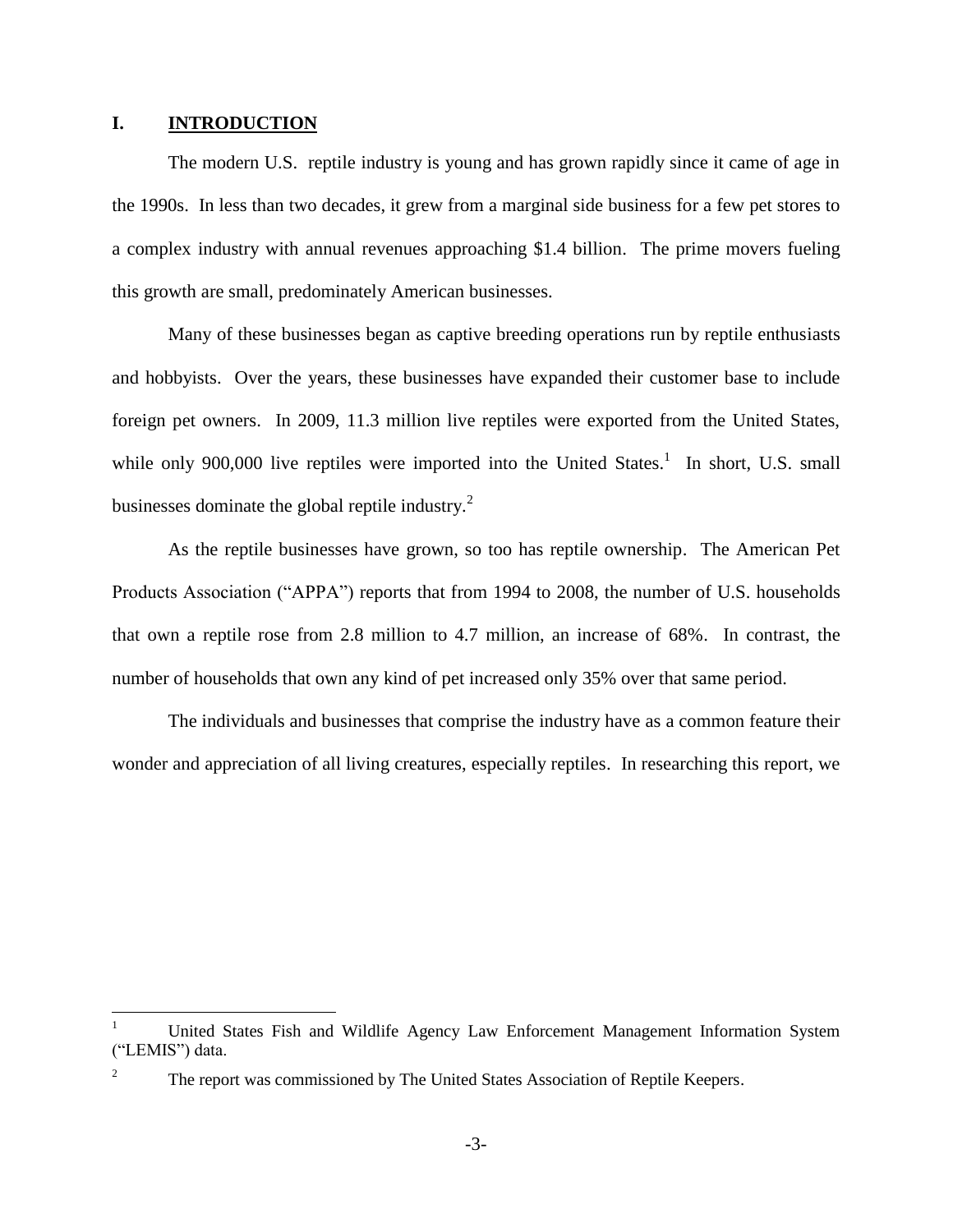#### **I. INTRODUCTION**

 $\overline{a}$ 

The modern U.S. reptile industry is young and has grown rapidly since it came of age in the 1990s. In less than two decades, it grew from a marginal side business for a few pet stores to a complex industry with annual revenues approaching \$1.4 billion. The prime movers fueling this growth are small, predominately American businesses.

Many of these businesses began as captive breeding operations run by reptile enthusiasts and hobbyists. Over the years, these businesses have expanded their customer base to include foreign pet owners. In 2009, 11.3 million live reptiles were exported from the United States, while only 900,000 live reptiles were imported into the United States.<sup>1</sup> In short, U.S. small businesses dominate the global reptile industry. $^{2}$ 

As the reptile businesses have grown, so too has reptile ownership. The American Pet Products Association ("APPA") reports that from 1994 to 2008, the number of U.S. households that own a reptile rose from 2.8 million to 4.7 million, an increase of 68%. In contrast, the number of households that own any kind of pet increased only 35% over that same period.

The individuals and businesses that comprise the industry have as a common feature their wonder and appreciation of all living creatures, especially reptiles. In researching this report, we

<sup>1</sup> United States Fish and Wildlife Agency Law Enforcement Management Information System ("LEMIS") data.

The report was commissioned by The United States Association of Reptile Keepers.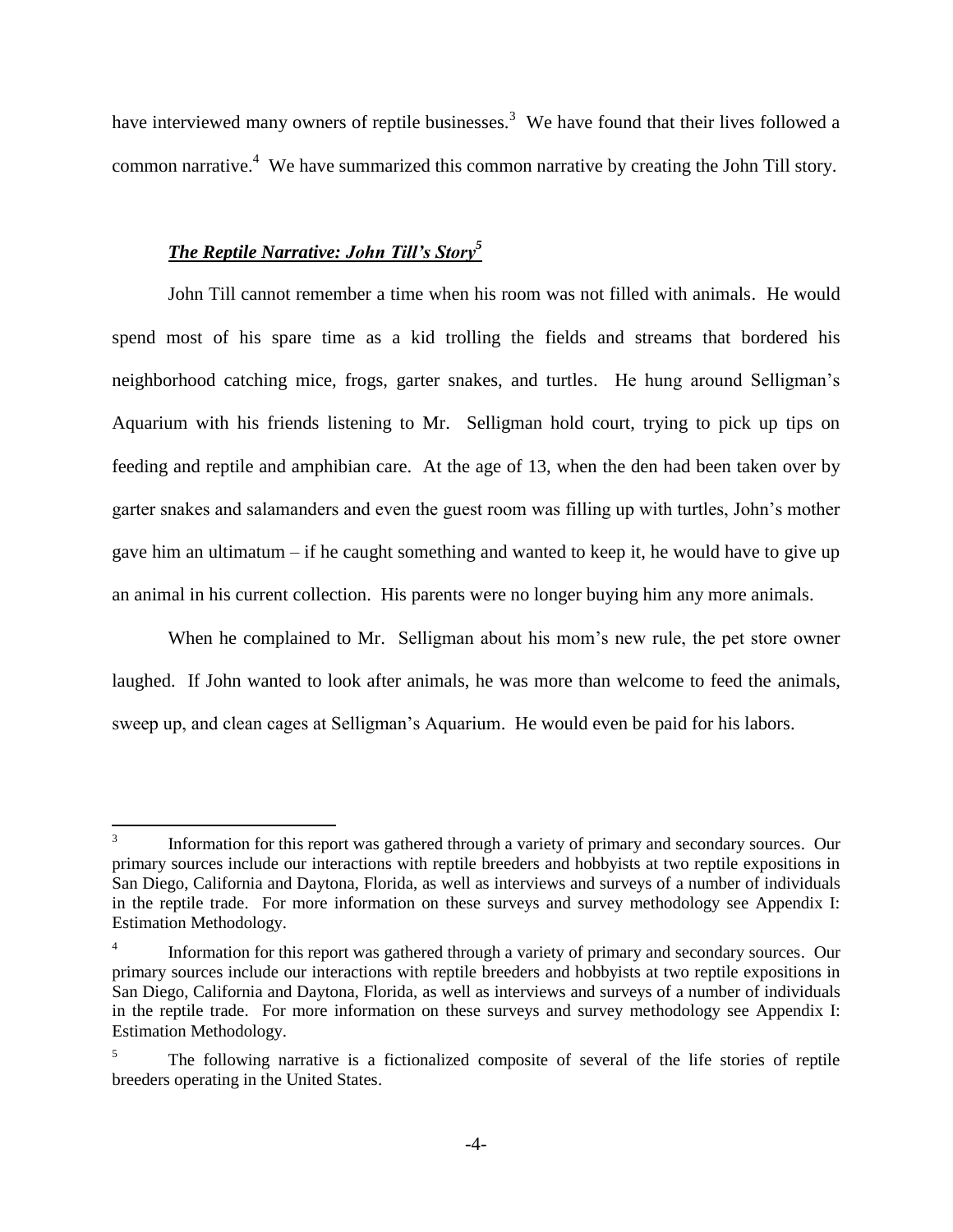have interviewed many owners of reptile businesses.<sup>3</sup> We have found that their lives followed a common narrative.<sup>4</sup> We have summarized this common narrative by creating the John Till story.

#### *The Reptile Narrative: John Till's Story<sup>5</sup>*

John Till cannot remember a time when his room was not filled with animals. He would spend most of his spare time as a kid trolling the fields and streams that bordered his neighborhood catching mice, frogs, garter snakes, and turtles. He hung around Selligman's Aquarium with his friends listening to Mr. Selligman hold court, trying to pick up tips on feeding and reptile and amphibian care. At the age of 13, when the den had been taken over by garter snakes and salamanders and even the guest room was filling up with turtles, John's mother gave him an ultimatum – if he caught something and wanted to keep it, he would have to give up an animal in his current collection. His parents were no longer buying him any more animals.

When he complained to Mr. Selligman about his mom's new rule, the pet store owner laughed. If John wanted to look after animals, he was more than welcome to feed the animals, sweep up, and clean cages at Selligman's Aquarium. He would even be paid for his labors.

 $\frac{1}{3}$ Information for this report was gathered through a variety of primary and secondary sources. Our primary sources include our interactions with reptile breeders and hobbyists at two reptile expositions in San Diego, California and Daytona, Florida, as well as interviews and surveys of a number of individuals in the reptile trade. For more information on these surveys and survey methodology see Appendix I: Estimation Methodology.

<sup>4</sup> Information for this report was gathered through a variety of primary and secondary sources. Our primary sources include our interactions with reptile breeders and hobbyists at two reptile expositions in San Diego, California and Daytona, Florida, as well as interviews and surveys of a number of individuals in the reptile trade. For more information on these surveys and survey methodology see Appendix I: Estimation Methodology.

<sup>&</sup>lt;sup>5</sup> The following narrative is a fictionalized composite of several of the life stories of reptile breeders operating in the United States.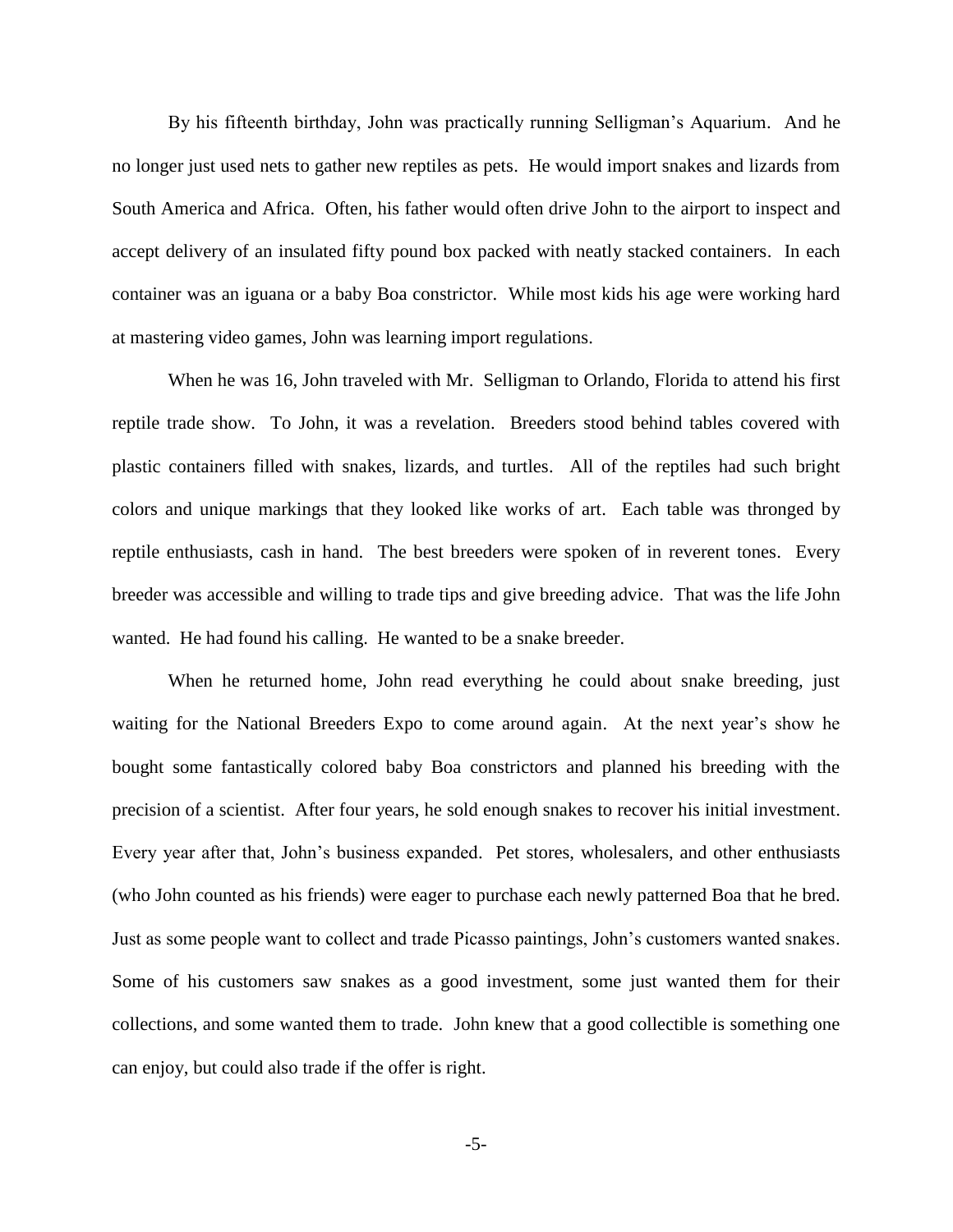By his fifteenth birthday, John was practically running Selligman's Aquarium. And he no longer just used nets to gather new reptiles as pets. He would import snakes and lizards from South America and Africa. Often, his father would often drive John to the airport to inspect and accept delivery of an insulated fifty pound box packed with neatly stacked containers. In each container was an iguana or a baby Boa constrictor. While most kids his age were working hard at mastering video games, John was learning import regulations.

When he was 16, John traveled with Mr. Selligman to Orlando, Florida to attend his first reptile trade show. To John, it was a revelation. Breeders stood behind tables covered with plastic containers filled with snakes, lizards, and turtles. All of the reptiles had such bright colors and unique markings that they looked like works of art. Each table was thronged by reptile enthusiasts, cash in hand. The best breeders were spoken of in reverent tones. Every breeder was accessible and willing to trade tips and give breeding advice. That was the life John wanted. He had found his calling. He wanted to be a snake breeder.

When he returned home, John read everything he could about snake breeding, just waiting for the National Breeders Expo to come around again. At the next year's show he bought some fantastically colored baby Boa constrictors and planned his breeding with the precision of a scientist. After four years, he sold enough snakes to recover his initial investment. Every year after that, John's business expanded. Pet stores, wholesalers, and other enthusiasts (who John counted as his friends) were eager to purchase each newly patterned Boa that he bred. Just as some people want to collect and trade Picasso paintings, John's customers wanted snakes. Some of his customers saw snakes as a good investment, some just wanted them for their collections, and some wanted them to trade. John knew that a good collectible is something one can enjoy, but could also trade if the offer is right.

-5-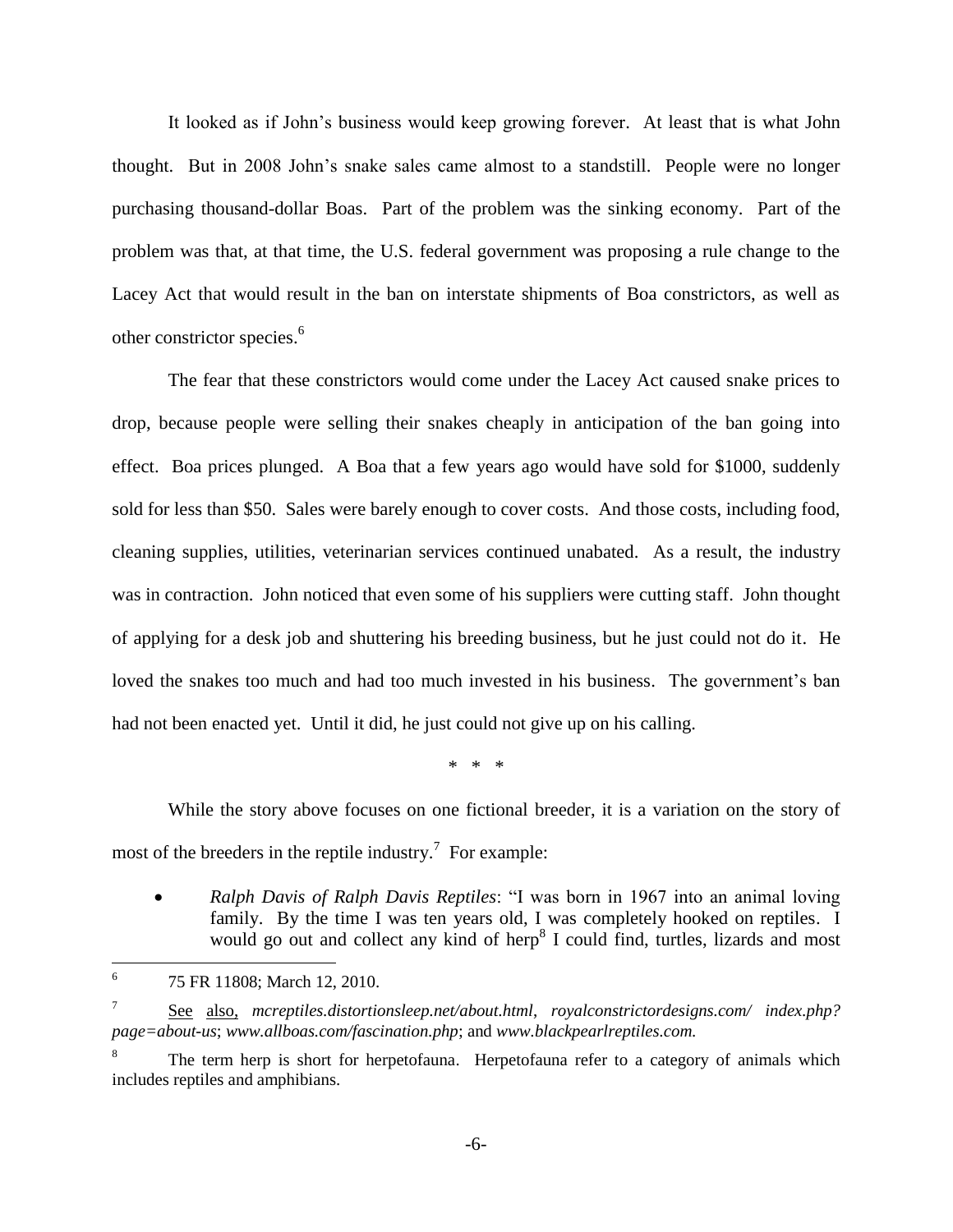It looked as if John's business would keep growing forever. At least that is what John thought. But in 2008 John's snake sales came almost to a standstill. People were no longer purchasing thousand-dollar Boas. Part of the problem was the sinking economy. Part of the problem was that, at that time, the U.S. federal government was proposing a rule change to the Lacey Act that would result in the ban on interstate shipments of Boa constrictors, as well as other constrictor species.<sup>6</sup>

The fear that these constrictors would come under the Lacey Act caused snake prices to drop, because people were selling their snakes cheaply in anticipation of the ban going into effect. Boa prices plunged. A Boa that a few years ago would have sold for \$1000, suddenly sold for less than \$50. Sales were barely enough to cover costs. And those costs, including food, cleaning supplies, utilities, veterinarian services continued unabated. As a result, the industry was in contraction. John noticed that even some of his suppliers were cutting staff. John thought of applying for a desk job and shuttering his breeding business, but he just could not do it. He loved the snakes too much and had too much invested in his business. The government's ban had not been enacted yet. Until it did, he just could not give up on his calling.

\* \* \*

While the story above focuses on one fictional breeder, it is a variation on the story of most of the breeders in the reptile industry.<sup>7</sup> For example:

 *Ralph Davis of Ralph Davis Reptiles*: "I was born in 1967 into an animal loving family. By the time I was ten years old, I was completely hooked on reptiles. I would go out and collect any kind of herp<sup>8</sup> I could find, turtles, lizards and most

 $\overline{a}$ 

<sup>6</sup> 75 FR 11808; March 12, 2010.

<sup>7</sup> See also, *mcreptiles.distortionsleep.net/about.html*, *royalconstrictordesigns.com/ index.php? page=about-us*; *www.allboas.com/fascination.php*; and *www.blackpearlreptiles.com.*

The term herp is short for herpetofauna. Herpetofauna refer to a category of animals which includes reptiles and amphibians.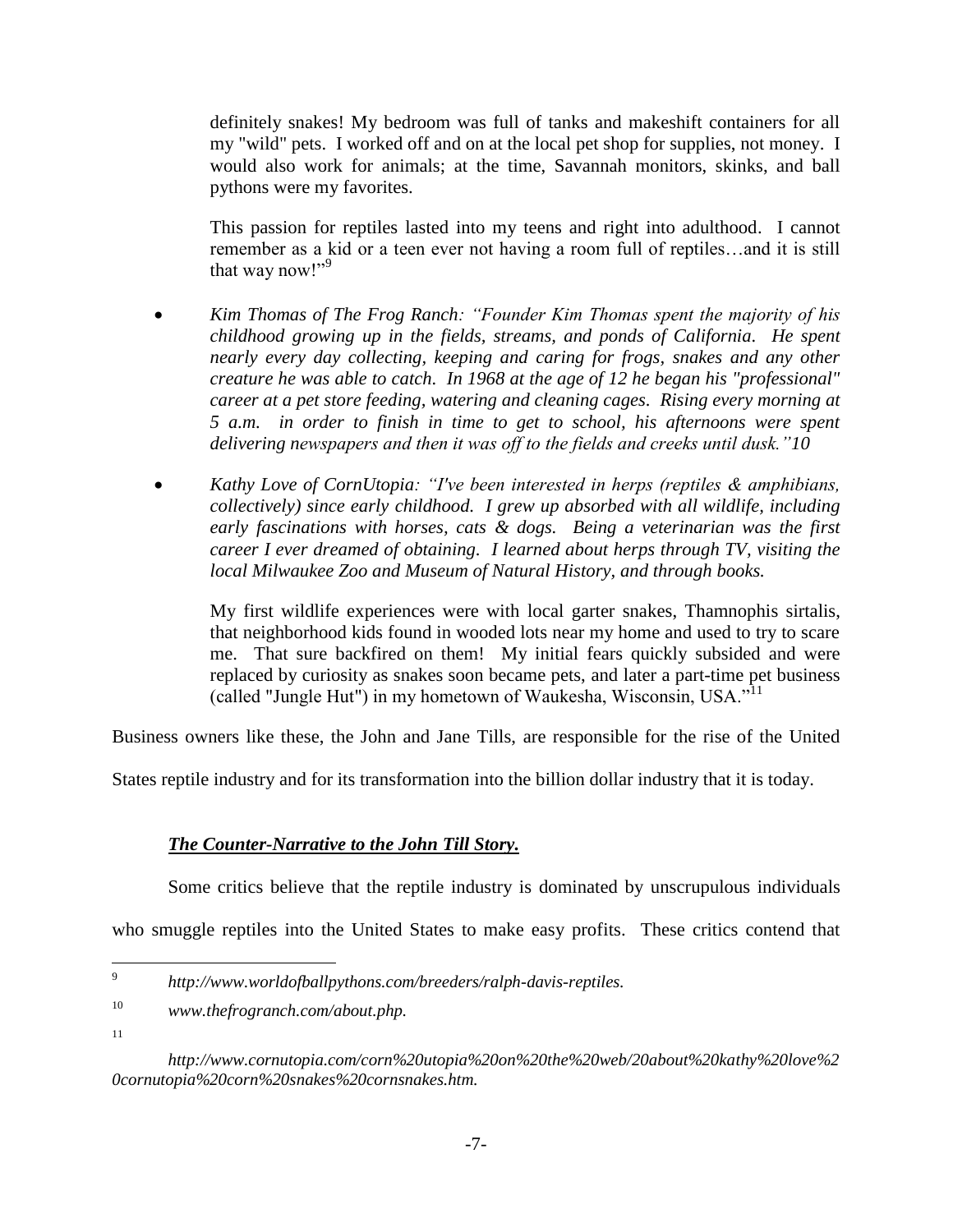definitely snakes! My bedroom was full of tanks and makeshift containers for all my "wild" pets. I worked off and on at the local pet shop for supplies, not money. I would also work for animals; at the time, Savannah monitors, skinks, and ball pythons were my favorites.

This passion for reptiles lasted into my teens and right into adulthood. I cannot remember as a kid or a teen ever not having a room full of reptiles…and it is still that way now!"<sup>9</sup>

- *Kim Thomas of The Frog Ranch: "Founder Kim Thomas spent the majority of his childhood growing up in the fields, streams, and ponds of California. He spent nearly every day collecting, keeping and caring for frogs, snakes and any other creature he was able to catch. In 1968 at the age of 12 he began his "professional" career at a pet store feeding, watering and cleaning cages. Rising every morning at 5 a.m. in order to finish in time to get to school, his afternoons were spent delivering newspapers and then it was off to the fields and creeks until dusk."10*
- *Kathy Love of CornUtopia: "I've been interested in herps (reptiles & amphibians, collectively) since early childhood. I grew up absorbed with all wildlife, including early fascinations with horses, cats & dogs. Being a veterinarian was the first career I ever dreamed of obtaining. I learned about herps through TV, visiting the local Milwaukee Zoo and Museum of Natural History, and through books.*

My first wildlife experiences were with local garter snakes, Thamnophis sirtalis, that neighborhood kids found in wooded lots near my home and used to try to scare me. That sure backfired on them! My initial fears quickly subsided and were replaced by curiosity as snakes soon became pets, and later a part-time pet business (called "Jungle Hut") in my hometown of Waukesha, Wisconsin, USA." $11$ 

Business owners like these, the John and Jane Tills, are responsible for the rise of the United

States reptile industry and for its transformation into the billion dollar industry that it is today.

### *The Counter-Narrative to the John Till Story.*

Some critics believe that the reptile industry is dominated by unscrupulous individuals

who smuggle reptiles into the United States to make easy profits. These critics contend that

11

<sup>-&</sup>lt;br>9 *http://www.worldofballpythons.com/breeders/ralph-davis-reptiles.*

<sup>10</sup> *[www.thefrogranch.com/about.php.](http://www.thefrogranch.com/about.php)*

*http://www.cornutopia.com/corn%20utopia%20on%20the%20web/20about%20kathy%20love%2 0cornutopia%20corn%20snakes%20cornsnakes.htm.*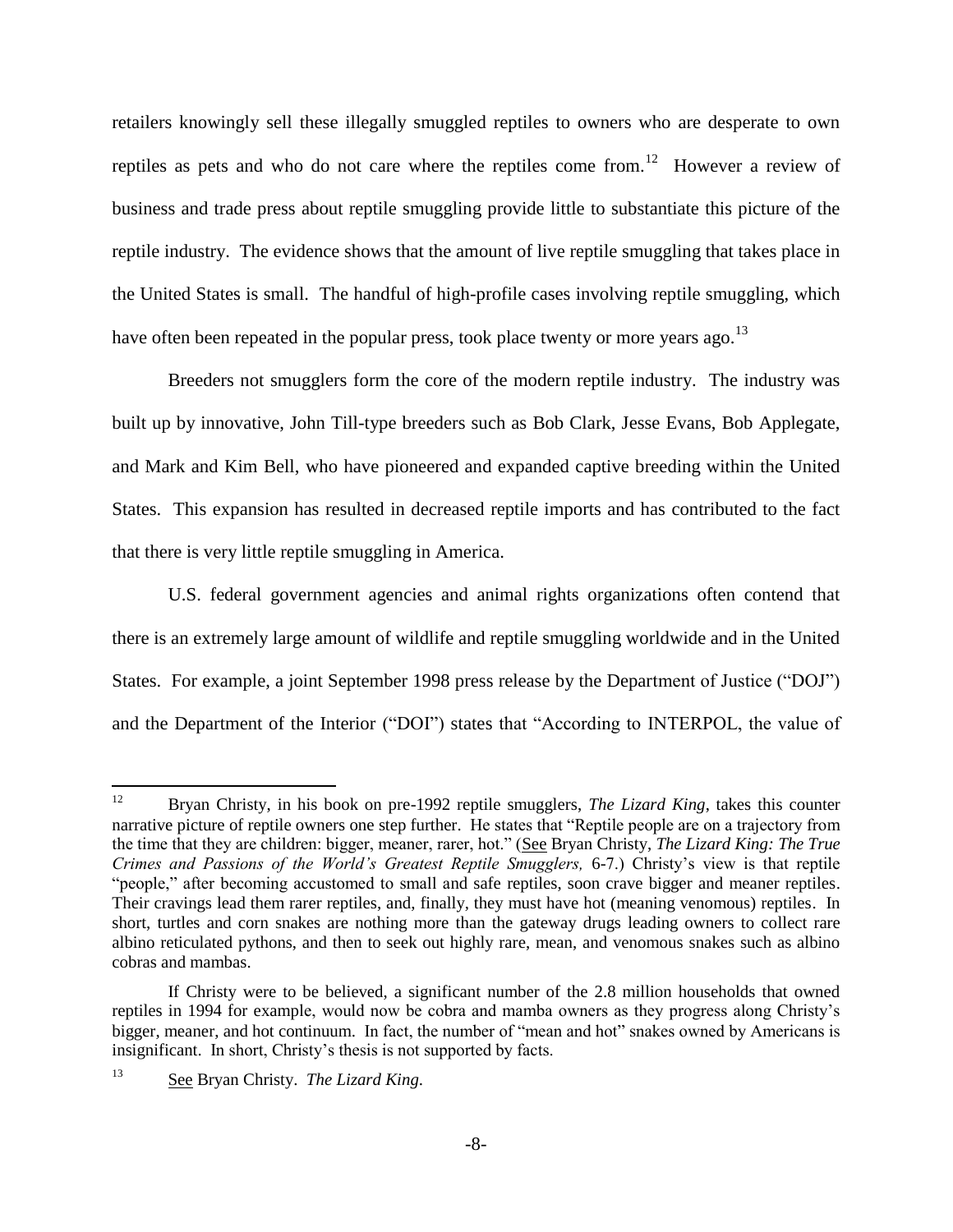retailers knowingly sell these illegally smuggled reptiles to owners who are desperate to own reptiles as pets and who do not care where the reptiles come from.<sup>12</sup> However a review of business and trade press about reptile smuggling provide little to substantiate this picture of the reptile industry. The evidence shows that the amount of live reptile smuggling that takes place in the United States is small. The handful of high-profile cases involving reptile smuggling, which have often been repeated in the popular press, took place twenty or more vears ago.<sup>13</sup>

Breeders not smugglers form the core of the modern reptile industry. The industry was built up by innovative, John Till-type breeders such as Bob Clark, Jesse Evans, Bob Applegate, and Mark and Kim Bell, who have pioneered and expanded captive breeding within the United States. This expansion has resulted in decreased reptile imports and has contributed to the fact that there is very little reptile smuggling in America.

U.S. federal government agencies and animal rights organizations often contend that there is an extremely large amount of wildlife and reptile smuggling worldwide and in the United States. For example, a joint September 1998 press release by the Department of Justice ("DOJ") and the Department of the Interior ("DOI") states that "According to INTERPOL, the value of

<sup>12</sup> <sup>12</sup> Bryan Christy, in his book on pre-1992 reptile smugglers, *The Lizard King*, takes this counter narrative picture of reptile owners one step further. He states that "Reptile people are on a trajectory from the time that they are children: bigger, meaner, rarer, hot." (See Bryan Christy, *The Lizard King: The True Crimes and Passions of the World's Greatest Reptile Smugglers,* 6-7.) Christy's view is that reptile "people," after becoming accustomed to small and safe reptiles, soon crave bigger and meaner reptiles. Their cravings lead them rarer reptiles, and, finally, they must have hot (meaning venomous) reptiles. In short, turtles and corn snakes are nothing more than the gateway drugs leading owners to collect rare albino reticulated pythons, and then to seek out highly rare, mean, and venomous snakes such as albino cobras and mambas.

If Christy were to be believed, a significant number of the 2.8 million households that owned reptiles in 1994 for example, would now be cobra and mamba owners as they progress along Christy's bigger, meaner, and hot continuum. In fact, the number of "mean and hot" snakes owned by Americans is insignificant. In short, Christy's thesis is not supported by facts.

<sup>13</sup> See Bryan Christy. *The Lizard King*.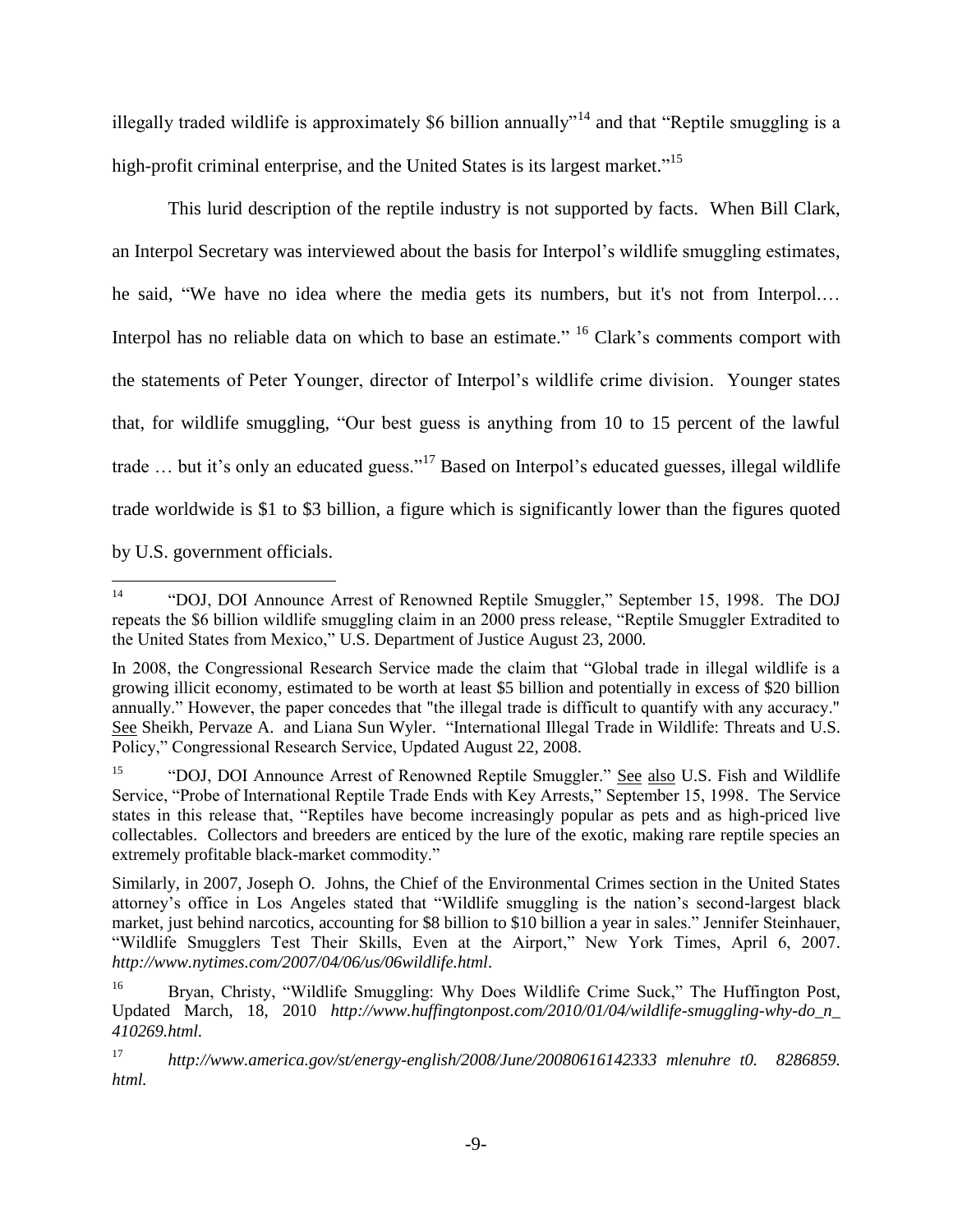illegally traded wildlife is approximately \$6 billion annually<sup> $14$ </sup> and that "Reptile smuggling is a high-profit criminal enterprise, and the United States is its largest market."<sup>15</sup>

This lurid description of the reptile industry is not supported by facts. When Bill Clark, an Interpol Secretary was interviewed about the basis for Interpol's wildlife smuggling estimates, he said, "We have no idea where the media gets its numbers, but it's not from Interpol.… Interpol has no reliable data on which to base an estimate." <sup>16</sup> Clark's comments comport with the statements of Peter Younger, director of Interpol's wildlife crime division. Younger states that, for wildlife smuggling, "Our best guess is anything from 10 to 15 percent of the lawful trade  $\ldots$  but it's only an educated guess."<sup>17</sup> Based on Interpol's educated guesses, illegal wildlife trade worldwide is \$1 to \$3 billion, a figure which is significantly lower than the figures quoted by U.S. government officials.

 $14$ <sup>14</sup> "DOJ, DOI Announce Arrest of Renowned Reptile Smuggler," September 15, 1998. The DOJ repeats the \$6 billion wildlife smuggling claim in an 2000 press release, "Reptile Smuggler Extradited to the United States from Mexico," U.S. Department of Justice August 23, 2000.

In 2008, the Congressional Research Service made the claim that "Global trade in illegal wildlife is a growing illicit economy, estimated to be worth at least \$5 billion and potentially in excess of \$20 billion annually." However, the paper concedes that "the illegal trade is difficult to quantify with any accuracy." See Sheikh, Pervaze A. and Liana Sun Wyler. "International Illegal Trade in Wildlife: Threats and U.S. Policy," Congressional Research Service, Updated August 22, 2008.

<sup>15</sup> "DOJ, DOI Announce Arrest of Renowned Reptile Smuggler." See also U.S. Fish and Wildlife Service, "Probe of International Reptile Trade Ends with Key Arrests," September 15, 1998. The Service states in this release that, "Reptiles have become increasingly popular as pets and as high-priced live collectables. Collectors and breeders are enticed by the lure of the exotic, making rare reptile species an extremely profitable black-market commodity."

Similarly, in 2007, Joseph O. Johns, the Chief of the Environmental Crimes section in the United States attorney's office in Los Angeles stated that "Wildlife smuggling is the nation's second-largest black market, just behind narcotics, accounting for \$8 billion to \$10 billion a year in sales." Jennifer Steinhauer, "Wildlife Smugglers Test Their Skills, Even at the Airport," New York Times, April 6, 2007. *http://www.nytimes.com/2007/04/06/us/06wildlife.html*.

<sup>&</sup>lt;sup>16</sup> Bryan, Christy, "Wildlife Smuggling: Why Does Wildlife Crime Suck," The Huffington Post, Updated March, 18, 2010 *http://www.huffingtonpost.com/2010/01/04/wildlife-smuggling-why-do\_n\_ 410269.html.*

<sup>17</sup> *http://www.america.gov/st/energy-english/2008/June/20080616142333 mlenuhre t0. 8286859. html.*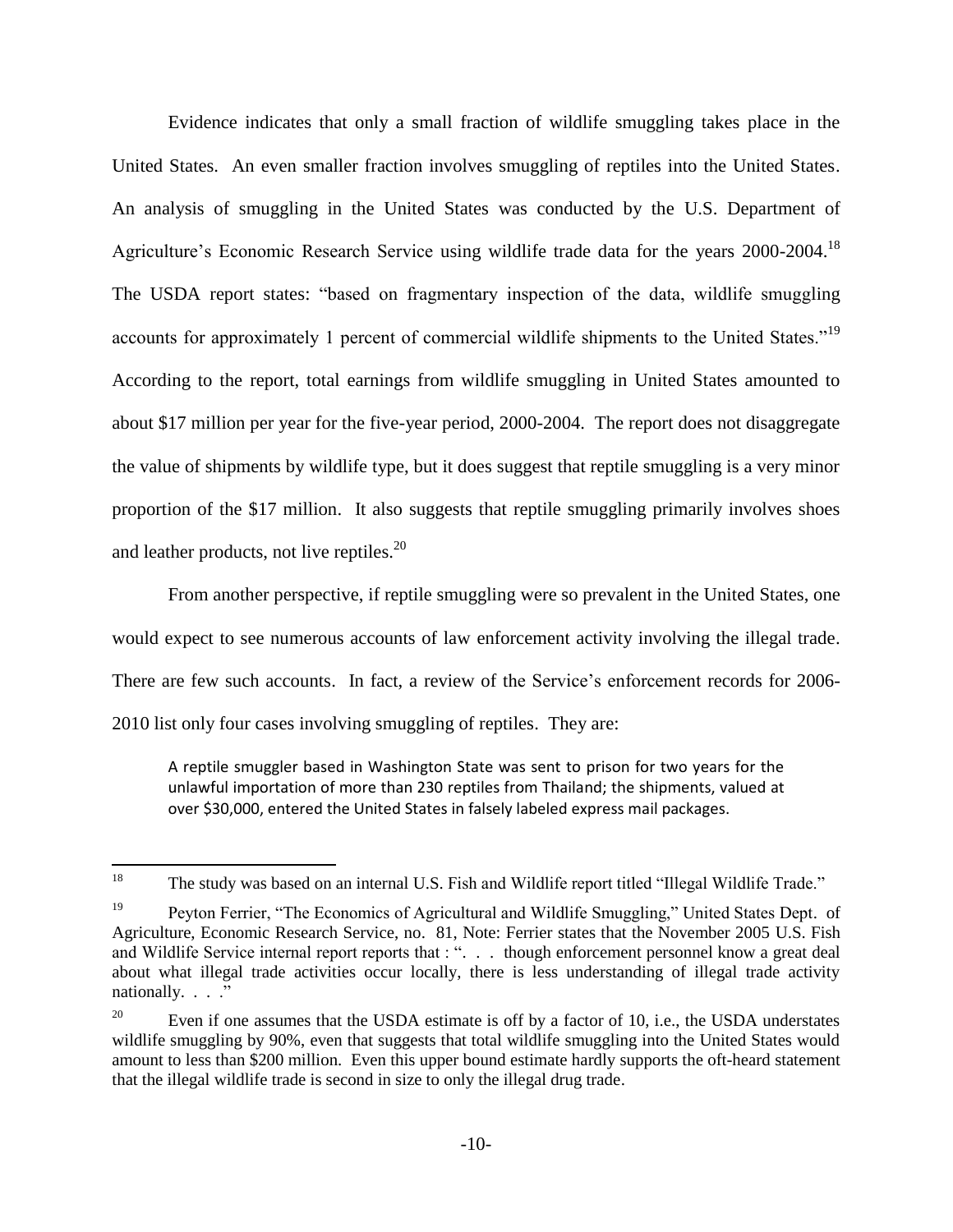Evidence indicates that only a small fraction of wildlife smuggling takes place in the United States. An even smaller fraction involves smuggling of reptiles into the United States. An analysis of smuggling in the United States was conducted by the U.S. Department of Agriculture's Economic Research Service using wildlife trade data for the years 2000-2004.<sup>18</sup> The USDA report states: "based on fragmentary inspection of the data, wildlife smuggling accounts for approximately 1 percent of commercial wildlife shipments to the United States."<sup>19</sup> According to the report, total earnings from wildlife smuggling in United States amounted to about \$17 million per year for the five-year period, 2000-2004. The report does not disaggregate the value of shipments by wildlife type, but it does suggest that reptile smuggling is a very minor proportion of the \$17 million. It also suggests that reptile smuggling primarily involves shoes and leather products, not live reptiles.<sup>20</sup>

From another perspective, if reptile smuggling were so prevalent in the United States, one would expect to see numerous accounts of law enforcement activity involving the illegal trade. There are few such accounts. In fact, a review of the Service's enforcement records for 2006- 2010 list only four cases involving smuggling of reptiles. They are:

A reptile smuggler based in Washington State was sent to prison for two years for the unlawful importation of more than 230 reptiles from Thailand; the shipments, valued at over \$30,000, entered the United States in falsely labeled express mail packages.

 $\overline{a}$ <sup>18</sup> The study was based on an internal U.S. Fish and Wildlife report titled "Illegal Wildlife Trade."

<sup>&</sup>lt;sup>19</sup> Peyton Ferrier, "The Economics of Agricultural and Wildlife Smuggling," United States Dept. of Agriculture, Economic Research Service, no. 81, Note: Ferrier states that the November 2005 U.S. Fish and Wildlife Service internal report reports that : ". . . though enforcement personnel know a great deal about what illegal trade activities occur locally, there is less understanding of illegal trade activity nationally. . . ."

<sup>&</sup>lt;sup>20</sup> Even if one assumes that the USDA estimate is off by a factor of 10, i.e., the USDA understates wildlife smuggling by 90%, even that suggests that total wildlife smuggling into the United States would amount to less than \$200 million. Even this upper bound estimate hardly supports the oft-heard statement that the illegal wildlife trade is second in size to only the illegal drug trade.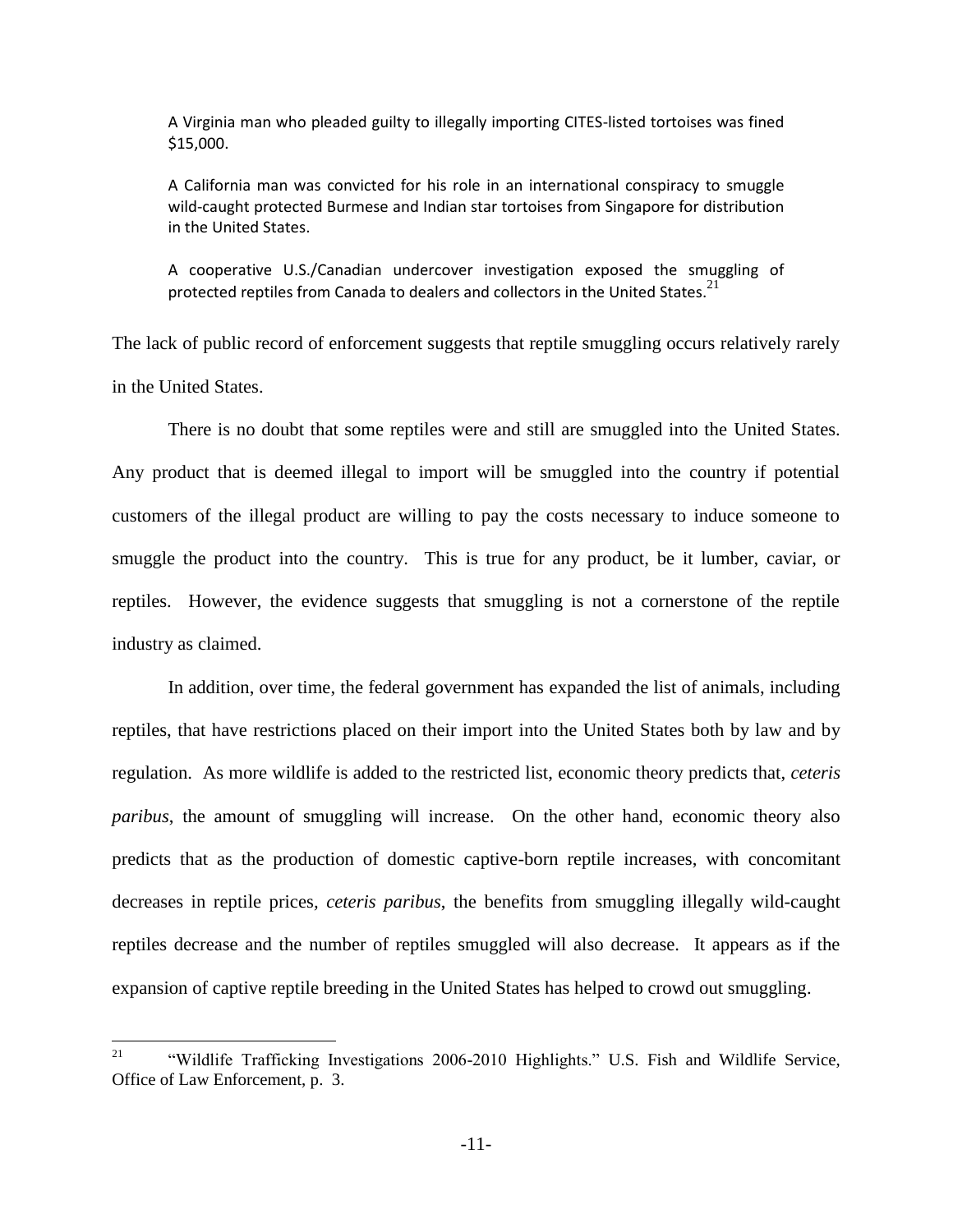A Virginia man who pleaded guilty to illegally importing CITES-listed tortoises was fined \$15,000.

A California man was convicted for his role in an international conspiracy to smuggle wild-caught protected Burmese and Indian star tortoises from Singapore for distribution in the United States.

A cooperative U.S./Canadian undercover investigation exposed the smuggling of protected reptiles from Canada to dealers and collectors in the United States.<sup>21</sup>

The lack of public record of enforcement suggests that reptile smuggling occurs relatively rarely in the United States.

There is no doubt that some reptiles were and still are smuggled into the United States. Any product that is deemed illegal to import will be smuggled into the country if potential customers of the illegal product are willing to pay the costs necessary to induce someone to smuggle the product into the country. This is true for any product, be it lumber, caviar, or reptiles. However, the evidence suggests that smuggling is not a cornerstone of the reptile industry as claimed.

In addition, over time, the federal government has expanded the list of animals, including reptiles, that have restrictions placed on their import into the United States both by law and by regulation. As more wildlife is added to the restricted list, economic theory predicts that, *ceteris paribus*, the amount of smuggling will increase. On the other hand, economic theory also predicts that as the production of domestic captive-born reptile increases, with concomitant decreases in reptile prices*, ceteris paribus*, the benefits from smuggling illegally wild-caught reptiles decrease and the number of reptiles smuggled will also decrease. It appears as if the expansion of captive reptile breeding in the United States has helped to crowd out smuggling.

 $\overline{a}$ 

<sup>&</sup>lt;sup>21</sup> "Wildlife Trafficking Investigations 2006-2010 Highlights." U.S. Fish and Wildlife Service, Office of Law Enforcement, p. 3.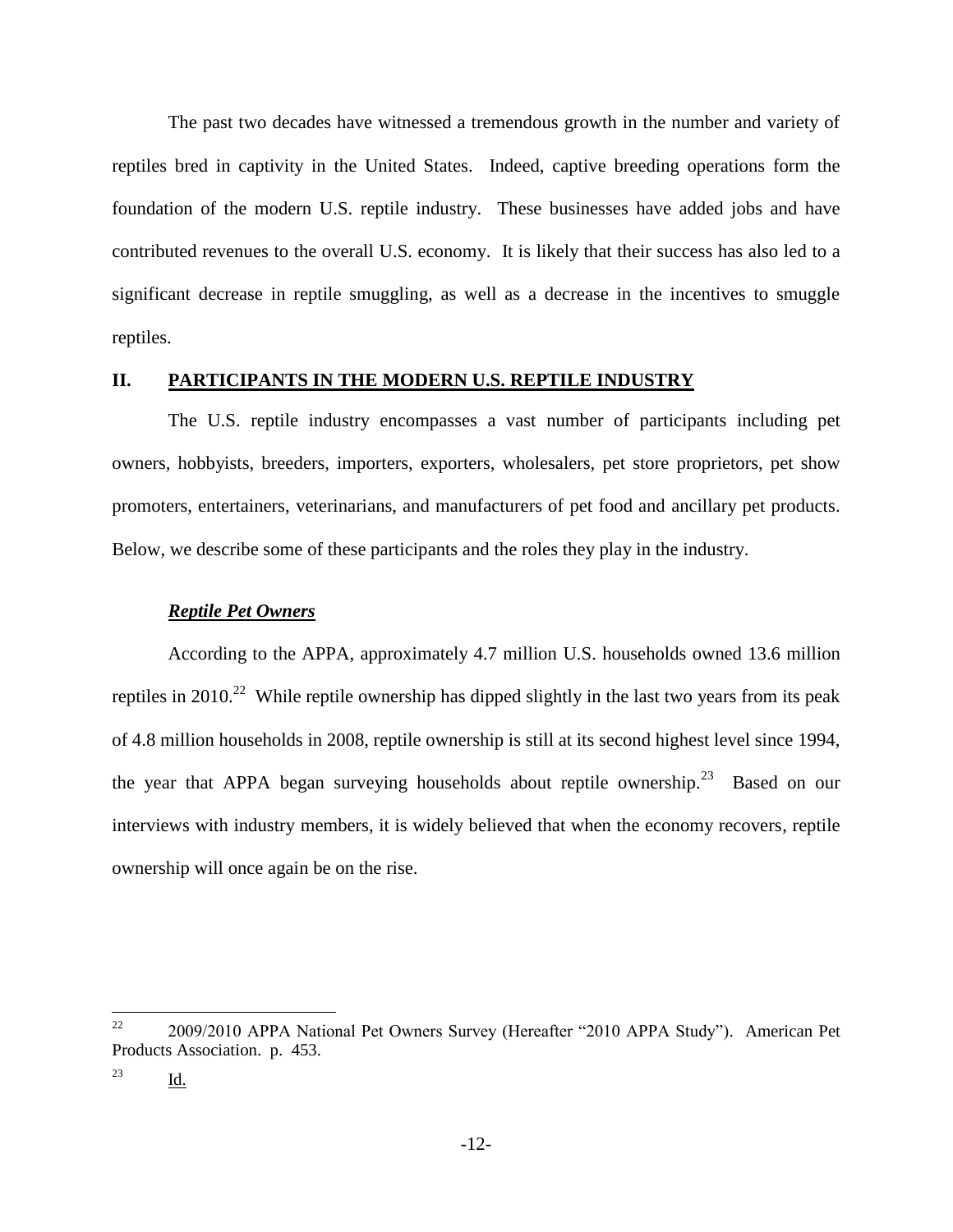The past two decades have witnessed a tremendous growth in the number and variety of reptiles bred in captivity in the United States. Indeed, captive breeding operations form the foundation of the modern U.S. reptile industry. These businesses have added jobs and have contributed revenues to the overall U.S. economy. It is likely that their success has also led to a significant decrease in reptile smuggling, as well as a decrease in the incentives to smuggle reptiles.

#### **II. PARTICIPANTS IN THE MODERN U.S. REPTILE INDUSTRY**

The U.S. reptile industry encompasses a vast number of participants including pet owners, hobbyists, breeders, importers, exporters, wholesalers, pet store proprietors, pet show promoters, entertainers, veterinarians, and manufacturers of pet food and ancillary pet products. Below, we describe some of these participants and the roles they play in the industry.

#### *Reptile Pet Owners*

According to the APPA, approximately 4.7 million U.S. households owned 13.6 million reptiles in 2010.<sup>22</sup> While reptile ownership has dipped slightly in the last two years from its peak of 4.8 million households in 2008, reptile ownership is still at its second highest level since 1994, the year that APPA began surveying households about reptile ownership.<sup>23</sup> Based on our interviews with industry members, it is widely believed that when the economy recovers, reptile ownership will once again be on the rise.

 $22\,$ <sup>22</sup> 2009/2010 APPA National Pet Owners Survey (Hereafter "2010 APPA Study"). American Pet Products Association. p. 453.

<sup>23</sup> Id.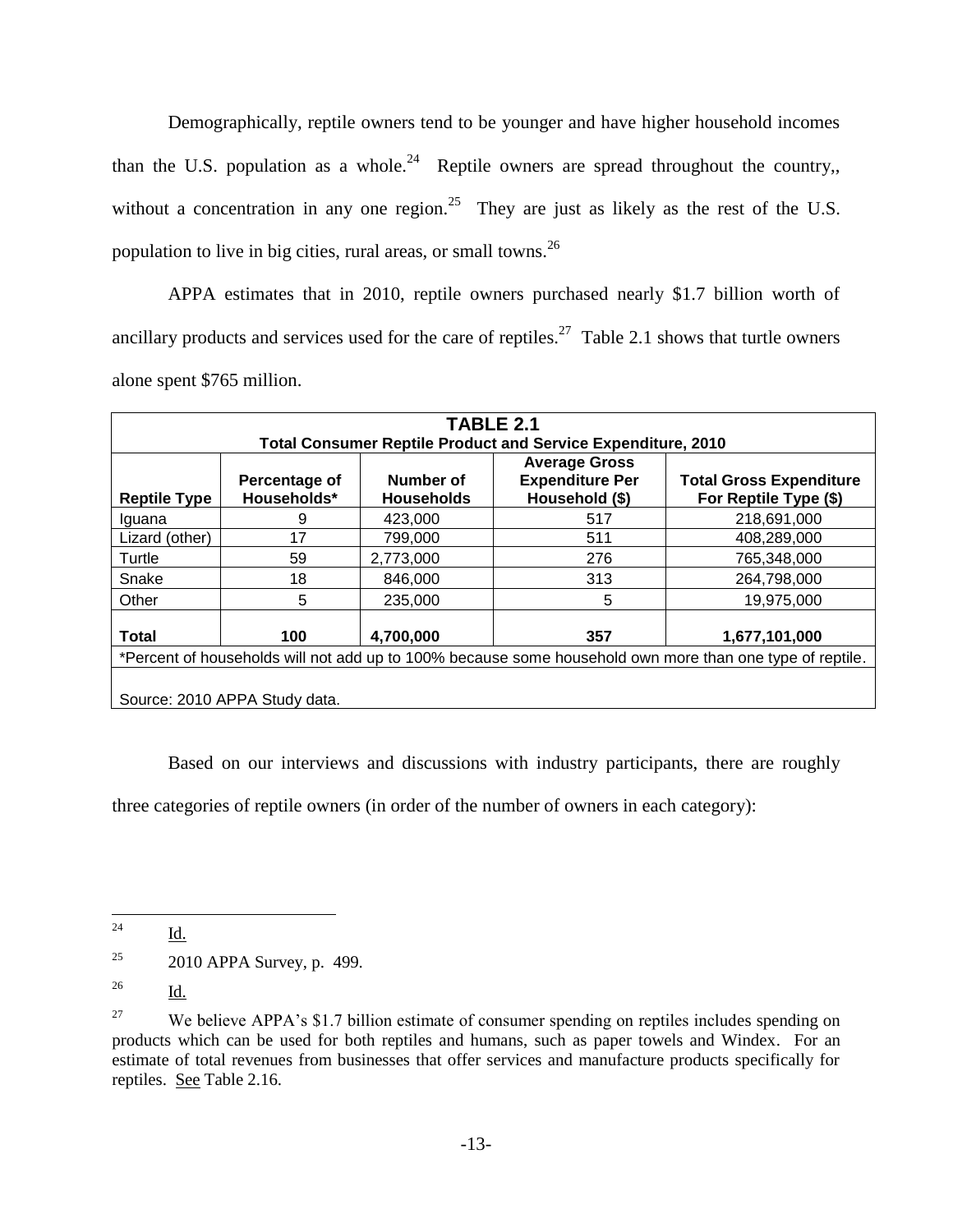Demographically, reptile owners tend to be younger and have higher household incomes than the U.S. population as a whole.<sup>24</sup> Reptile owners are spread throughout the country, without a concentration in any one region.<sup>25</sup> They are just as likely as the rest of the U.S. population to live in big cities, rural areas, or small towns.<sup>26</sup>

APPA estimates that in 2010, reptile owners purchased nearly \$1.7 billion worth of ancillary products and services used for the care of reptiles.<sup>27</sup> Table 2.1 shows that turtle owners alone spent \$765 million.

| TABLE 2.1                                                                                                |                              |                                |                                                                     |                                                         |  |  |
|----------------------------------------------------------------------------------------------------------|------------------------------|--------------------------------|---------------------------------------------------------------------|---------------------------------------------------------|--|--|
|                                                                                                          |                              |                                | <b>Total Consumer Reptile Product and Service Expenditure, 2010</b> |                                                         |  |  |
| <b>Reptile Type</b>                                                                                      | Percentage of<br>Households* | Number of<br><b>Households</b> | <b>Average Gross</b><br><b>Expenditure Per</b><br>Household (\$)    | <b>Total Gross Expenditure</b><br>For Reptile Type (\$) |  |  |
| Iquana                                                                                                   | 9                            | 423.000                        | 517                                                                 | 218,691,000                                             |  |  |
| Lizard (other)                                                                                           | 17                           | 799.000                        | 511                                                                 | 408,289,000                                             |  |  |
| Turtle                                                                                                   | 59                           | 2,773,000                      | 276                                                                 | 765,348,000                                             |  |  |
| Snake                                                                                                    | 18                           | 846,000                        | 313                                                                 | 264,798,000                                             |  |  |
| Other                                                                                                    | 5                            | 235,000                        | 5                                                                   | 19,975,000                                              |  |  |
| 4,700,000<br><b>Total</b><br>357<br>100<br>1,677,101,000                                                 |                              |                                |                                                                     |                                                         |  |  |
| *Percent of households will not add up to 100% because some household own more than one type of reptile. |                              |                                |                                                                     |                                                         |  |  |
| Source: 2010 APPA Study data.                                                                            |                              |                                |                                                                     |                                                         |  |  |

Based on our interviews and discussions with industry participants, there are roughly

three categories of reptile owners (in order of the number of owners in each category):

<sup>24</sup> Id.

<sup>&</sup>lt;sup>25</sup> 2010 APPA Survey, p. 499.

 $^{26}$  Id.

<sup>&</sup>lt;sup>27</sup> We believe APPA's \$1.7 billion estimate of consumer spending on reptiles includes spending on products which can be used for both reptiles and humans, such as paper towels and Windex. For an estimate of total revenues from businesses that offer services and manufacture products specifically for reptiles. See Table 2.16.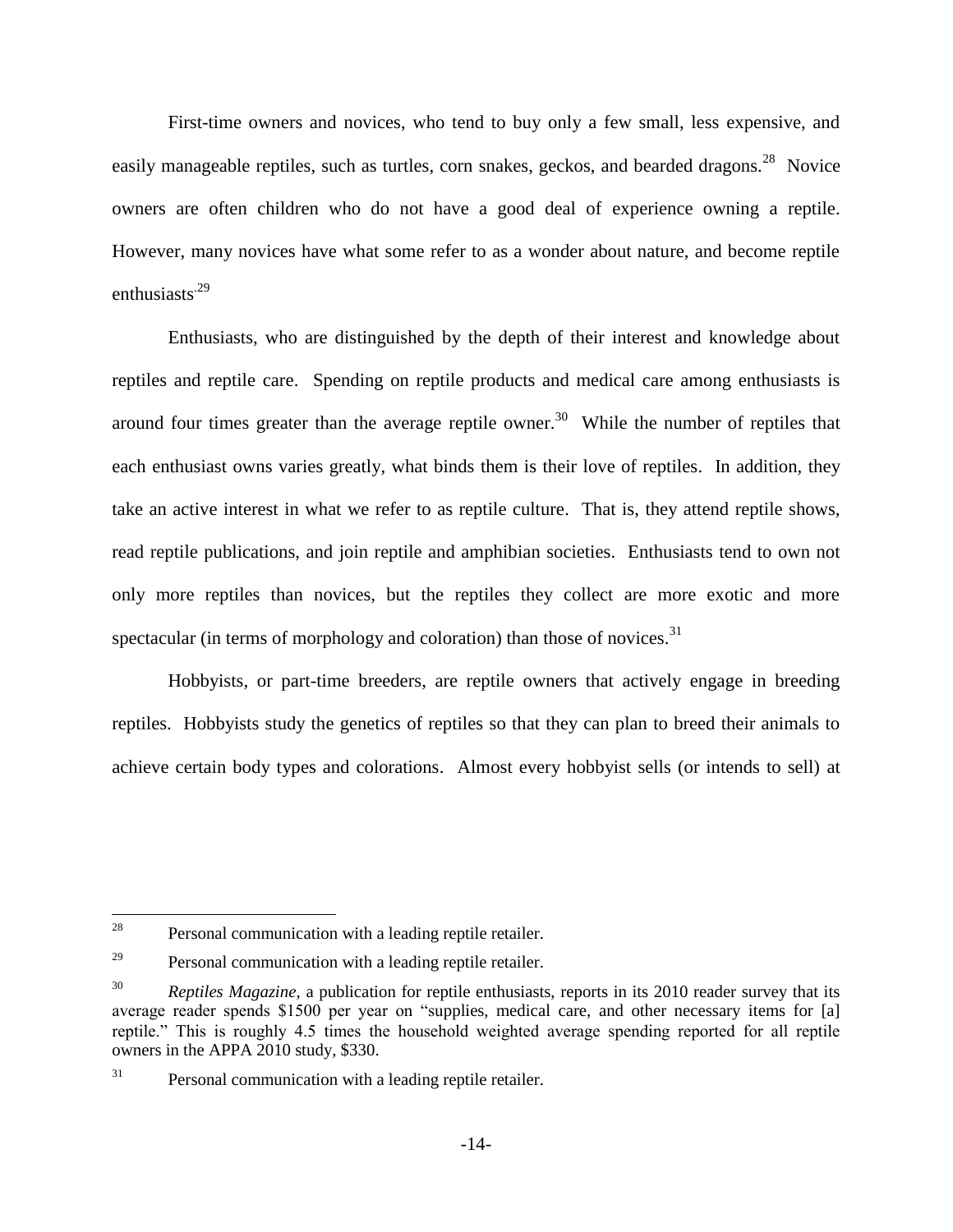First-time owners and novices, who tend to buy only a few small, less expensive, and easily manageable reptiles, such as turtles, corn snakes, geckos, and bearded dragons.<sup>28</sup> Novice owners are often children who do not have a good deal of experience owning a reptile. However, many novices have what some refer to as a wonder about nature, and become reptile enthusiasts<sup>.29</sup>

Enthusiasts, who are distinguished by the depth of their interest and knowledge about reptiles and reptile care. Spending on reptile products and medical care among enthusiasts is around four times greater than the average reptile owner.<sup>30</sup> While the number of reptiles that each enthusiast owns varies greatly, what binds them is their love of reptiles. In addition, they take an active interest in what we refer to as reptile culture. That is, they attend reptile shows, read reptile publications, and join reptile and amphibian societies. Enthusiasts tend to own not only more reptiles than novices, but the reptiles they collect are more exotic and more spectacular (in terms of morphology and coloration) than those of novices. $31$ 

Hobbyists, or part-time breeders, are reptile owners that actively engage in breeding reptiles. Hobbyists study the genetics of reptiles so that they can plan to breed their animals to achieve certain body types and colorations. Almost every hobbyist sells (or intends to sell) at

<sup>28</sup> Personal communication with a leading reptile retailer.

 $29$  Personal communication with a leading reptile retailer.

<sup>30</sup> *Reptiles Magazine*, a publication for reptile enthusiasts, reports in its 2010 reader survey that its average reader spends \$1500 per year on "supplies, medical care, and other necessary items for [a] reptile." This is roughly 4.5 times the household weighted average spending reported for all reptile owners in the APPA 2010 study, \$330.

<sup>&</sup>lt;sup>31</sup> Personal communication with a leading reptile retailer.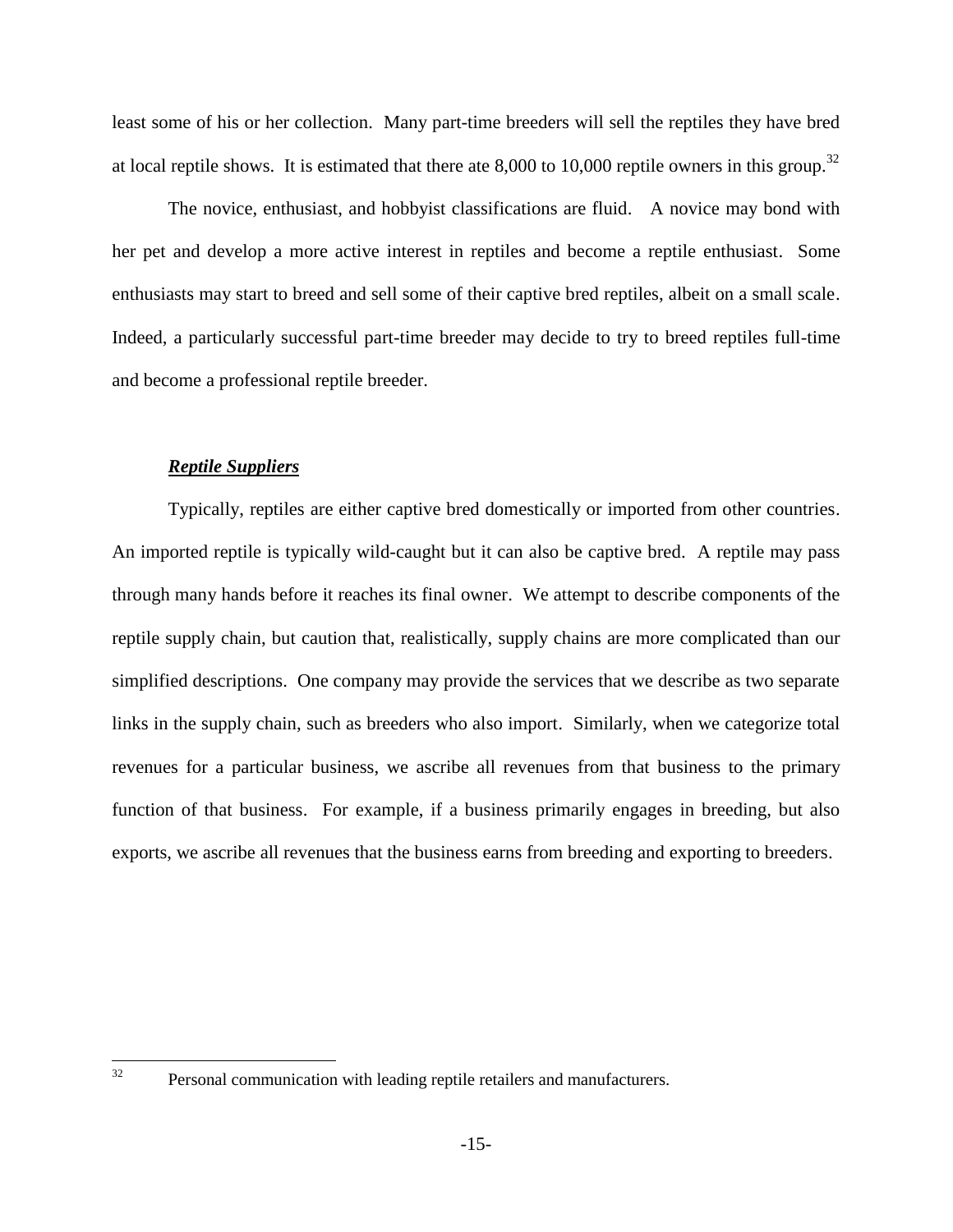least some of his or her collection. Many part-time breeders will sell the reptiles they have bred at local reptile shows. It is estimated that there ate 8,000 to 10,000 reptile owners in this group.<sup>32</sup>

The novice, enthusiast, and hobbyist classifications are fluid. A novice may bond with her pet and develop a more active interest in reptiles and become a reptile enthusiast. Some enthusiasts may start to breed and sell some of their captive bred reptiles, albeit on a small scale. Indeed, a particularly successful part-time breeder may decide to try to breed reptiles full-time and become a professional reptile breeder.

#### *Reptile Suppliers*

Typically, reptiles are either captive bred domestically or imported from other countries. An imported reptile is typically wild-caught but it can also be captive bred. A reptile may pass through many hands before it reaches its final owner. We attempt to describe components of the reptile supply chain, but caution that, realistically, supply chains are more complicated than our simplified descriptions. One company may provide the services that we describe as two separate links in the supply chain, such as breeders who also import. Similarly, when we categorize total revenues for a particular business, we ascribe all revenues from that business to the primary function of that business. For example, if a business primarily engages in breeding, but also exports, we ascribe all revenues that the business earns from breeding and exporting to breeders.

 $32$ 

Personal communication with leading reptile retailers and manufacturers.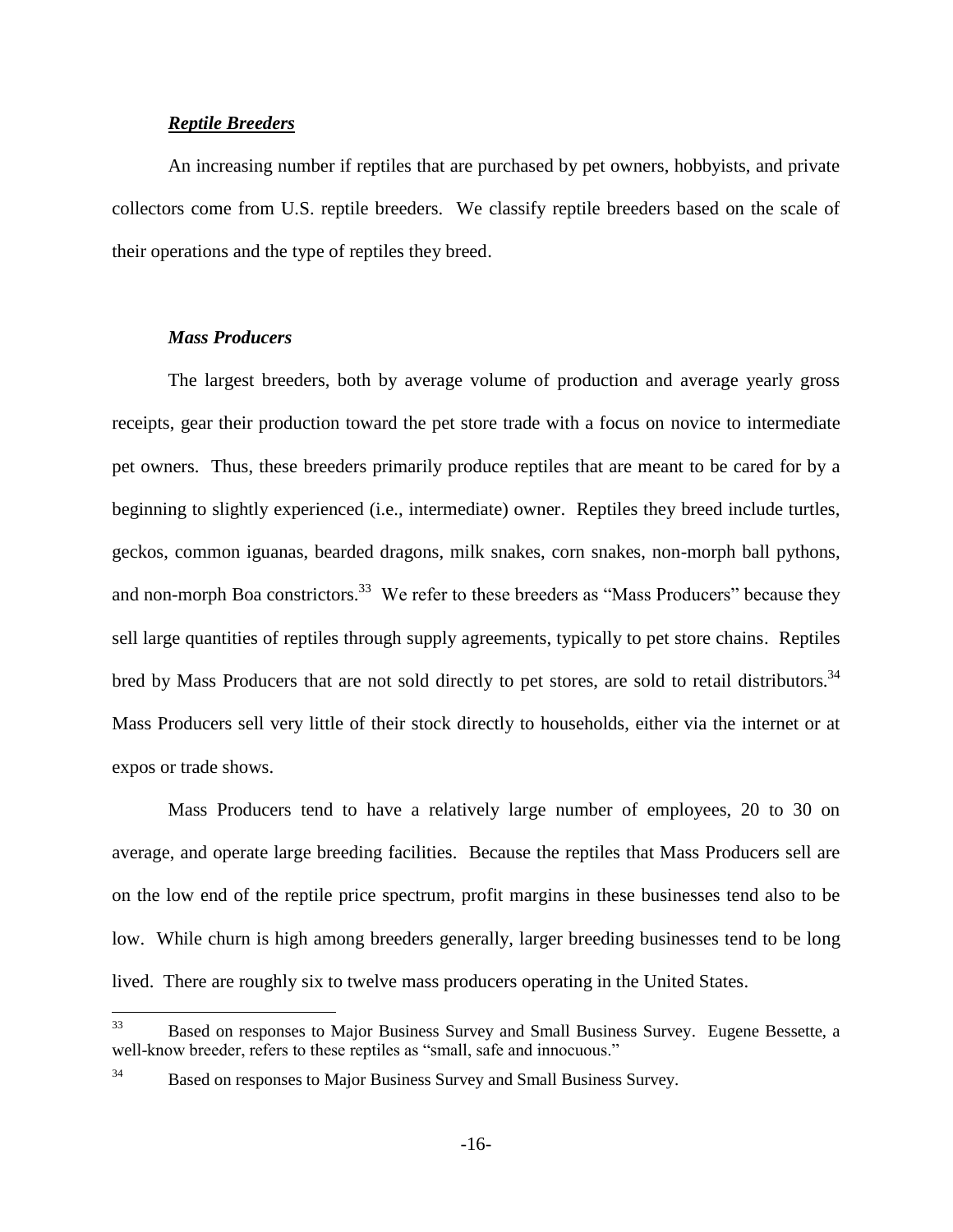#### *Reptile Breeders*

An increasing number if reptiles that are purchased by pet owners, hobbyists, and private collectors come from U.S. reptile breeders. We classify reptile breeders based on the scale of their operations and the type of reptiles they breed.

#### *Mass Producers*

The largest breeders, both by average volume of production and average yearly gross receipts, gear their production toward the pet store trade with a focus on novice to intermediate pet owners. Thus, these breeders primarily produce reptiles that are meant to be cared for by a beginning to slightly experienced (i.e., intermediate) owner. Reptiles they breed include turtles, geckos, common iguanas, bearded dragons, milk snakes, corn snakes, non-morph ball pythons, and non-morph Boa constrictors.<sup>33</sup> We refer to these breeders as "Mass Producers" because they sell large quantities of reptiles through supply agreements, typically to pet store chains. Reptiles bred by Mass Producers that are not sold directly to pet stores, are sold to retail distributors.<sup>34</sup> Mass Producers sell very little of their stock directly to households, either via the internet or at expos or trade shows.

Mass Producers tend to have a relatively large number of employees, 20 to 30 on average, and operate large breeding facilities. Because the reptiles that Mass Producers sell are on the low end of the reptile price spectrum, profit margins in these businesses tend also to be low. While churn is high among breeders generally, larger breeding businesses tend to be long lived. There are roughly six to twelve mass producers operating in the United States.

<sup>33</sup> Based on responses to Major Business Survey and Small Business Survey. Eugene Bessette, a well-know breeder, refers to these reptiles as "small, safe and innocuous."

<sup>&</sup>lt;sup>34</sup> Based on responses to Major Business Survey and Small Business Survey.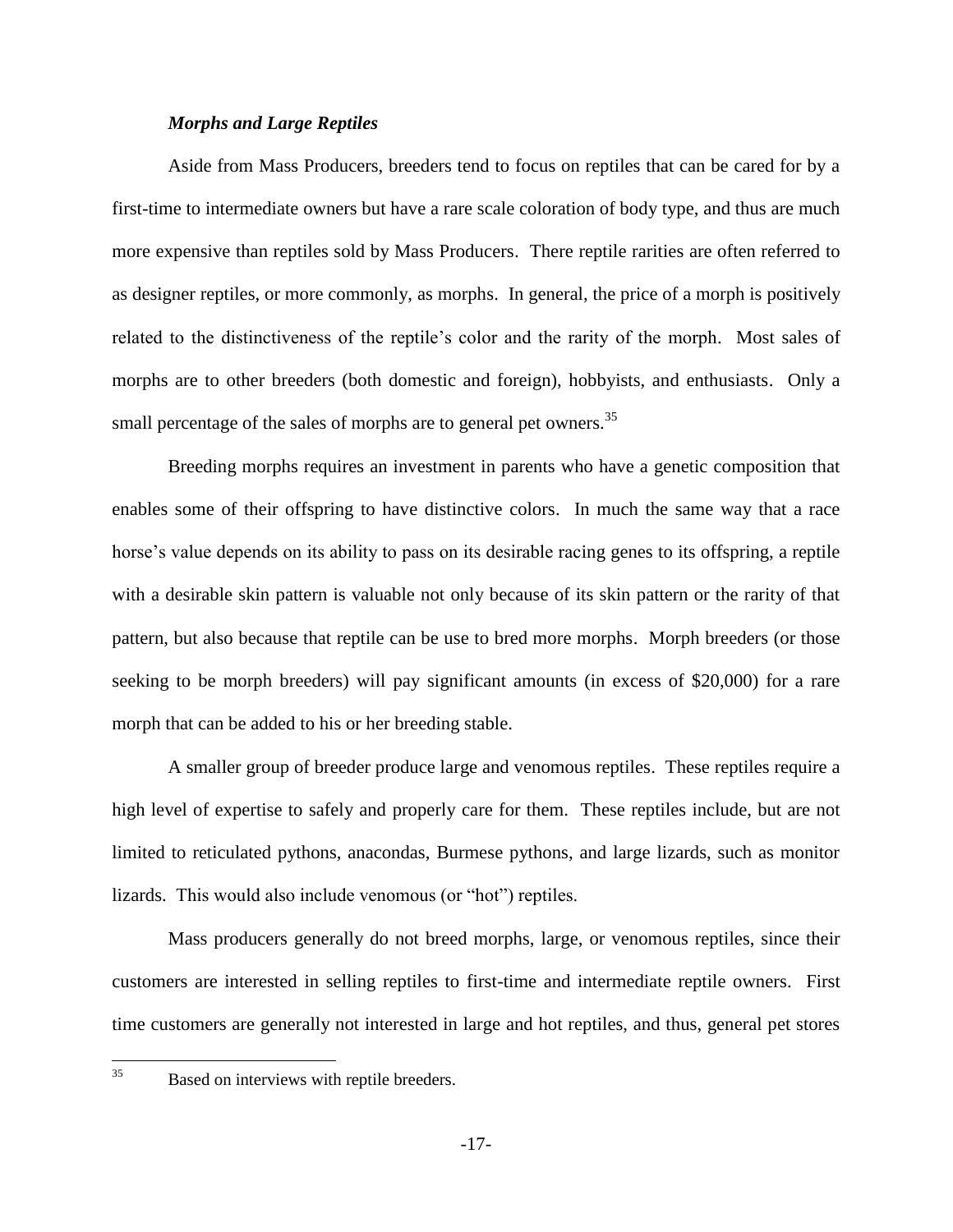#### *Morphs and Large Reptiles*

Aside from Mass Producers, breeders tend to focus on reptiles that can be cared for by a first-time to intermediate owners but have a rare scale coloration of body type, and thus are much more expensive than reptiles sold by Mass Producers. There reptile rarities are often referred to as designer reptiles, or more commonly, as morphs. In general, the price of a morph is positively related to the distinctiveness of the reptile's color and the rarity of the morph. Most sales of morphs are to other breeders (both domestic and foreign), hobbyists, and enthusiasts. Only a small percentage of the sales of morphs are to general pet owners.<sup>35</sup>

Breeding morphs requires an investment in parents who have a genetic composition that enables some of their offspring to have distinctive colors. In much the same way that a race horse's value depends on its ability to pass on its desirable racing genes to its offspring, a reptile with a desirable skin pattern is valuable not only because of its skin pattern or the rarity of that pattern, but also because that reptile can be use to bred more morphs. Morph breeders (or those seeking to be morph breeders) will pay significant amounts (in excess of \$20,000) for a rare morph that can be added to his or her breeding stable.

A smaller group of breeder produce large and venomous reptiles. These reptiles require a high level of expertise to safely and properly care for them. These reptiles include, but are not limited to reticulated pythons, anacondas, Burmese pythons, and large lizards, such as monitor lizards. This would also include venomous (or "hot") reptiles.

Mass producers generally do not breed morphs, large, or venomous reptiles, since their customers are interested in selling reptiles to first-time and intermediate reptile owners. First time customers are generally not interested in large and hot reptiles, and thus, general pet stores

 $35$ 

Based on interviews with reptile breeders.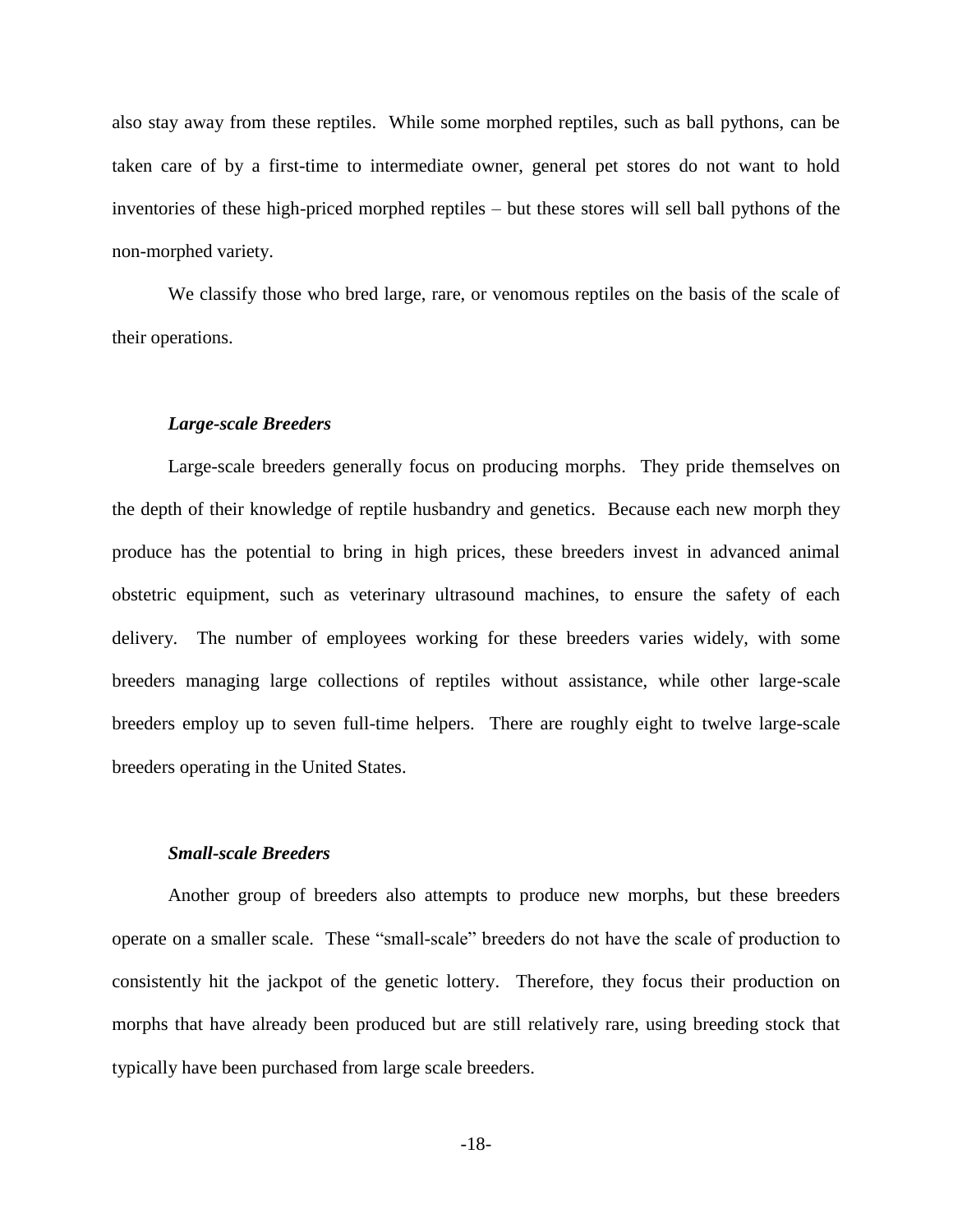also stay away from these reptiles. While some morphed reptiles, such as ball pythons, can be taken care of by a first-time to intermediate owner, general pet stores do not want to hold inventories of these high-priced morphed reptiles – but these stores will sell ball pythons of the non-morphed variety.

We classify those who bred large, rare, or venomous reptiles on the basis of the scale of their operations.

#### *Large-scale Breeders*

Large-scale breeders generally focus on producing morphs. They pride themselves on the depth of their knowledge of reptile husbandry and genetics. Because each new morph they produce has the potential to bring in high prices, these breeders invest in advanced animal obstetric equipment, such as veterinary ultrasound machines, to ensure the safety of each delivery. The number of employees working for these breeders varies widely, with some breeders managing large collections of reptiles without assistance, while other large-scale breeders employ up to seven full-time helpers. There are roughly eight to twelve large-scale breeders operating in the United States.

#### *Small-scale Breeders*

Another group of breeders also attempts to produce new morphs, but these breeders operate on a smaller scale. These "small-scale" breeders do not have the scale of production to consistently hit the jackpot of the genetic lottery. Therefore, they focus their production on morphs that have already been produced but are still relatively rare, using breeding stock that typically have been purchased from large scale breeders.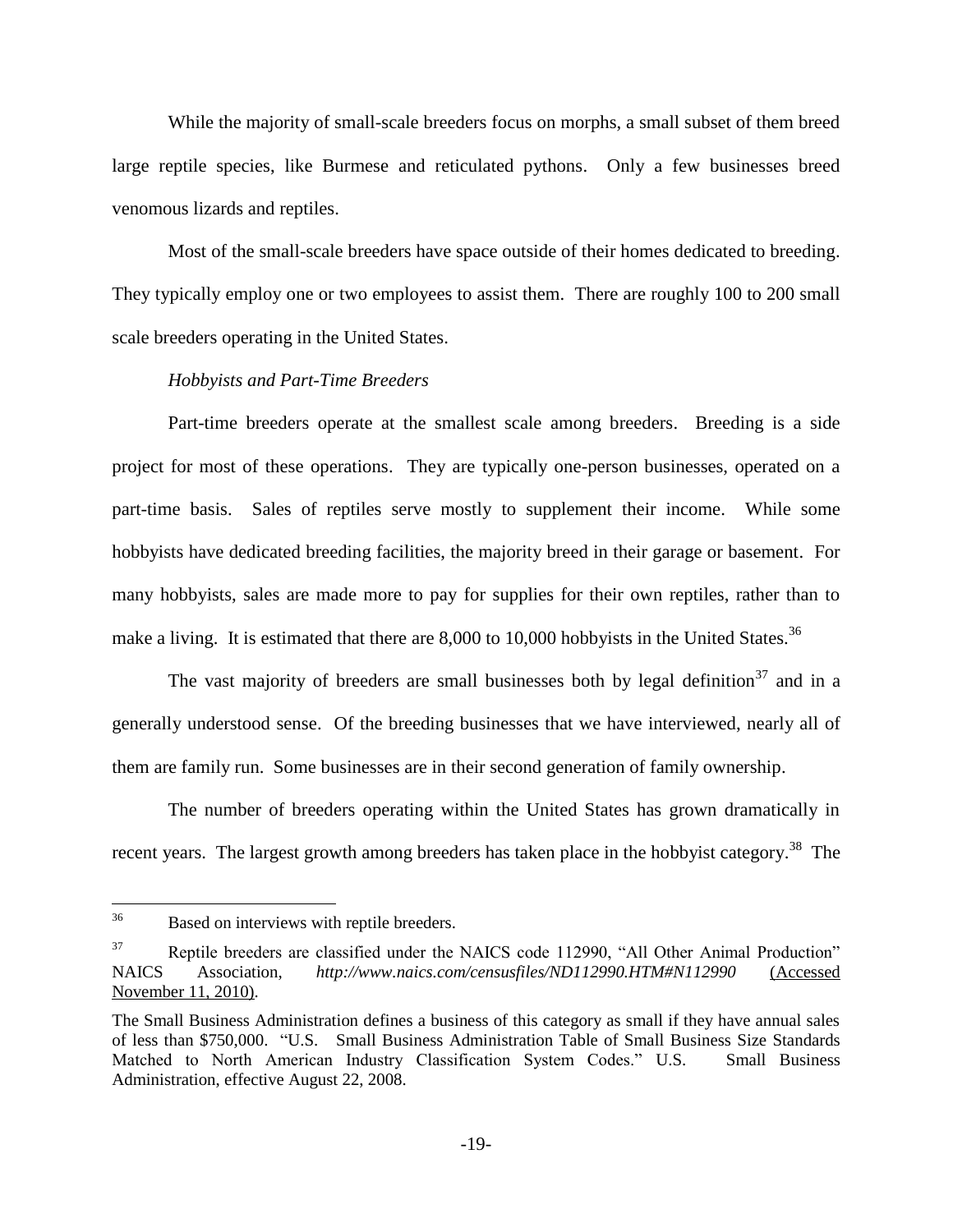While the majority of small-scale breeders focus on morphs, a small subset of them breed large reptile species, like Burmese and reticulated pythons. Only a few businesses breed venomous lizards and reptiles.

Most of the small-scale breeders have space outside of their homes dedicated to breeding. They typically employ one or two employees to assist them. There are roughly 100 to 200 small scale breeders operating in the United States.

#### *Hobbyists and Part-Time Breeders*

Part-time breeders operate at the smallest scale among breeders. Breeding is a side project for most of these operations. They are typically one-person businesses, operated on a part-time basis. Sales of reptiles serve mostly to supplement their income. While some hobbyists have dedicated breeding facilities, the majority breed in their garage or basement. For many hobbyists, sales are made more to pay for supplies for their own reptiles, rather than to make a living. It is estimated that there are  $8,000$  to 10,000 hobbyists in the United States.<sup>36</sup>

The vast majority of breeders are small businesses both by legal definition<sup>37</sup> and in a generally understood sense. Of the breeding businesses that we have interviewed, nearly all of them are family run. Some businesses are in their second generation of family ownership.

The number of breeders operating within the United States has grown dramatically in recent years. The largest growth among breeders has taken place in the hobbyist category.<sup>38</sup> The

<sup>36</sup> Based on interviews with reptile breeders.

<sup>&</sup>lt;sup>37</sup> Reptile breeders are classified under the NAICS code 112990, "All Other Animal Production" NAICS Association, *http://www.naics.com/censusfiles/ND112990.HTM#N112990* (Accessed November 11, 2010).

The Small Business Administration defines a business of this category as small if they have annual sales of less than \$750,000. "U.S. Small Business Administration Table of Small Business Size Standards Matched to North American Industry Classification System Codes." U.S. Small Business Administration, effective August 22, 2008.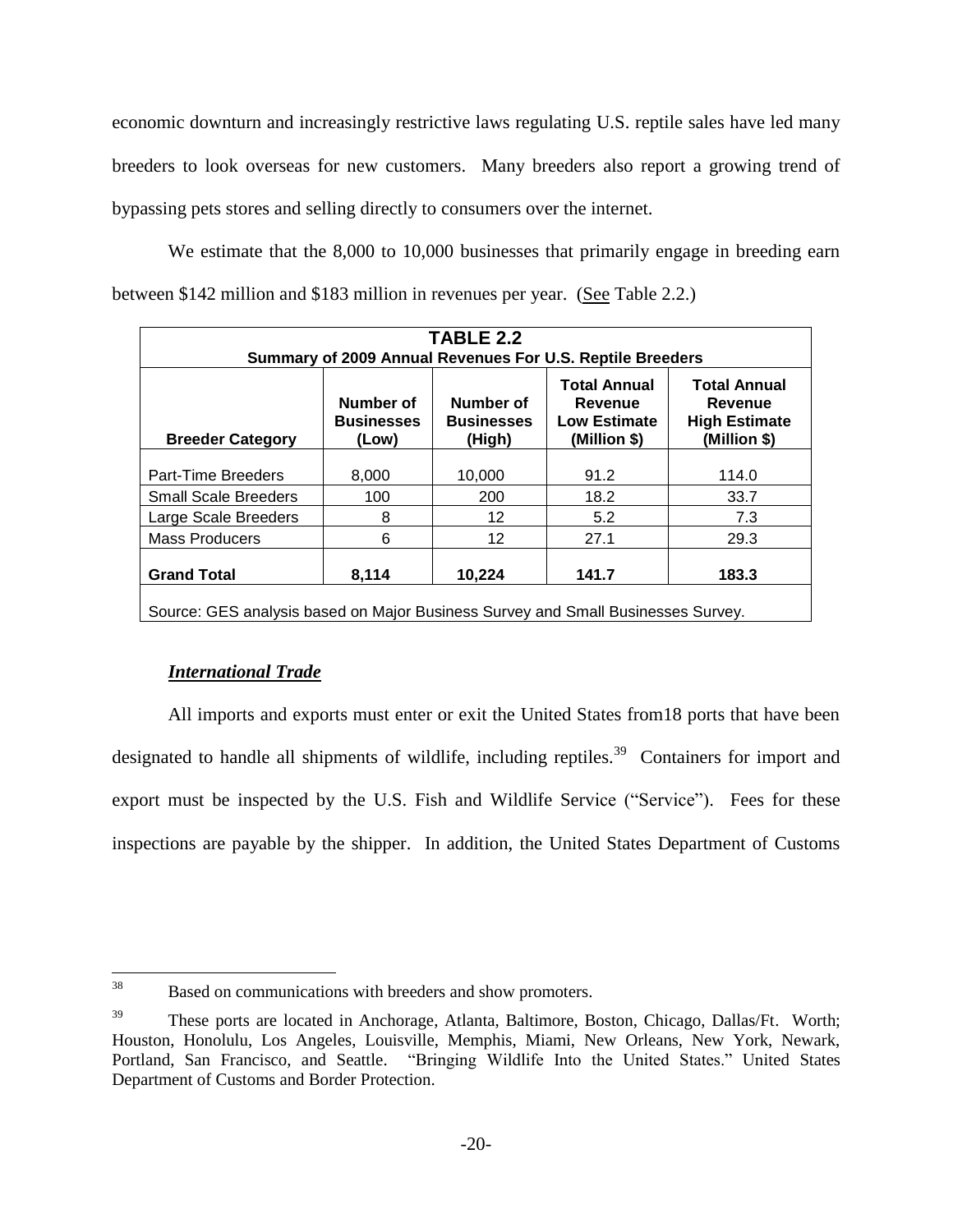economic downturn and increasingly restrictive laws regulating U.S. reptile sales have led many breeders to look overseas for new customers. Many breeders also report a growing trend of bypassing pets stores and selling directly to consumers over the internet.

We estimate that the 8,000 to 10,000 businesses that primarily engage in breeding earn between \$142 million and \$183 million in revenues per year. (See Table 2.2.)

| TABLE 2.2<br>Summary of 2009 Annual Revenues For U.S. Reptile Breeders                                                                                                                                                                                            |       |        |      |       |  |  |
|-------------------------------------------------------------------------------------------------------------------------------------------------------------------------------------------------------------------------------------------------------------------|-------|--------|------|-------|--|--|
| <b>Total Annual</b><br><b>Total Annual</b><br>Number of<br>Number of<br>Revenue<br>Revenue<br><b>Businesses</b><br><b>Low Estimate</b><br><b>Businesses</b><br><b>High Estimate</b><br>(Million \$)<br>(High)<br>(Million \$)<br><b>Breeder Category</b><br>(Low) |       |        |      |       |  |  |
| Part-Time Breeders                                                                                                                                                                                                                                                | 8,000 | 10,000 | 91.2 | 114.0 |  |  |
| <b>Small Scale Breeders</b>                                                                                                                                                                                                                                       | 100   | 200    | 18.2 | 33.7  |  |  |
| Large Scale Breeders                                                                                                                                                                                                                                              | 8     | 12     | 5.2  | 7.3   |  |  |
| <b>Mass Producers</b>                                                                                                                                                                                                                                             | 6     | 12     | 27.1 | 29.3  |  |  |
| 141.7<br>183.3<br><b>Grand Total</b><br>10,224<br>8,114                                                                                                                                                                                                           |       |        |      |       |  |  |
| Source: GES analysis based on Major Business Survey and Small Businesses Survey.                                                                                                                                                                                  |       |        |      |       |  |  |

### *International Trade*

All imports and exports must enter or exit the United States from18 ports that have been designated to handle all shipments of wildlife, including reptiles.<sup>39</sup> Containers for import and export must be inspected by the U.S. Fish and Wildlife Service ("Service"). Fees for these inspections are payable by the shipper. In addition, the United States Department of Customs

<sup>38</sup> Based on communications with breeders and show promoters.

<sup>&</sup>lt;sup>39</sup> These ports are located in Anchorage, Atlanta, Baltimore, Boston, Chicago, Dallas/Ft. Worth; Houston, Honolulu, Los Angeles, Louisville, Memphis, Miami, New Orleans, New York, Newark, Portland, San Francisco, and Seattle. "Bringing Wildlife Into the United States." United States Department of Customs and Border Protection.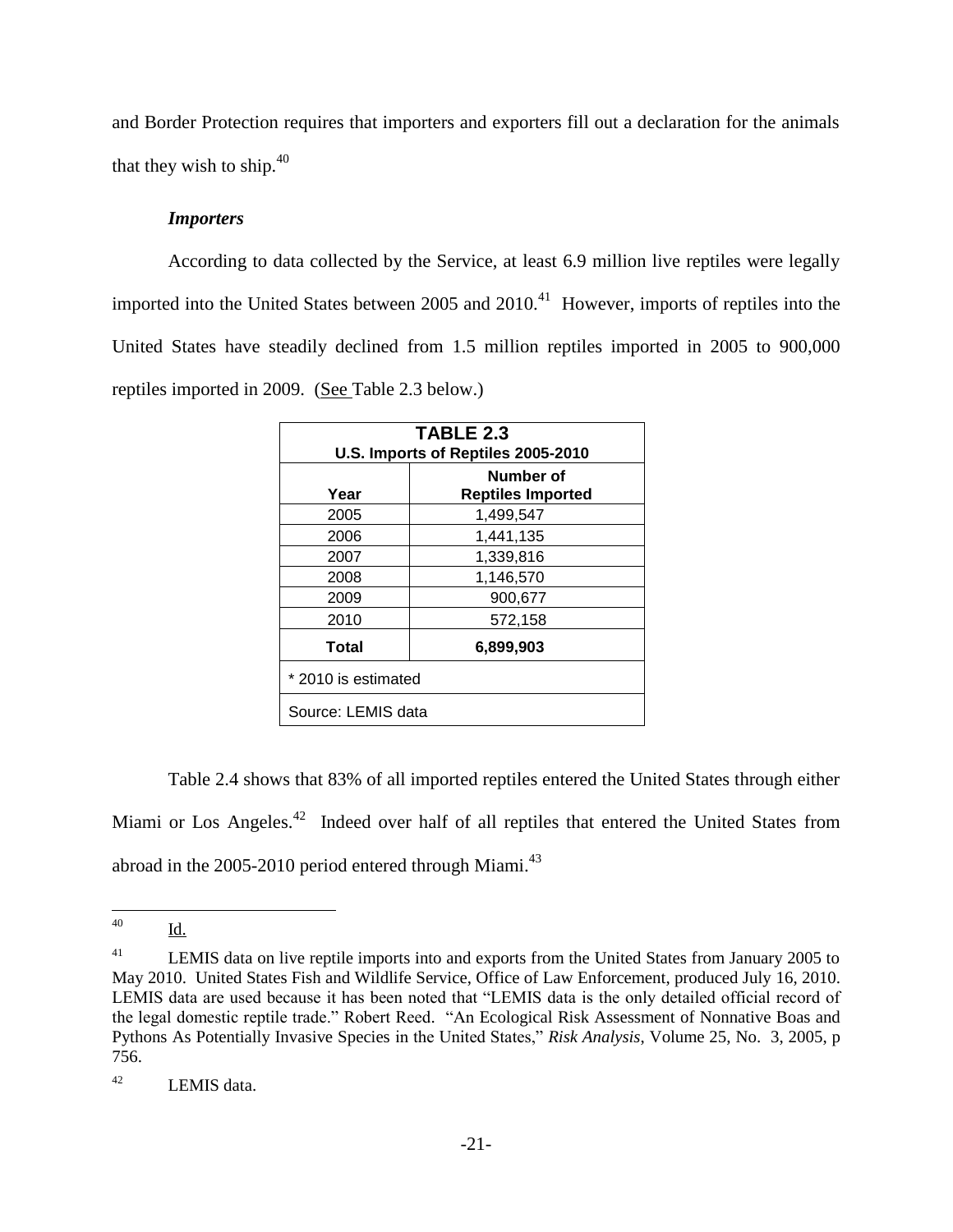and Border Protection requires that importers and exporters fill out a declaration for the animals that they wish to ship.<sup>40</sup>

#### *Importers*

According to data collected by the Service, at least 6.9 million live reptiles were legally imported into the United States between  $2005$  and  $2010<sup>41</sup>$  However, imports of reptiles into the United States have steadily declined from 1.5 million reptiles imported in 2005 to 900,000 reptiles imported in 2009. (See Table 2.3 below.)

| TABLE 2.3<br>U.S. Imports of Reptiles 2005-2010 |           |  |  |  |
|-------------------------------------------------|-----------|--|--|--|
| Number of<br><b>Reptiles Imported</b><br>Year   |           |  |  |  |
| 2005                                            | 1,499,547 |  |  |  |
| 2006<br>1,441,135                               |           |  |  |  |
| 2007<br>1,339,816                               |           |  |  |  |
| 2008                                            | 1,146,570 |  |  |  |
| 2009                                            | 900,677   |  |  |  |
| 2010                                            | 572,158   |  |  |  |
| Total<br>6,899,903                              |           |  |  |  |
| * 2010 is estimated                             |           |  |  |  |
| Source: LEMIS data                              |           |  |  |  |

Table 2.4 shows that 83% of all imported reptiles entered the United States through either Miami or Los Angeles.<sup>42</sup> Indeed over half of all reptiles that entered the United States from abroad in the  $2005-2010$  period entered through Miami.<sup>43</sup>

<sup>40</sup> <u>Id.</u>

<sup>&</sup>lt;sup>41</sup> LEMIS data on live reptile imports into and exports from the United States from January 2005 to May 2010. United States Fish and Wildlife Service, Office of Law Enforcement, produced July 16, 2010. LEMIS data are used because it has been noted that "LEMIS data is the only detailed official record of the legal domestic reptile trade." Robert Reed. "An Ecological Risk Assessment of Nonnative Boas and Pythons As Potentially Invasive Species in the United States," *Risk Analysis*, Volume 25, No. 3, 2005, p 756.

<sup>42</sup> LEMIS data.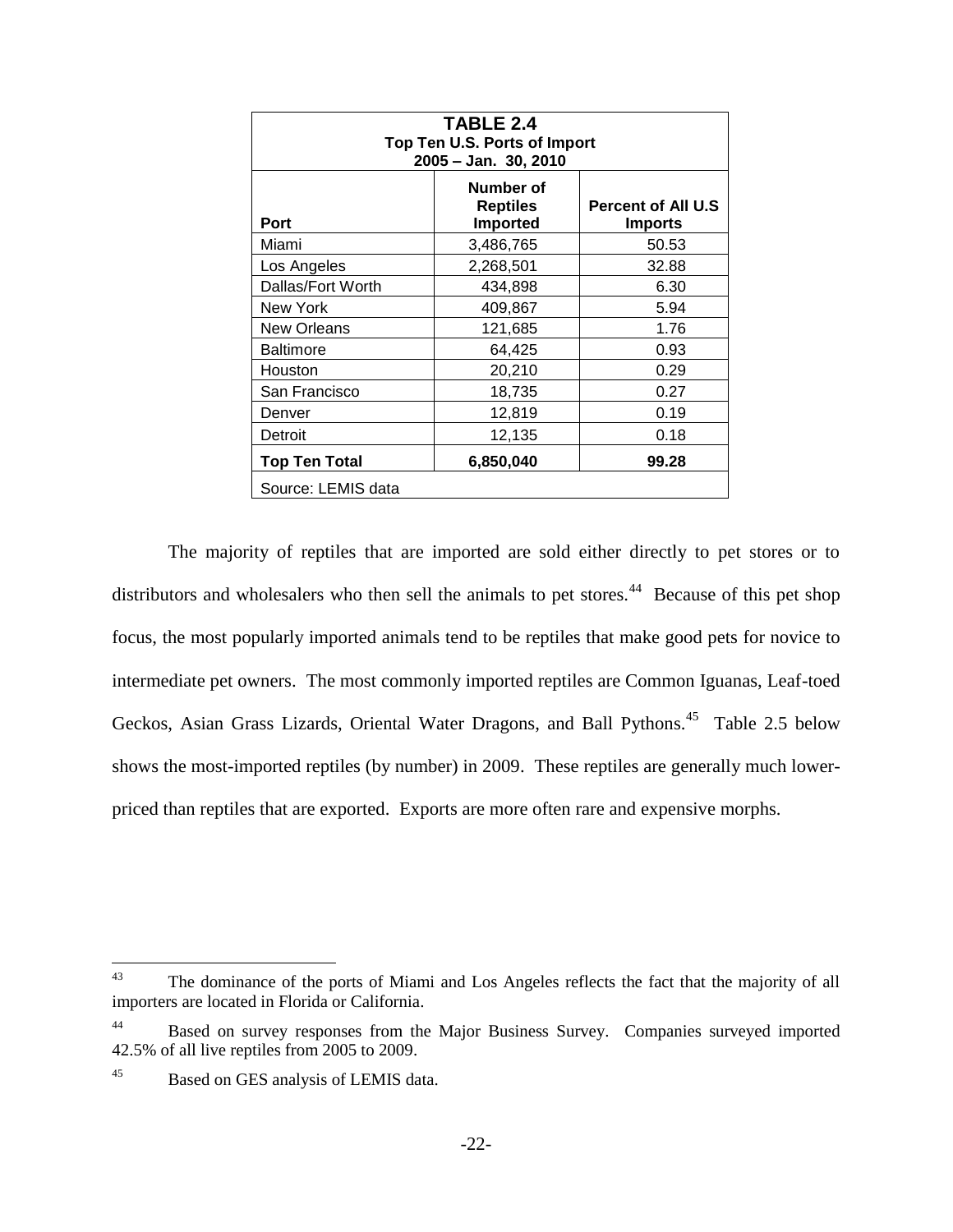| TABLE 2.4<br>Top Ten U.S. Ports of Import<br>2005 - Jan. 30, 2010                                      |                    |       |  |  |  |
|--------------------------------------------------------------------------------------------------------|--------------------|-------|--|--|--|
| Number of<br><b>Percent of All U.S</b><br><b>Reptiles</b><br>Port<br><b>Imported</b><br><b>Imports</b> |                    |       |  |  |  |
| Miami                                                                                                  | 3,486,765          | 50.53 |  |  |  |
| Los Angeles                                                                                            | 2,268,501<br>32.88 |       |  |  |  |
| Dallas/Fort Worth<br>6.30<br>434,898                                                                   |                    |       |  |  |  |
| New York                                                                                               | 409,867            | 5.94  |  |  |  |
| 1.76<br>New Orleans<br>121,685                                                                         |                    |       |  |  |  |
| <b>Baltimore</b>                                                                                       | 64,425             | 0.93  |  |  |  |
| Houston                                                                                                | 20,210             | 0.29  |  |  |  |
| San Francisco                                                                                          | 0.27<br>18,735     |       |  |  |  |
| 12,819<br>0.19<br>Denver                                                                               |                    |       |  |  |  |
| 12,135<br>0.18<br>Detroit                                                                              |                    |       |  |  |  |
| 6,850,040<br>99.28<br><b>Top Ten Total</b>                                                             |                    |       |  |  |  |
| Source: LEMIS data                                                                                     |                    |       |  |  |  |

The majority of reptiles that are imported are sold either directly to pet stores or to distributors and wholesalers who then sell the animals to pet stores.<sup>44</sup> Because of this pet shop focus, the most popularly imported animals tend to be reptiles that make good pets for novice to intermediate pet owners. The most commonly imported reptiles are Common Iguanas, Leaf-toed Geckos, Asian Grass Lizards, Oriental Water Dragons, and Ball Pythons.<sup>45</sup> Table 2.5 below shows the most-imported reptiles (by number) in 2009. These reptiles are generally much lowerpriced than reptiles that are exported. Exports are more often rare and expensive morphs.

<sup>43</sup> The dominance of the ports of Miami and Los Angeles reflects the fact that the majority of all importers are located in Florida or California.

<sup>&</sup>lt;sup>44</sup> Based on survey responses from the Major Business Survey. Companies surveyed imported 42.5% of all live reptiles from 2005 to 2009.

<sup>45</sup> Based on GES analysis of LEMIS data.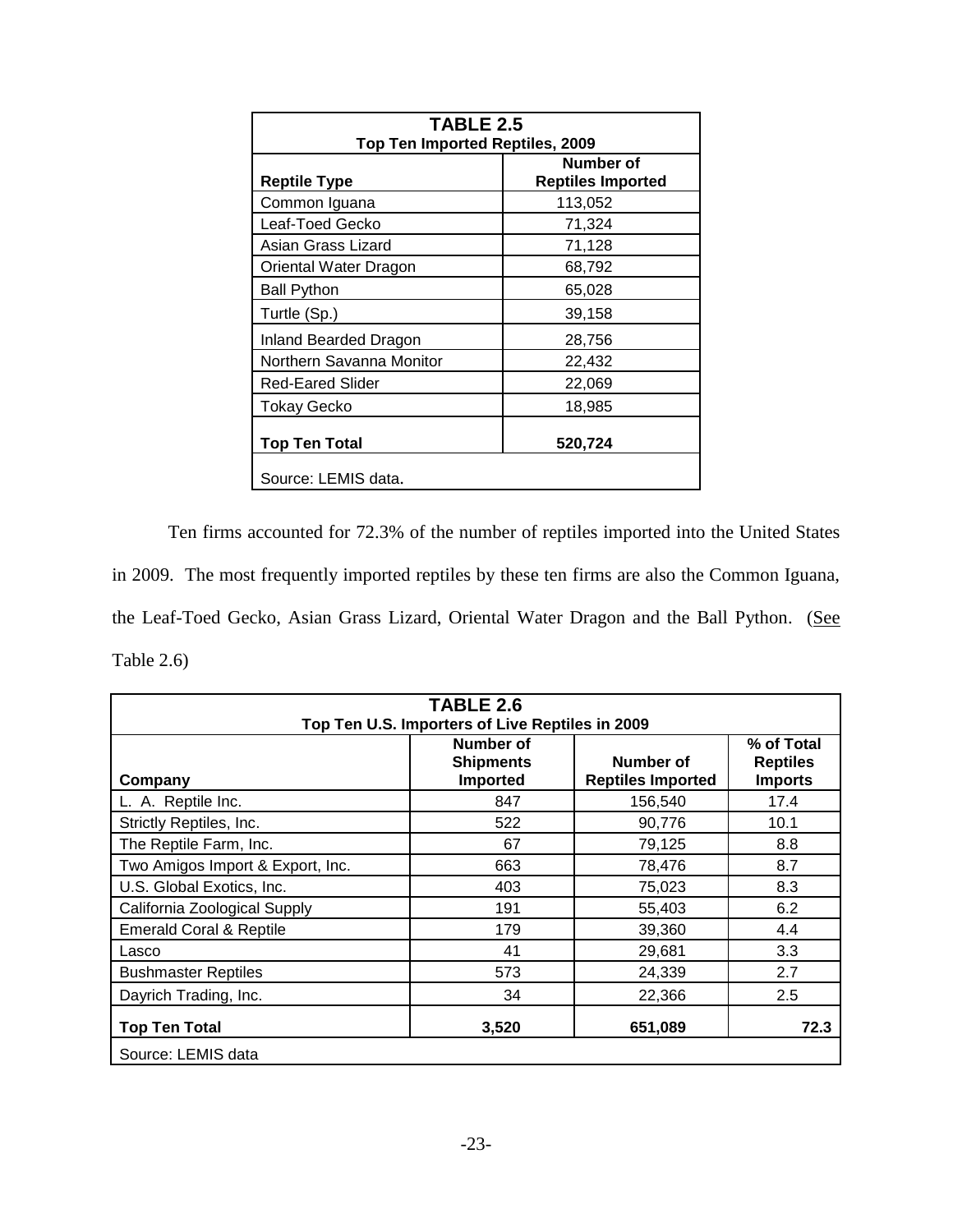| <b>TABLE 2.5</b>                |                          |  |  |  |
|---------------------------------|--------------------------|--|--|--|
| Top Ten Imported Reptiles, 2009 |                          |  |  |  |
|                                 | Number of                |  |  |  |
| <b>Reptile Type</b>             | <b>Reptiles Imported</b> |  |  |  |
| Common Iguana                   | 113,052                  |  |  |  |
| Leaf-Toed Gecko                 | 71,324                   |  |  |  |
| Asian Grass Lizard              | 71,128                   |  |  |  |
| Oriental Water Dragon           | 68,792                   |  |  |  |
| <b>Ball Python</b>              | 65,028                   |  |  |  |
| Turtle (Sp.)                    | 39,158                   |  |  |  |
| Inland Bearded Dragon           | 28,756                   |  |  |  |
| Northern Savanna Monitor        | 22,432                   |  |  |  |
| <b>Red-Eared Slider</b>         | 22,069                   |  |  |  |
| <b>Tokay Gecko</b>              | 18,985                   |  |  |  |
| 520,724<br><b>Top Ten Total</b> |                          |  |  |  |
| Source: LEMIS data.             |                          |  |  |  |

Ten firms accounted for 72.3% of the number of reptiles imported into the United States in 2009. The most frequently imported reptiles by these ten firms are also the Common Iguana, the Leaf-Toed Gecko, Asian Grass Lizard, Oriental Water Dragon and the Ball Python. (See Table 2.6)

| TABLE 2.6                                       |                                           |                                       |                                                 |  |  |
|-------------------------------------------------|-------------------------------------------|---------------------------------------|-------------------------------------------------|--|--|
| Top Ten U.S. Importers of Live Reptiles in 2009 |                                           |                                       |                                                 |  |  |
| Company                                         | Number of<br><b>Shipments</b><br>Imported | Number of<br><b>Reptiles Imported</b> | % of Total<br><b>Reptiles</b><br><b>Imports</b> |  |  |
| L. A. Reptile Inc.                              | 847                                       | 156,540                               | 17.4                                            |  |  |
| Strictly Reptiles, Inc.                         | 522                                       | 90,776                                | 10.1                                            |  |  |
| The Reptile Farm, Inc.                          | 67                                        | 79,125                                | 8.8                                             |  |  |
| Two Amigos Import & Export, Inc.                | 663                                       | 78,476                                | 8.7                                             |  |  |
| U.S. Global Exotics, Inc.                       | 403                                       | 75,023                                | 8.3                                             |  |  |
| California Zoological Supply                    | 191                                       | 55,403                                | 6.2                                             |  |  |
| <b>Emerald Coral &amp; Reptile</b>              | 179                                       | 39,360                                | 4.4                                             |  |  |
| Lasco                                           | 41                                        | 29,681                                | 3.3                                             |  |  |
| <b>Bushmaster Reptiles</b>                      | 573                                       | 24,339                                | 2.7                                             |  |  |
| Dayrich Trading, Inc.                           | 34                                        | 22,366                                | 2.5                                             |  |  |
| <b>Top Ten Total</b>                            | 3,520                                     | 651,089                               | 72.3                                            |  |  |
| Source: LEMIS data                              |                                           |                                       |                                                 |  |  |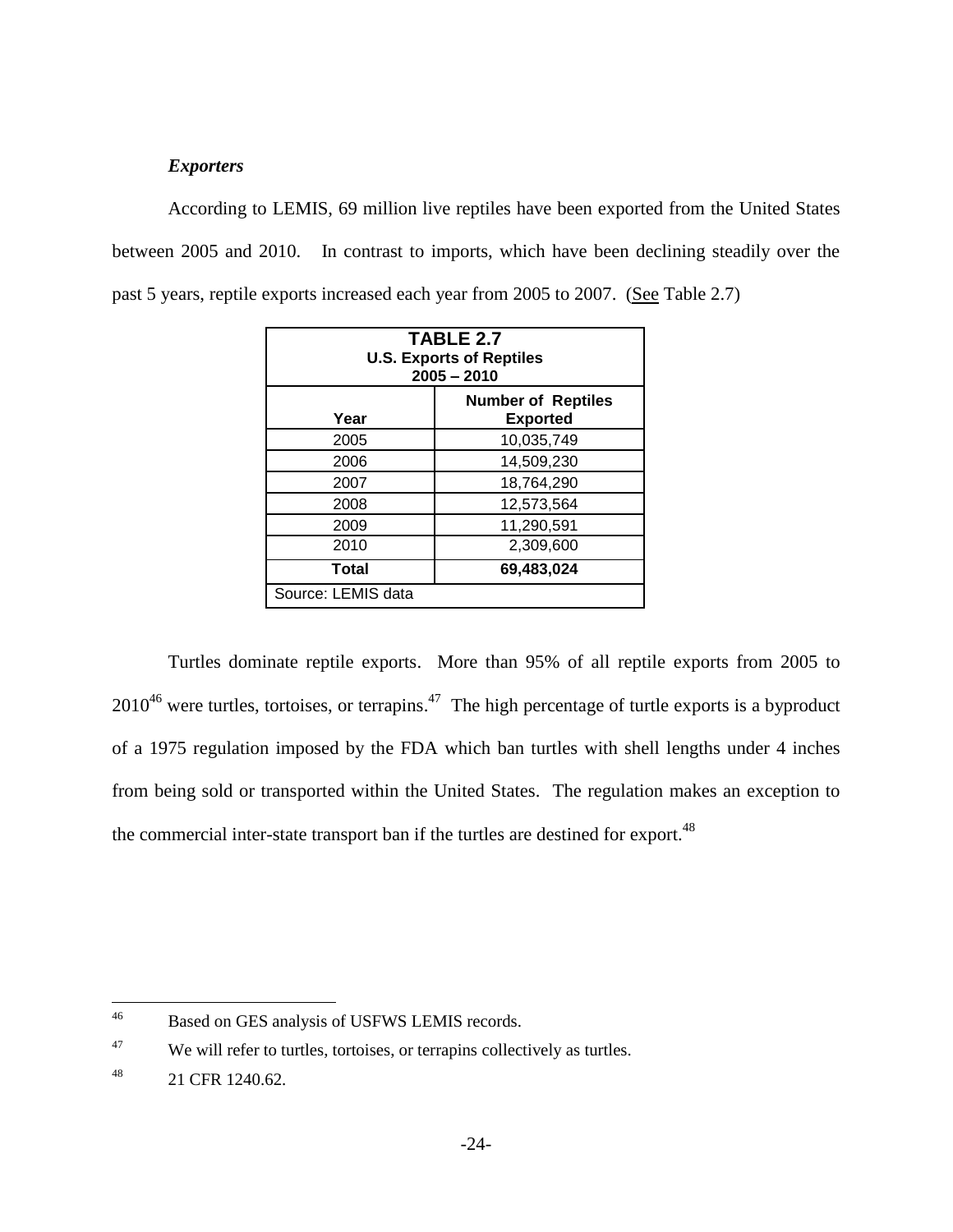#### *Exporters*

According to LEMIS, 69 million live reptiles have been exported from the United States between 2005 and 2010. In contrast to imports, which have been declining steadily over the past 5 years, reptile exports increased each year from 2005 to 2007. (See Table 2.7)

| TABLE 2.7<br><b>U.S. Exports of Reptiles</b><br>$2005 - 2010$ |            |  |  |
|---------------------------------------------------------------|------------|--|--|
| <b>Number of Reptiles</b><br><b>Exported</b><br>Year          |            |  |  |
| 2005                                                          | 10,035,749 |  |  |
| 2006                                                          | 14,509,230 |  |  |
| 2007                                                          | 18,764,290 |  |  |
| 2008                                                          | 12,573,564 |  |  |
| 2009                                                          | 11,290,591 |  |  |
| 2010                                                          | 2,309,600  |  |  |
| 69,483,024<br>Total                                           |            |  |  |
| Source: LEMIS data                                            |            |  |  |

Turtles dominate reptile exports. More than 95% of all reptile exports from 2005 to  $2010^{46}$  were turtles, tortoises, or terrapins.<sup>47</sup> The high percentage of turtle exports is a byproduct of a 1975 regulation imposed by the FDA which ban turtles with shell lengths under 4 inches from being sold or transported within the United States. The regulation makes an exception to the commercial inter-state transport ban if the turtles are destined for export.<sup>48</sup>

 $46\,$ Based on GES analysis of USFWS LEMIS records.

 $47$  We will refer to turtles, tortoises, or terrapins collectively as turtles.

<sup>48</sup> 21 CFR 1240.62.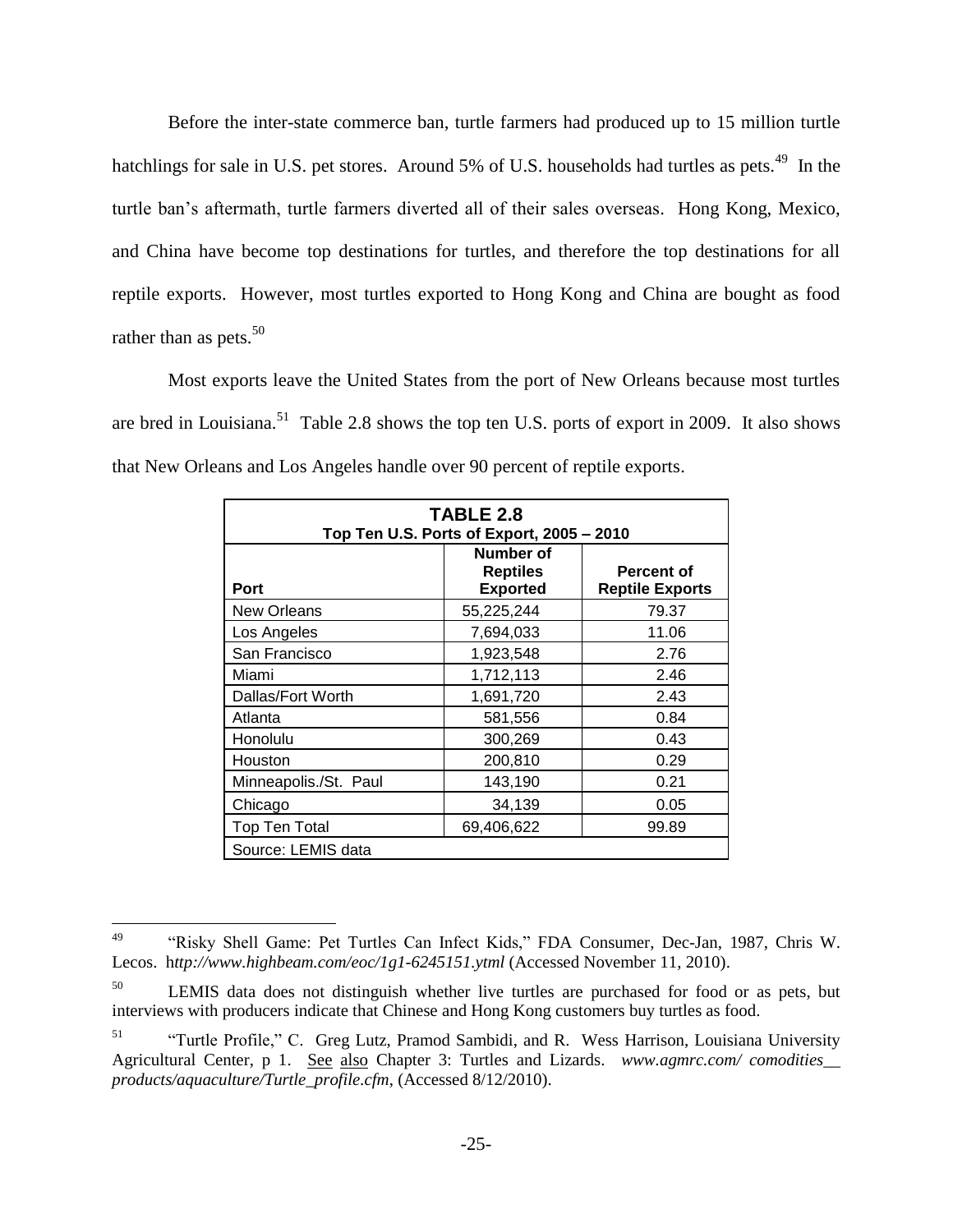Before the inter-state commerce ban, turtle farmers had produced up to 15 million turtle hatchlings for sale in U.S. pet stores. Around 5% of U.S. households had turtles as pets.<sup>49</sup> In the turtle ban's aftermath, turtle farmers diverted all of their sales overseas. Hong Kong, Mexico, and China have become top destinations for turtles, and therefore the top destinations for all reptile exports. However, most turtles exported to Hong Kong and China are bought as food rather than as pets. $50$ 

Most exports leave the United States from the port of New Orleans because most turtles are bred in Louisiana.<sup>51</sup> Table 2.8 shows the top ten U.S. ports of export in 2009. It also shows that New Orleans and Los Angeles handle over 90 percent of reptile exports.

| <b>TABLE 2.8</b><br>Top Ten U.S. Ports of Export, 2005 - 2010 |                                                 |                                             |  |  |  |
|---------------------------------------------------------------|-------------------------------------------------|---------------------------------------------|--|--|--|
| <b>Port</b>                                                   | Number of<br><b>Reptiles</b><br><b>Exported</b> | <b>Percent of</b><br><b>Reptile Exports</b> |  |  |  |
| <b>New Orleans</b>                                            | 55,225,244                                      | 79.37                                       |  |  |  |
| Los Angeles                                                   | 7,694,033                                       | 11.06                                       |  |  |  |
| San Francisco                                                 | 1,923,548                                       | 2.76                                        |  |  |  |
| Miami                                                         | 1,712,113                                       | 2.46                                        |  |  |  |
| Dallas/Fort Worth                                             | 1,691,720                                       | 2.43                                        |  |  |  |
| Atlanta                                                       | 581,556                                         | 0.84                                        |  |  |  |
| Honolulu                                                      | 300,269                                         | 0.43                                        |  |  |  |
| Houston                                                       | 200,810                                         | 0.29                                        |  |  |  |
| Minneapolis./St. Paul                                         | 143,190                                         | 0.21                                        |  |  |  |
| Chicago                                                       | 34,139                                          | 0.05                                        |  |  |  |
| <b>Top Ten Total</b>                                          | 69,406,622                                      | 99.89                                       |  |  |  |
| Source: LEMIS data                                            |                                                 |                                             |  |  |  |

<sup>49</sup> <sup>49</sup> "Risky Shell Game: Pet Turtles Can Infect Kids," FDA Consumer, Dec-Jan, 1987, Chris W. Lecos. h*ttp://www.highbeam.com/eoc/1g1-6245151.ytml* (Accessed November 11, 2010).

<sup>&</sup>lt;sup>50</sup> LEMIS data does not distinguish whether live turtles are purchased for food or as pets, but interviews with producers indicate that Chinese and Hong Kong customers buy turtles as food.

<sup>51</sup> "Turtle Profile," C. Greg Lutz, Pramod Sambidi, and R. Wess Harrison, Louisiana University Agricultural Center, p 1. See also Chapter 3: Turtles and Lizards. *www.agmrc.com/ comodities\_\_ products/aquaculture/Turtle\_profile.cfm*, (Accessed 8/12/2010).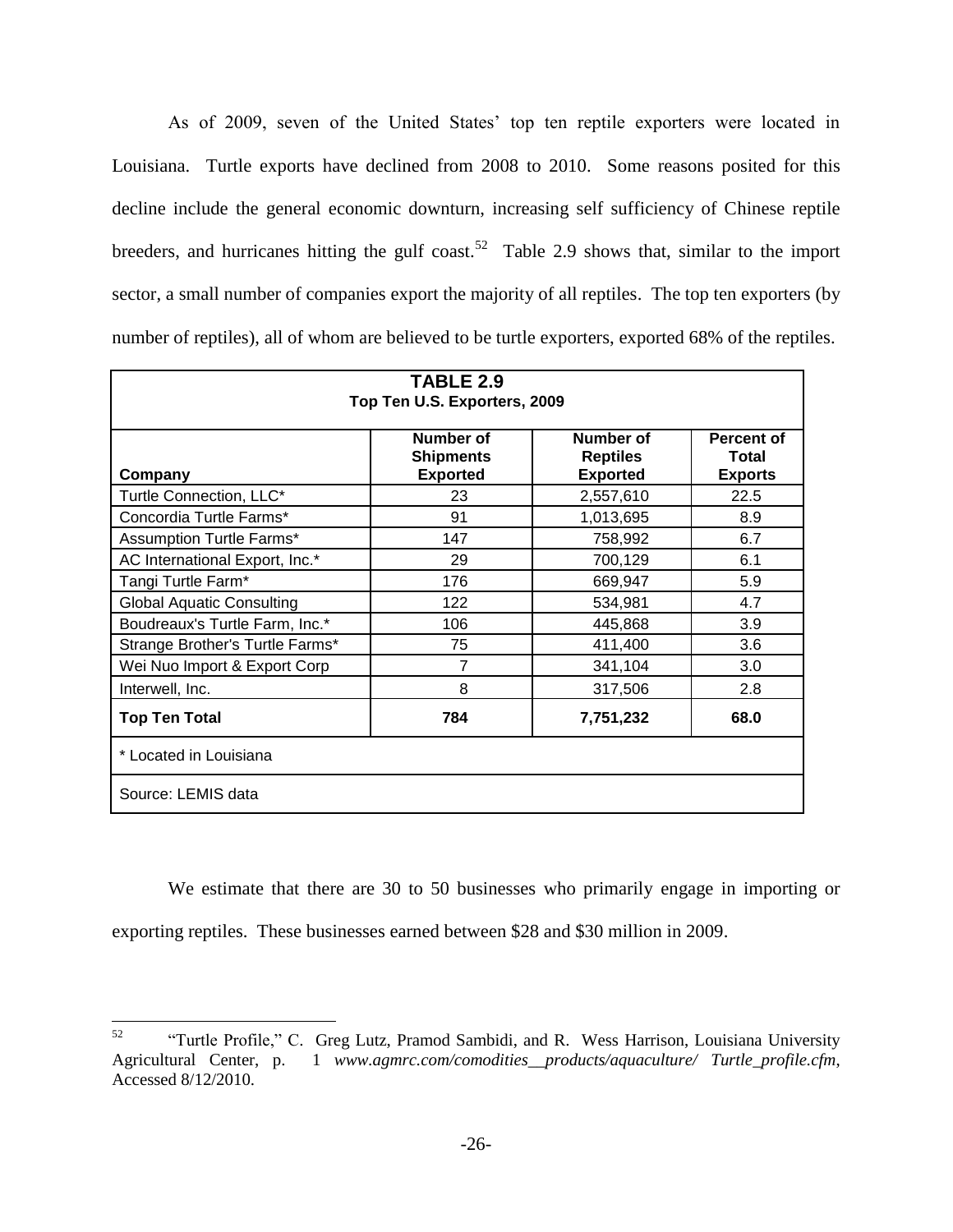As of 2009, seven of the United States' top ten reptile exporters were located in Louisiana. Turtle exports have declined from 2008 to 2010. Some reasons posited for this decline include the general economic downturn, increasing self sufficiency of Chinese reptile breeders, and hurricanes hitting the gulf coast.<sup>52</sup> Table 2.9 shows that, similar to the import sector, a small number of companies export the majority of all reptiles. The top ten exporters (by number of reptiles), all of whom are believed to be turtle exporters, exported 68% of the reptiles.

| TABLE 2.9<br>Top Ten U.S. Exporters, 2009                                                                                                               |                |           |      |  |  |  |
|---------------------------------------------------------------------------------------------------------------------------------------------------------|----------------|-----------|------|--|--|--|
| Number of<br>Number of<br>Percent of<br><b>Reptiles</b><br><b>Shipments</b><br>Total<br><b>Exported</b><br><b>Exported</b><br><b>Exports</b><br>Company |                |           |      |  |  |  |
| Turtle Connection, LLC*                                                                                                                                 | 23             | 2,557,610 | 22.5 |  |  |  |
| Concordia Turtle Farms*                                                                                                                                 | 91             | 1,013,695 | 8.9  |  |  |  |
| Assumption Turtle Farms*                                                                                                                                | 147            | 758,992   | 6.7  |  |  |  |
| AC International Export, Inc.*                                                                                                                          | 29             | 700,129   | 6.1  |  |  |  |
| Tangi Turtle Farm*                                                                                                                                      | 176            | 669,947   | 5.9  |  |  |  |
| <b>Global Aquatic Consulting</b>                                                                                                                        | 122            | 534,981   | 4.7  |  |  |  |
| Boudreaux's Turtle Farm, Inc.*                                                                                                                          | 106            | 445,868   | 3.9  |  |  |  |
| Strange Brother's Turtle Farms*                                                                                                                         | 75             | 411,400   | 3.6  |  |  |  |
| Wei Nuo Import & Export Corp                                                                                                                            | $\overline{7}$ | 341,104   | 3.0  |  |  |  |
| Interwell, Inc.                                                                                                                                         | 8              | 317,506   | 2.8  |  |  |  |
| 784<br>68.0<br><b>Top Ten Total</b><br>7,751,232                                                                                                        |                |           |      |  |  |  |
| * Located in Louisiana                                                                                                                                  |                |           |      |  |  |  |
| Source: LEMIS data                                                                                                                                      |                |           |      |  |  |  |

We estimate that there are 30 to 50 businesses who primarily engage in importing or exporting reptiles. These businesses earned between \$28 and \$30 million in 2009.

<sup>52</sup> <sup>52</sup> "Turtle Profile," C. Greg Lutz, Pramod Sambidi, and R. Wess Harrison, Louisiana University Agricultural Center, p. 1 *www.agmrc.com/comodities\_\_products/aquaculture/ Turtle\_profile.cfm*, Accessed 8/12/2010.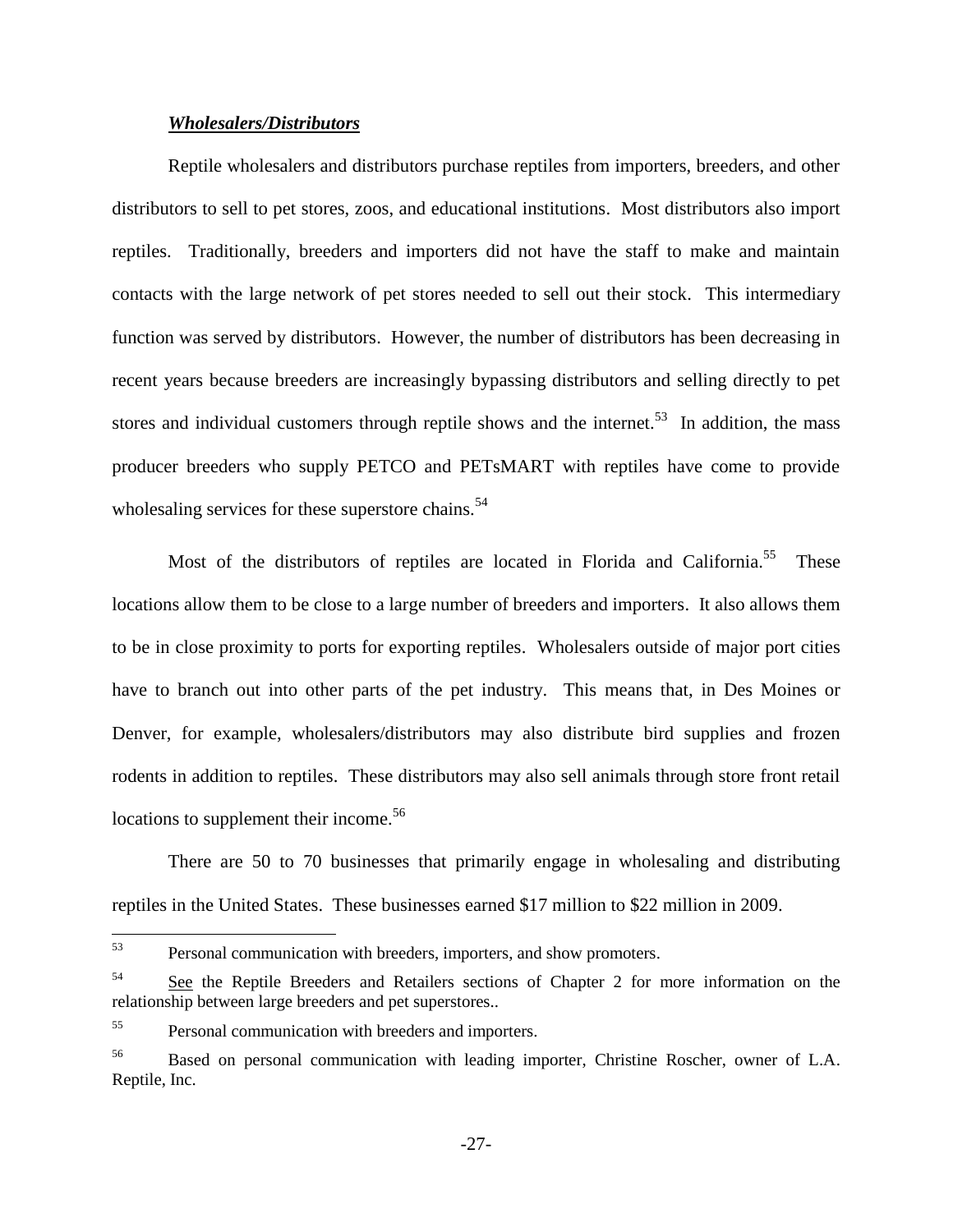#### *Wholesalers/Distributors*

Reptile wholesalers and distributors purchase reptiles from importers, breeders, and other distributors to sell to pet stores, zoos, and educational institutions. Most distributors also import reptiles. Traditionally, breeders and importers did not have the staff to make and maintain contacts with the large network of pet stores needed to sell out their stock. This intermediary function was served by distributors. However, the number of distributors has been decreasing in recent years because breeders are increasingly bypassing distributors and selling directly to pet stores and individual customers through reptile shows and the internet.<sup>53</sup> In addition, the mass producer breeders who supply PETCO and PETsMART with reptiles have come to provide wholesaling services for these superstore chains.<sup>54</sup>

Most of the distributors of reptiles are located in Florida and California.<sup>55</sup> These locations allow them to be close to a large number of breeders and importers. It also allows them to be in close proximity to ports for exporting reptiles. Wholesalers outside of major port cities have to branch out into other parts of the pet industry. This means that, in Des Moines or Denver, for example, wholesalers/distributors may also distribute bird supplies and frozen rodents in addition to reptiles. These distributors may also sell animals through store front retail locations to supplement their income.<sup>56</sup>

There are 50 to 70 businesses that primarily engage in wholesaling and distributing reptiles in the United States. These businesses earned \$17 million to \$22 million in 2009.

<sup>53</sup> Personal communication with breeders, importers, and show promoters.

<sup>&</sup>lt;sup>54</sup> See the Reptile Breeders and Retailers sections of Chapter 2 for more information on the relationship between large breeders and pet superstores..

<sup>55</sup> Personal communication with breeders and importers.

<sup>&</sup>lt;sup>56</sup> Based on personal communication with leading importer, Christine Roscher, owner of L.A. Reptile, Inc.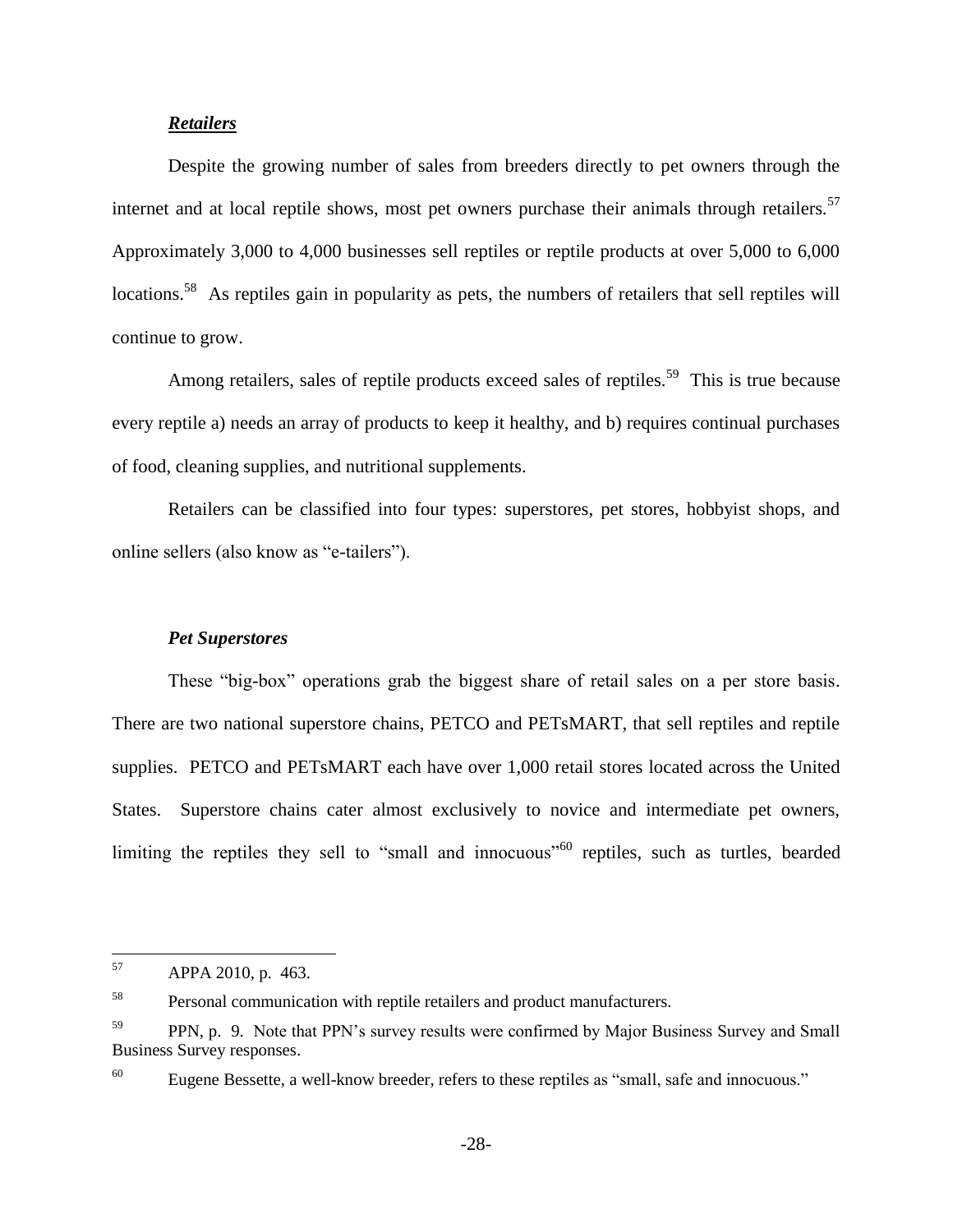#### *Retailers*

Despite the growing number of sales from breeders directly to pet owners through the internet and at local reptile shows, most pet owners purchase their animals through retailers.<sup>57</sup> Approximately 3,000 to 4,000 businesses sell reptiles or reptile products at over 5,000 to 6,000 locations.<sup>58</sup> As reptiles gain in popularity as pets, the numbers of retailers that sell reptiles will continue to grow.

Among retailers, sales of reptile products exceed sales of reptiles.<sup>59</sup> This is true because every reptile a) needs an array of products to keep it healthy, and b) requires continual purchases of food, cleaning supplies, and nutritional supplements.

Retailers can be classified into four types: superstores, pet stores, hobbyist shops, and online sellers (also know as "e-tailers").

#### *Pet Superstores*

These "big-box" operations grab the biggest share of retail sales on a per store basis. There are two national superstore chains, PETCO and PETsMART, that sell reptiles and reptile supplies. PETCO and PETsMART each have over 1,000 retail stores located across the United States. Superstore chains cater almost exclusively to novice and intermediate pet owners, limiting the reptiles they sell to "small and innocuous"<sup>60</sup> reptiles, such as turtles, bearded

<sup>57</sup> APPA 2010, p. 463.

<sup>58</sup> Personal communication with reptile retailers and product manufacturers.

<sup>&</sup>lt;sup>59</sup> PPN, p. 9. Note that PPN's survey results were confirmed by Major Business Survey and Small Business Survey responses.

<sup>&</sup>lt;sup>60</sup> Eugene Bessette, a well-know breeder, refers to these reptiles as "small, safe and innocuous."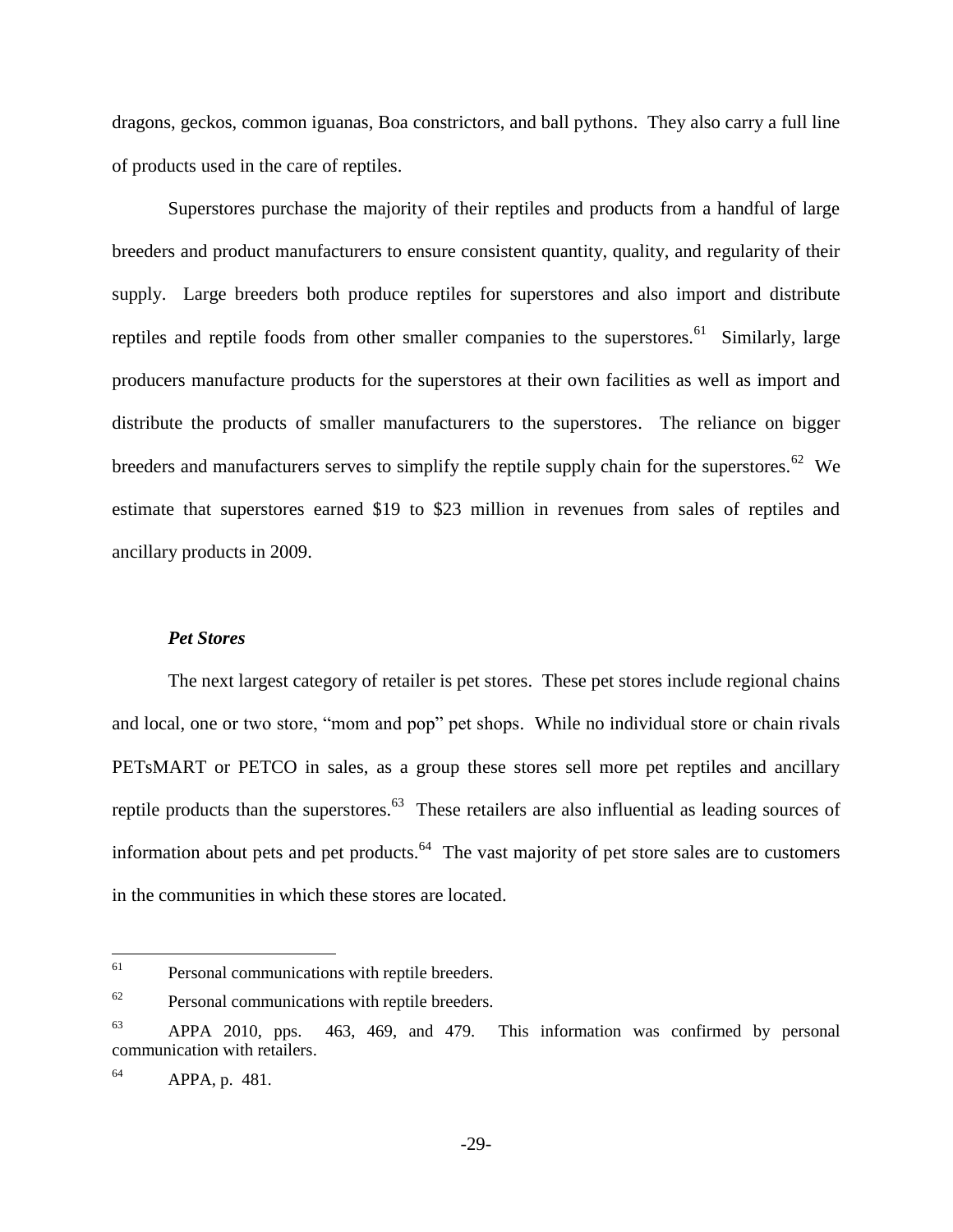dragons, geckos, common iguanas, Boa constrictors, and ball pythons. They also carry a full line of products used in the care of reptiles.

Superstores purchase the majority of their reptiles and products from a handful of large breeders and product manufacturers to ensure consistent quantity, quality, and regularity of their supply. Large breeders both produce reptiles for superstores and also import and distribute reptiles and reptile foods from other smaller companies to the superstores.<sup>61</sup> Similarly, large producers manufacture products for the superstores at their own facilities as well as import and distribute the products of smaller manufacturers to the superstores. The reliance on bigger breeders and manufacturers serves to simplify the reptile supply chain for the superstores.<sup>62</sup> We estimate that superstores earned \$19 to \$23 million in revenues from sales of reptiles and ancillary products in 2009.

#### *Pet Stores*

The next largest category of retailer is pet stores. These pet stores include regional chains and local, one or two store, "mom and pop" pet shops. While no individual store or chain rivals PETsMART or PETCO in sales, as a group these stores sell more pet reptiles and ancillary reptile products than the superstores. $63$  These retailers are also influential as leading sources of information about pets and pet products.<sup>64</sup> The vast majority of pet store sales are to customers in the communities in which these stores are located.

<sup>61</sup> Personal communications with reptile breeders.

 $62$  Personal communications with reptile breeders.

 $^{63}$  APPA 2010, pps. 463, 469, and 479. This information was confirmed by personal communication with retailers.

 $APPA$ , p. 481.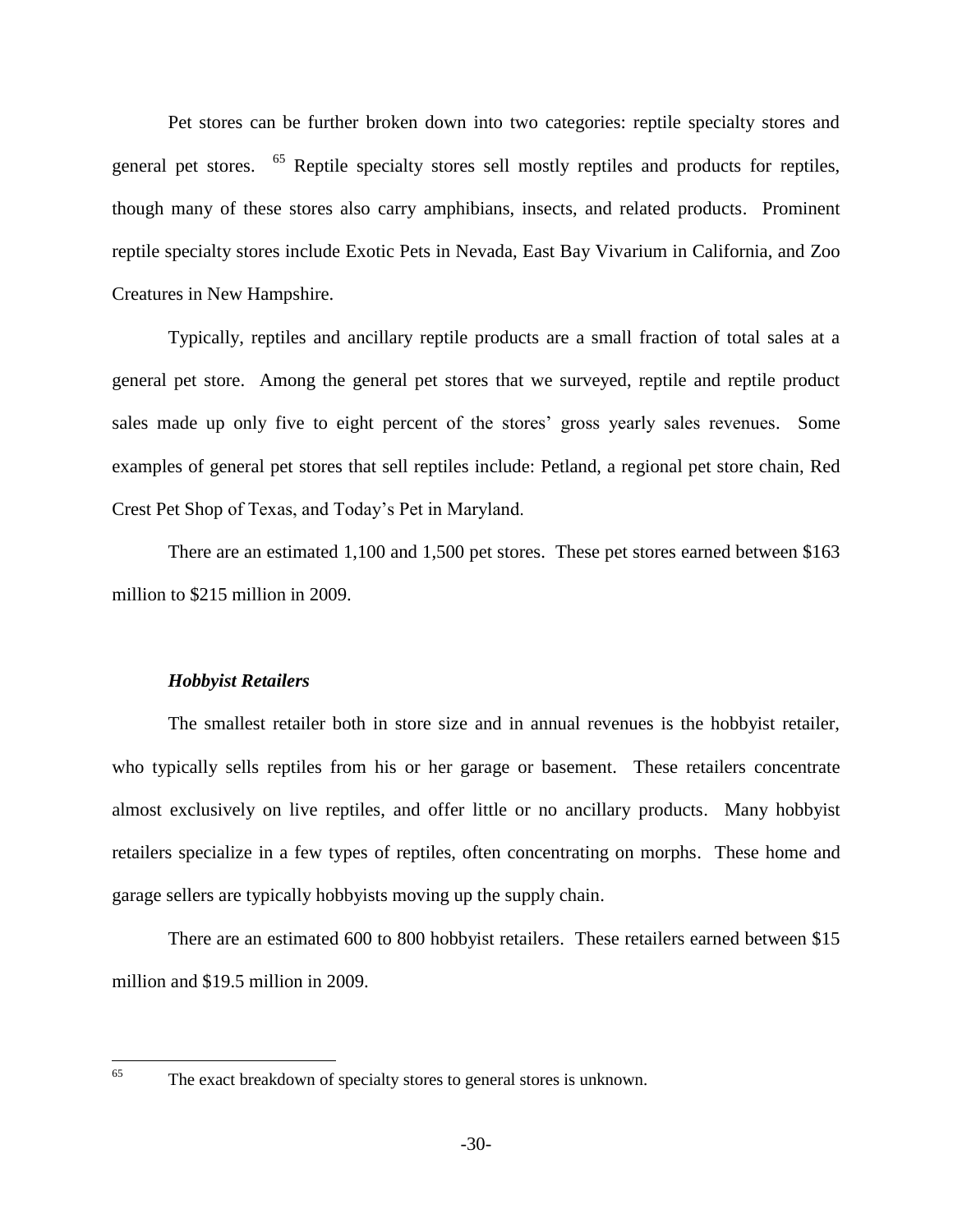Pet stores can be further broken down into two categories: reptile specialty stores and general pet stores. <sup>65</sup> Reptile specialty stores sell mostly reptiles and products for reptiles, though many of these stores also carry amphibians, insects, and related products. Prominent reptile specialty stores include Exotic Pets in Nevada, East Bay Vivarium in California, and Zoo Creatures in New Hampshire.

Typically, reptiles and ancillary reptile products are a small fraction of total sales at a general pet store. Among the general pet stores that we surveyed, reptile and reptile product sales made up only five to eight percent of the stores' gross yearly sales revenues. Some examples of general pet stores that sell reptiles include: Petland, a regional pet store chain, Red Crest Pet Shop of Texas, and Today's Pet in Maryland.

There are an estimated 1,100 and 1,500 pet stores. These pet stores earned between \$163 million to \$215 million in 2009.

#### *Hobbyist Retailers*

The smallest retailer both in store size and in annual revenues is the hobbyist retailer, who typically sells reptiles from his or her garage or basement. These retailers concentrate almost exclusively on live reptiles, and offer little or no ancillary products. Many hobbyist retailers specialize in a few types of reptiles, often concentrating on morphs. These home and garage sellers are typically hobbyists moving up the supply chain.

There are an estimated 600 to 800 hobbyist retailers. These retailers earned between \$15 million and \$19.5 million in 2009.

65

The exact breakdown of specialty stores to general stores is unknown.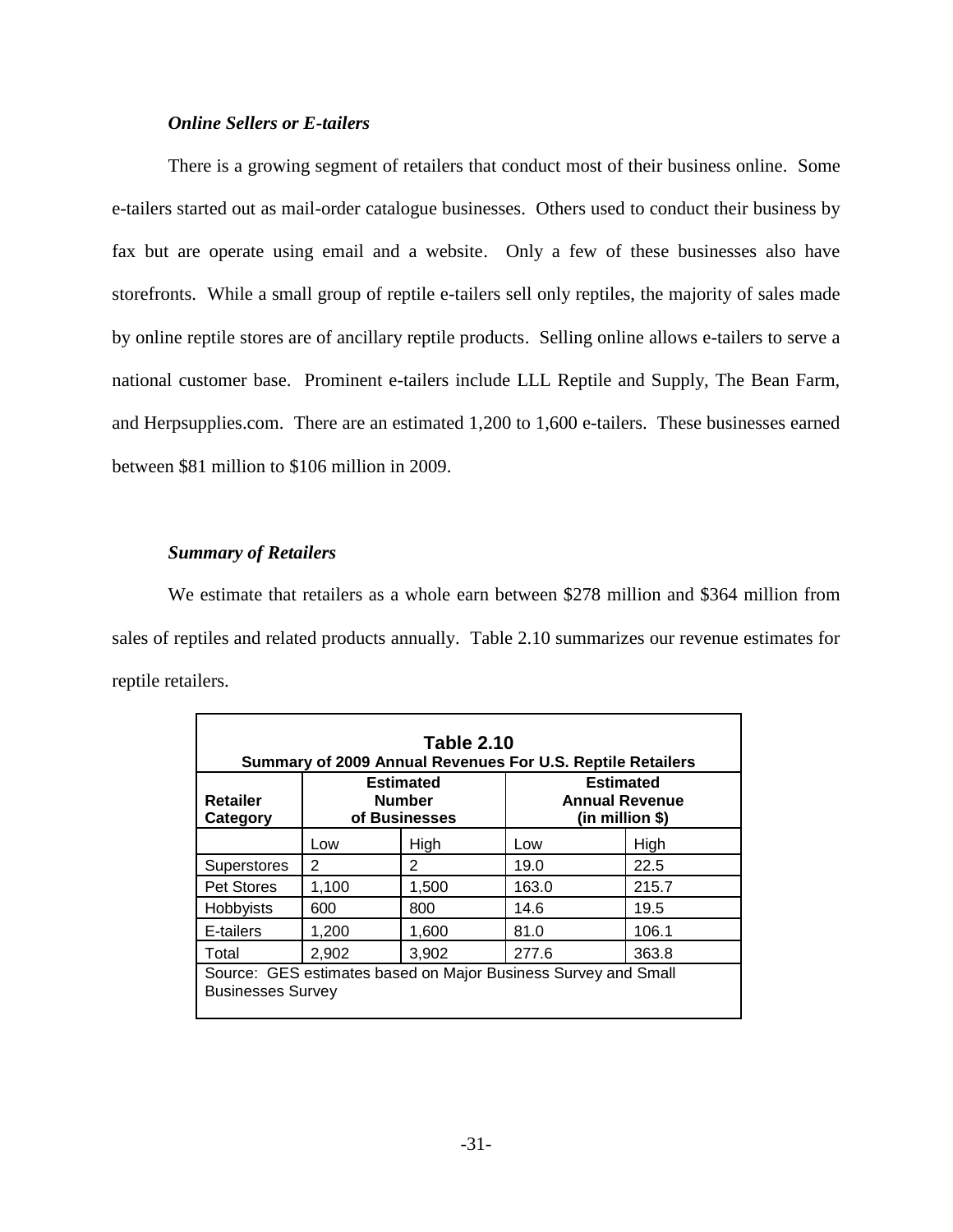#### *Online Sellers or E-tailers*

There is a growing segment of retailers that conduct most of their business online. Some e-tailers started out as mail-order catalogue businesses. Others used to conduct their business by fax but are operate using email and a website. Only a few of these businesses also have storefronts. While a small group of reptile e-tailers sell only reptiles, the majority of sales made by online reptile stores are of ancillary reptile products. Selling online allows e-tailers to serve a national customer base. Prominent e-tailers include LLL Reptile and Supply, The Bean Farm, and Herpsupplies.com. There are an estimated 1,200 to 1,600 e-tailers. These businesses earned between \$81 million to \$106 million in 2009.

#### *Summary of Retailers*

We estimate that retailers as a whole earn between \$278 million and \$364 million from sales of reptiles and related products annually. Table 2.10 summarizes our revenue estimates for reptile retailers.

| <b>Retailer</b><br>Category | <b>Estimated</b><br><b>Number</b><br>of Businesses |       | <b>Estimated</b><br><b>Annual Revenue</b><br>$(in$ million \$) |       |
|-----------------------------|----------------------------------------------------|-------|----------------------------------------------------------------|-------|
|                             | Low                                                | High  | Low                                                            | High  |
| <b>Superstores</b>          | 2                                                  | 2     | 19.0                                                           | 22.5  |
| Pet Stores                  | 1,100                                              | 1,500 | 163.0                                                          | 215.7 |
| Hobbyists                   | 600                                                | 800   | 14.6                                                           | 19.5  |
| E-tailers                   | 1,200                                              | 1,600 | 81.0                                                           | 106.1 |
| Total                       | 2,902                                              | 3,902 | 277.6                                                          | 363.8 |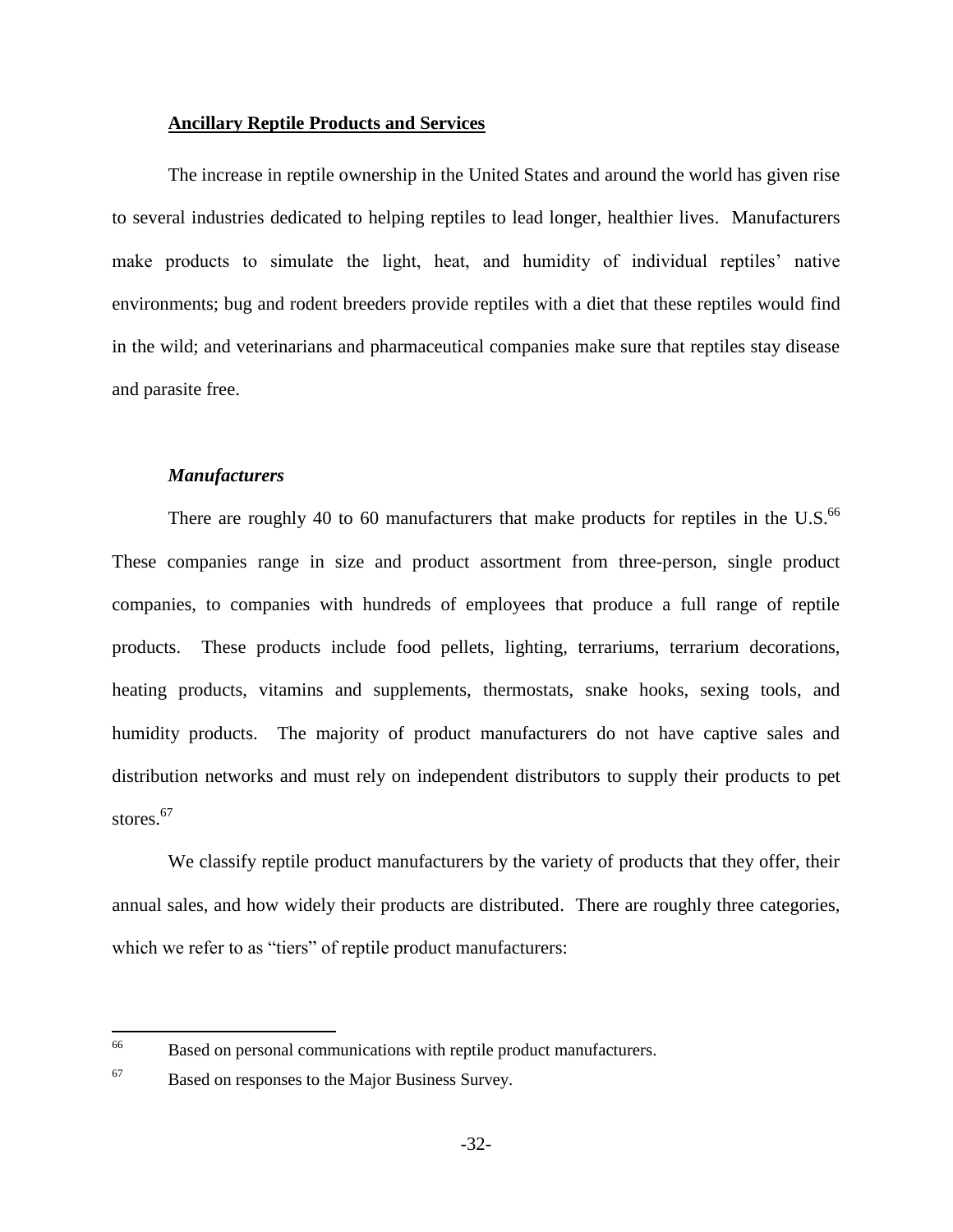#### **Ancillary Reptile Products and Services**

The increase in reptile ownership in the United States and around the world has given rise to several industries dedicated to helping reptiles to lead longer, healthier lives. Manufacturers make products to simulate the light, heat, and humidity of individual reptiles' native environments; bug and rodent breeders provide reptiles with a diet that these reptiles would find in the wild; and veterinarians and pharmaceutical companies make sure that reptiles stay disease and parasite free.

#### *Manufacturers*

There are roughly 40 to 60 manufacturers that make products for reptiles in the U.S. $^{66}$ These companies range in size and product assortment from three-person, single product companies, to companies with hundreds of employees that produce a full range of reptile products. These products include food pellets, lighting, terrariums, terrarium decorations, heating products, vitamins and supplements, thermostats, snake hooks, sexing tools, and humidity products. The majority of product manufacturers do not have captive sales and distribution networks and must rely on independent distributors to supply their products to pet stores. $67$ 

We classify reptile product manufacturers by the variety of products that they offer, their annual sales, and how widely their products are distributed. There are roughly three categories, which we refer to as "tiers" of reptile product manufacturers:

<sup>66</sup> Based on personal communications with reptile product manufacturers.

<sup>67</sup> Based on responses to the Major Business Survey.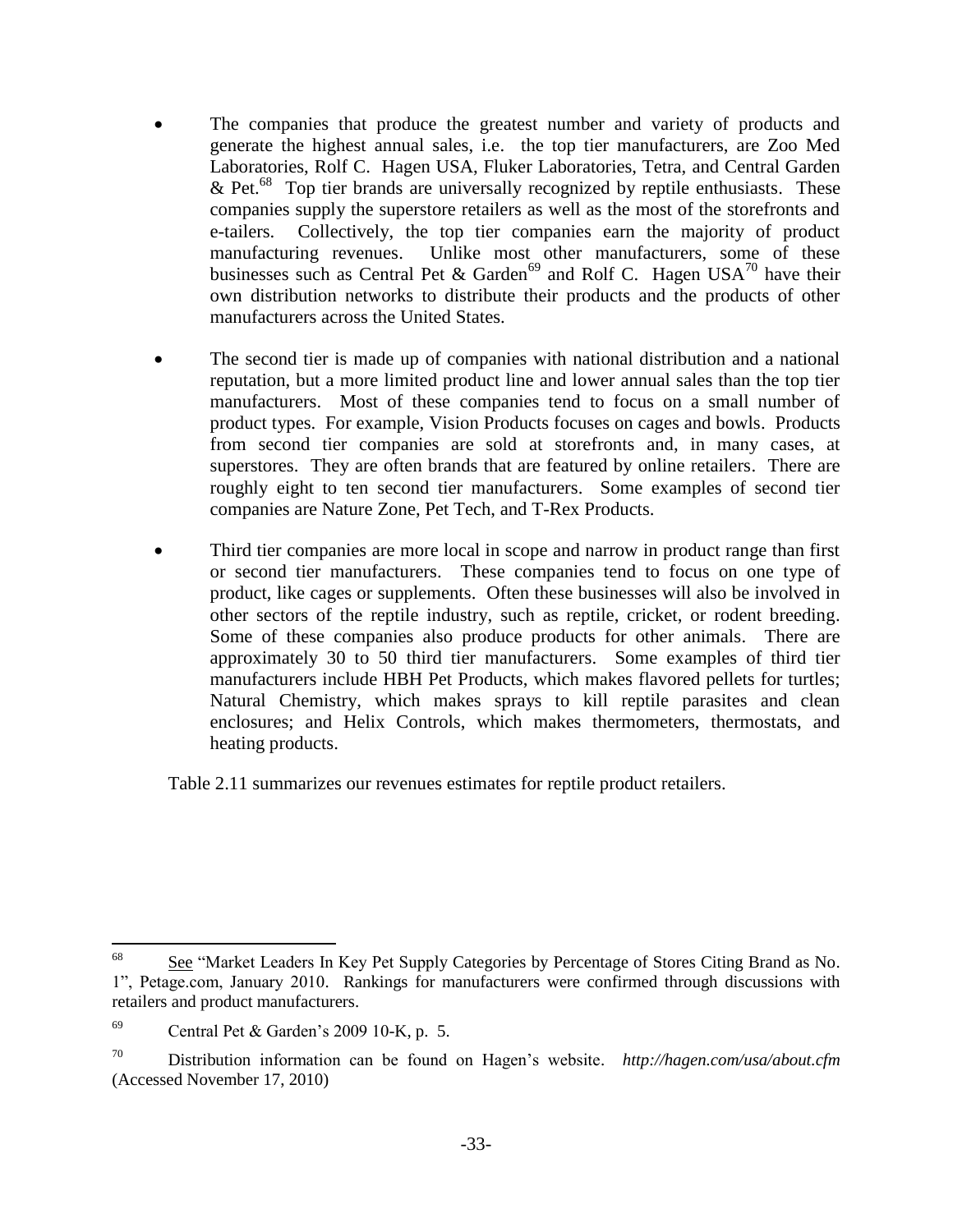- The companies that produce the greatest number and variety of products and generate the highest annual sales, i.e. the top tier manufacturers, are Zoo Med Laboratories, Rolf C. Hagen USA, Fluker Laboratories, Tetra, and Central Garden & Pet.<sup>68</sup> Top tier brands are universally recognized by reptile enthusiasts. These companies supply the superstore retailers as well as the most of the storefronts and e-tailers. Collectively, the top tier companies earn the majority of product manufacturing revenues. Unlike most other manufacturers, some of these businesses such as Central Pet & Garden<sup>69</sup> and Rolf C. Hagen USA<sup>70</sup> have their own distribution networks to distribute their products and the products of other manufacturers across the United States.
- The second tier is made up of companies with national distribution and a national reputation, but a more limited product line and lower annual sales than the top tier manufacturers. Most of these companies tend to focus on a small number of product types. For example, Vision Products focuses on cages and bowls. Products from second tier companies are sold at storefronts and, in many cases, at superstores. They are often brands that are featured by online retailers. There are roughly eight to ten second tier manufacturers. Some examples of second tier companies are Nature Zone, Pet Tech, and T-Rex Products.
- Third tier companies are more local in scope and narrow in product range than first or second tier manufacturers. These companies tend to focus on one type of product, like cages or supplements. Often these businesses will also be involved in other sectors of the reptile industry, such as reptile, cricket, or rodent breeding. Some of these companies also produce products for other animals. There are approximately 30 to 50 third tier manufacturers. Some examples of third tier manufacturers include HBH Pet Products, which makes flavored pellets for turtles; Natural Chemistry, which makes sprays to kill reptile parasites and clean enclosures; and Helix Controls, which makes thermometers, thermostats, and heating products.

Table 2.11 summarizes our revenues estimates for reptile product retailers.

<sup>68</sup> <sup>68</sup> See "Market Leaders In Key Pet Supply Categories by Percentage of Stores Citing Brand as No. 1", Petage.com, January 2010. Rankings for manufacturers were confirmed through discussions with retailers and product manufacturers.

<sup>&</sup>lt;sup>69</sup> Central Pet & Garden's 2009 10-K, p. 5.

<sup>70</sup> Distribution information can be found on Hagen's website. *http://hagen.com/usa/about.cfm* (Accessed November 17, 2010)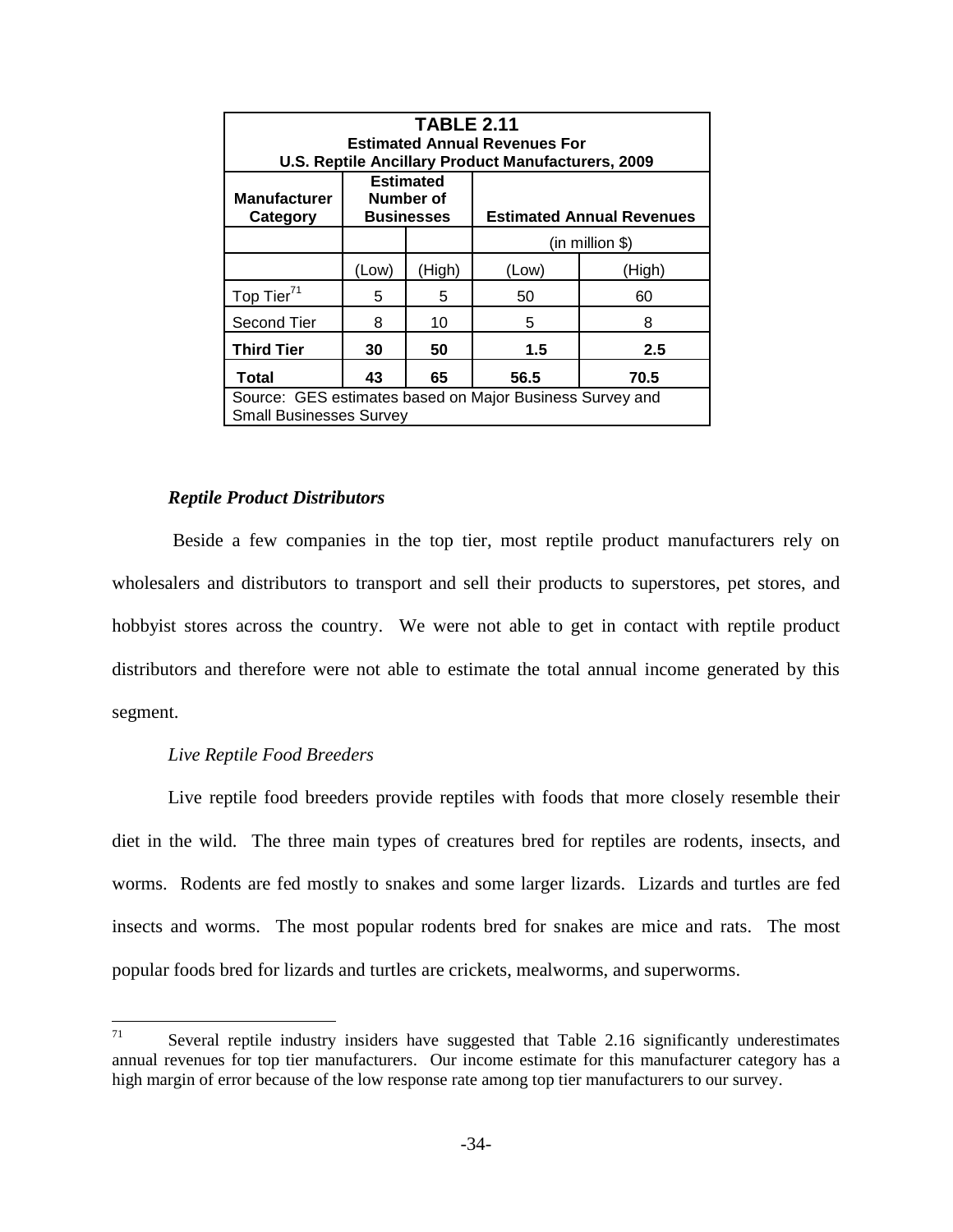| <b>TABLE 2.11</b><br><b>Estimated Annual Revenues For</b><br>U.S. Reptile Ancillary Product Manufacturers, 2009 |                                                                                        |        |       |        |  |
|-----------------------------------------------------------------------------------------------------------------|----------------------------------------------------------------------------------------|--------|-------|--------|--|
| <b>Manufacturer</b><br>Category                                                                                 | <b>Estimated</b><br>Number of<br><b>Businesses</b><br><b>Estimated Annual Revenues</b> |        |       |        |  |
|                                                                                                                 | $(in$ million \$)                                                                      |        |       |        |  |
|                                                                                                                 | (Low)                                                                                  | (High) | (Low) | (High) |  |
| Top Tier <sup>71</sup>                                                                                          | 5                                                                                      | 5      | 50    | 60     |  |
| Second Tier                                                                                                     | 8                                                                                      | 10     | 5     | 8      |  |
| <b>Third Tier</b>                                                                                               | 30<br>50<br>1.5<br>2.5                                                                 |        |       |        |  |
| <b>Total</b>                                                                                                    | 43                                                                                     | 65     | 56.5  | 70.5   |  |
| Source: GES estimates based on Major Business Survey and<br><b>Small Businesses Survey</b>                      |                                                                                        |        |       |        |  |

### *Reptile Product Distributors*

Beside a few companies in the top tier, most reptile product manufacturers rely on wholesalers and distributors to transport and sell their products to superstores, pet stores, and hobbyist stores across the country. We were not able to get in contact with reptile product distributors and therefore were not able to estimate the total annual income generated by this segment.

# *Live Reptile Food Breeders*

Live reptile food breeders provide reptiles with foods that more closely resemble their diet in the wild. The three main types of creatures bred for reptiles are rodents, insects, and worms. Rodents are fed mostly to snakes and some larger lizards. Lizards and turtles are fed insects and worms. The most popular rodents bred for snakes are mice and rats. The most popular foods bred for lizards and turtles are crickets, mealworms, and superworms.

<sup>71</sup> Several reptile industry insiders have suggested that Table 2.16 significantly underestimates annual revenues for top tier manufacturers. Our income estimate for this manufacturer category has a high margin of error because of the low response rate among top tier manufacturers to our survey.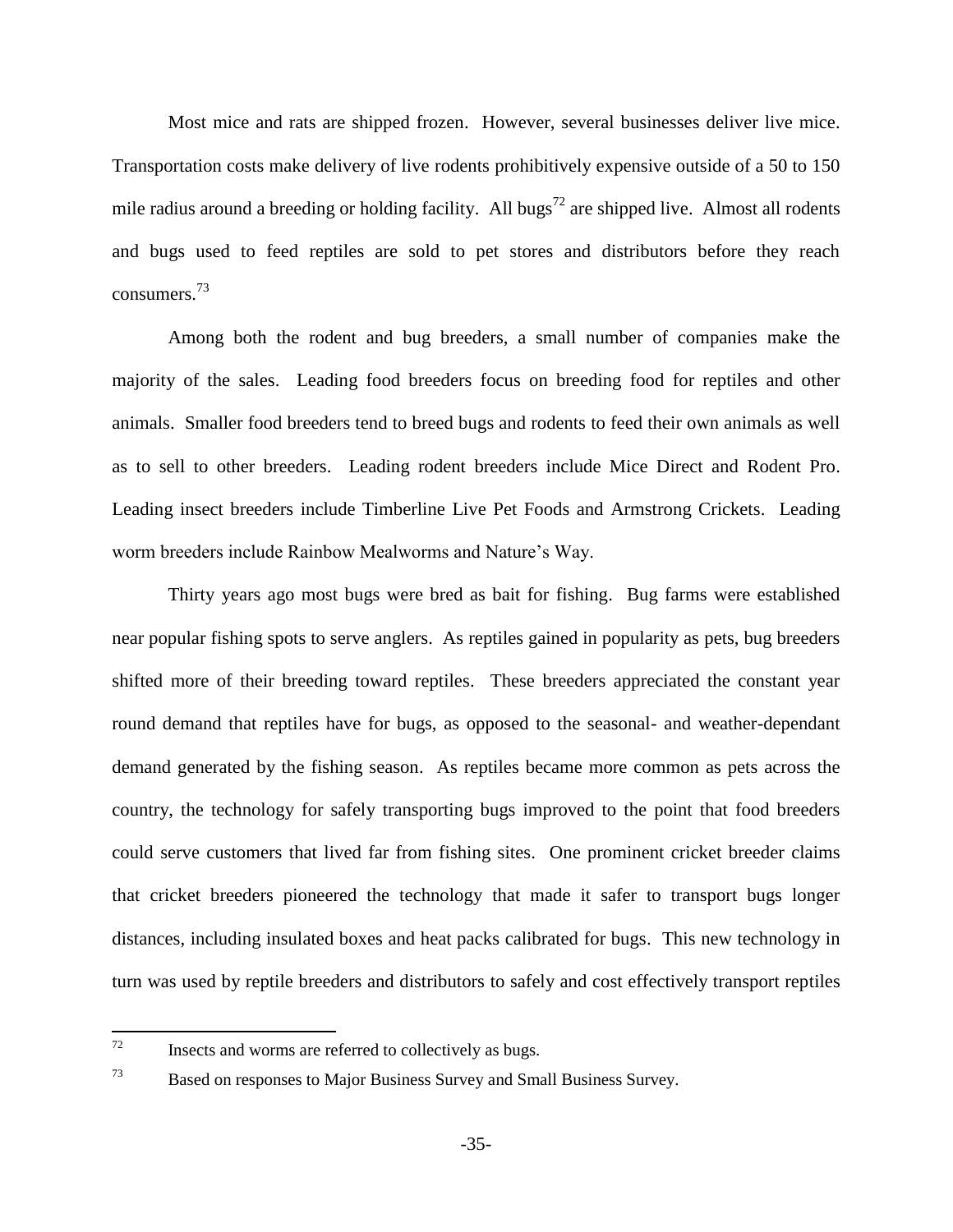Most mice and rats are shipped frozen. However, several businesses deliver live mice. Transportation costs make delivery of live rodents prohibitively expensive outside of a 50 to 150 mile radius around a breeding or holding facility. All bugs<sup>72</sup> are shipped live. Almost all rodents and bugs used to feed reptiles are sold to pet stores and distributors before they reach consumers.<sup>73</sup>

Among both the rodent and bug breeders, a small number of companies make the majority of the sales. Leading food breeders focus on breeding food for reptiles and other animals. Smaller food breeders tend to breed bugs and rodents to feed their own animals as well as to sell to other breeders. Leading rodent breeders include Mice Direct and Rodent Pro. Leading insect breeders include Timberline Live Pet Foods and Armstrong Crickets. Leading worm breeders include Rainbow Mealworms and Nature's Way.

Thirty years ago most bugs were bred as bait for fishing. Bug farms were established near popular fishing spots to serve anglers. As reptiles gained in popularity as pets, bug breeders shifted more of their breeding toward reptiles. These breeders appreciated the constant year round demand that reptiles have for bugs, as opposed to the seasonal- and weather-dependant demand generated by the fishing season. As reptiles became more common as pets across the country, the technology for safely transporting bugs improved to the point that food breeders could serve customers that lived far from fishing sites. One prominent cricket breeder claims that cricket breeders pioneered the technology that made it safer to transport bugs longer distances, including insulated boxes and heat packs calibrated for bugs. This new technology in turn was used by reptile breeders and distributors to safely and cost effectively transport reptiles

<sup>73</sup> Based on responses to Major Business Survey and Small Business Survey.

<sup>72</sup> Insects and worms are referred to collectively as bugs.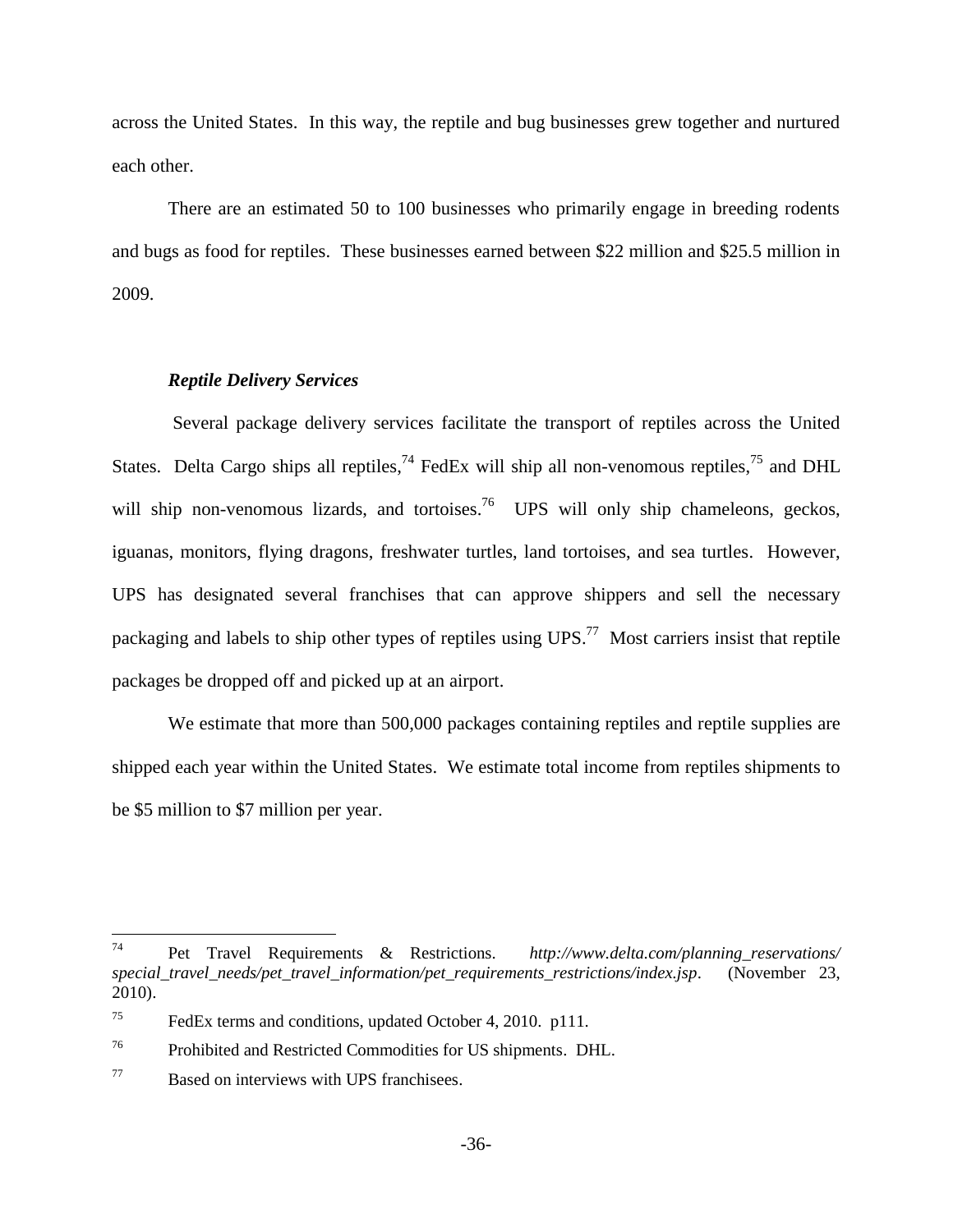across the United States. In this way, the reptile and bug businesses grew together and nurtured each other.

There are an estimated 50 to 100 businesses who primarily engage in breeding rodents and bugs as food for reptiles. These businesses earned between \$22 million and \$25.5 million in 2009.

### *Reptile Delivery Services*

Several package delivery services facilitate the transport of reptiles across the United States. Delta Cargo ships all reptiles,<sup>74</sup> FedEx will ship all non-venomous reptiles,<sup>75</sup> and DHL will ship non-venomous lizards, and tortoises.<sup>76</sup> UPS will only ship chameleons, geckos, iguanas, monitors, flying dragons, freshwater turtles, land tortoises, and sea turtles. However, UPS has designated several franchises that can approve shippers and sell the necessary packaging and labels to ship other types of reptiles using UPS.<sup>77</sup> Most carriers insist that reptile packages be dropped off and picked up at an airport.

We estimate that more than 500,000 packages containing reptiles and reptile supplies are shipped each year within the United States. We estimate total income from reptiles shipments to be \$5 million to \$7 million per year.

<sup>74</sup> <sup>74</sup> Pet Travel Requirements & Restrictions. *http://www.delta.com/planning\_reservations/ special\_travel\_needs/pet\_travel\_information/pet\_requirements\_restrictions/index.jsp*. (November 23, 2010).

<sup>&</sup>lt;sup>75</sup> FedEx terms and conditions, updated October 4, 2010. p111.

<sup>76</sup> Prohibited and Restricted Commodities for US shipments. DHL.

<sup>77</sup> Based on interviews with UPS franchisees.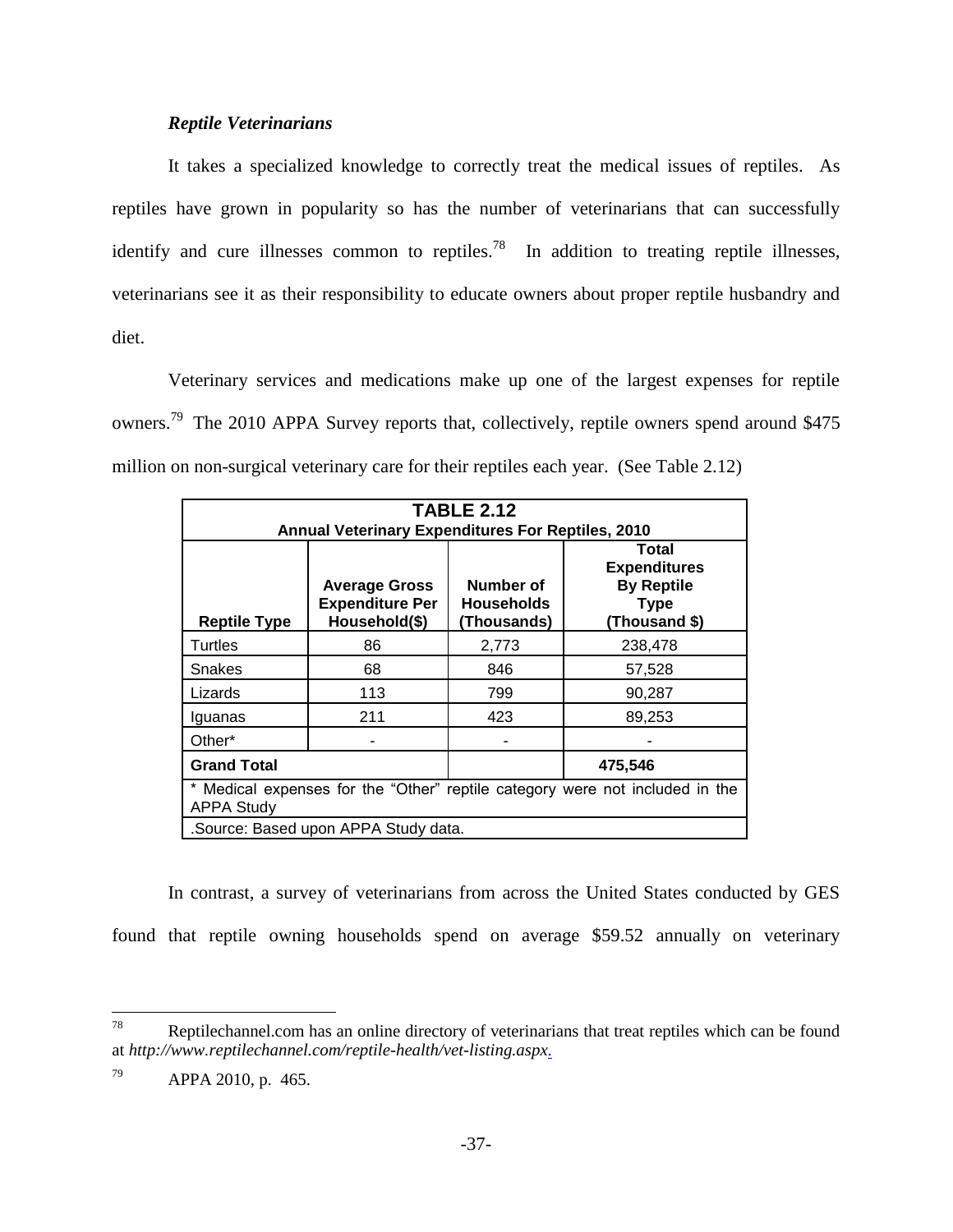### *Reptile Veterinarians*

It takes a specialized knowledge to correctly treat the medical issues of reptiles. As reptiles have grown in popularity so has the number of veterinarians that can successfully identify and cure illnesses common to reptiles.<sup>78</sup> In addition to treating reptile illnesses, veterinarians see it as their responsibility to educate owners about proper reptile husbandry and diet.

Veterinary services and medications make up one of the largest expenses for reptile owners.<sup>79</sup> The 2010 APPA Survey reports that, collectively, reptile owners spend around \$475 million on non-surgical veterinary care for their reptiles each year. (See Table 2.12)

| <b>TABLE 2.12</b><br><b>Annual Veterinary Expenditures For Reptiles, 2010</b>                     |                                                                 |                                               |                                                                                   |  |
|---------------------------------------------------------------------------------------------------|-----------------------------------------------------------------|-----------------------------------------------|-----------------------------------------------------------------------------------|--|
| <b>Reptile Type</b>                                                                               | <b>Average Gross</b><br><b>Expenditure Per</b><br>Household(\$) | Number of<br><b>Households</b><br>(Thousands) | Total<br><b>Expenditures</b><br><b>By Reptile</b><br><b>Type</b><br>(Thousand \$) |  |
| Turtles                                                                                           | 86                                                              | 2,773                                         | 238,478                                                                           |  |
| Snakes                                                                                            | 68                                                              | 846                                           | 57,528                                                                            |  |
| Lizards                                                                                           | 113                                                             | 799                                           | 90,287                                                                            |  |
| Iguanas                                                                                           | 211                                                             | 423                                           | 89,253                                                                            |  |
| Other*                                                                                            |                                                                 |                                               |                                                                                   |  |
| <b>Grand Total</b><br>475,546                                                                     |                                                                 |                                               |                                                                                   |  |
| * Medical expenses for the "Other" reptile category were not included in the<br><b>APPA Study</b> |                                                                 |                                               |                                                                                   |  |
| .Source: Based upon APPA Study data.                                                              |                                                                 |                                               |                                                                                   |  |

In contrast, a survey of veterinarians from across the United States conducted by GES found that reptile owning households spend on average \$59.52 annually on veterinary

<sup>78</sup> Reptilechannel.com has an online directory of veterinarians that treat reptiles which can be found at *http://www.reptilechannel.com/reptile-health/vet-listing.aspx*.

<sup>79</sup> APPA 2010, p. 465.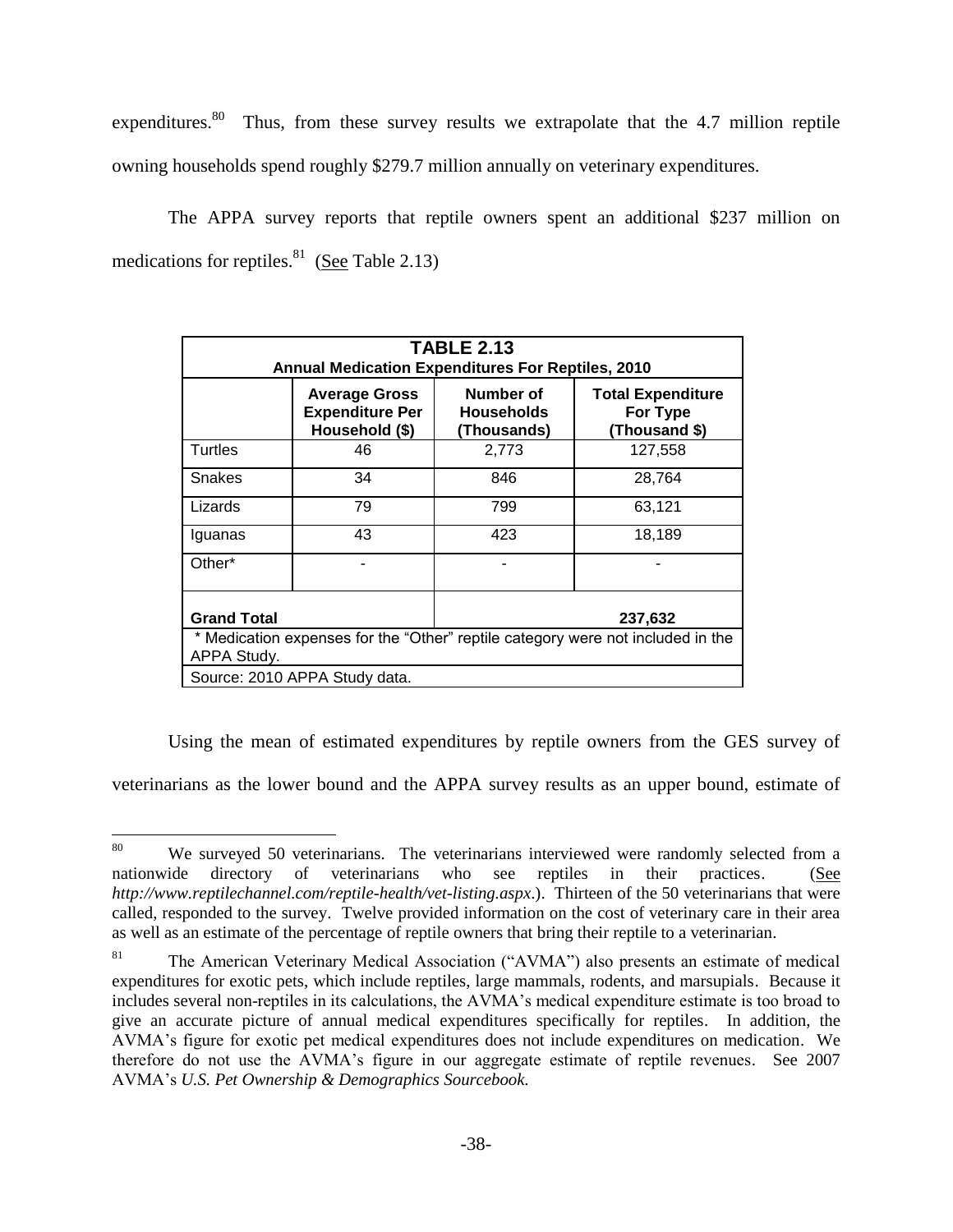expenditures.<sup>80</sup> Thus, from these survey results we extrapolate that the 4.7 million reptile owning households spend roughly \$279.7 million annually on veterinary expenditures.

The APPA survey reports that reptile owners spent an additional \$237 million on medications for reptiles. $81$  (See Table 2.13)

| <b>TABLE 2.13</b><br><b>Annual Medication Expenditures For Reptiles, 2010</b>                  |                                                                  |                                                       |         |  |
|------------------------------------------------------------------------------------------------|------------------------------------------------------------------|-------------------------------------------------------|---------|--|
|                                                                                                | <b>Average Gross</b><br><b>Expenditure Per</b><br>Household (\$) | <b>Total Expenditure</b><br>For Type<br>(Thousand \$) |         |  |
| Turtles                                                                                        | 46                                                               | 2,773                                                 | 127,558 |  |
| <b>Snakes</b>                                                                                  | 34                                                               | 846                                                   | 28,764  |  |
| Lizards                                                                                        | 79                                                               | 799                                                   | 63,121  |  |
| Iguanas                                                                                        | 43                                                               | 423                                                   | 18,189  |  |
| Other*                                                                                         |                                                                  |                                                       |         |  |
| <b>Grand Total</b><br>237,632                                                                  |                                                                  |                                                       |         |  |
| * Medication expenses for the "Other" reptile category were not included in the<br>APPA Study. |                                                                  |                                                       |         |  |
| Source: 2010 APPA Study data.                                                                  |                                                                  |                                                       |         |  |

Using the mean of estimated expenditures by reptile owners from the GES survey of

veterinarians as the lower bound and the APPA survey results as an upper bound, estimate of

<sup>80</sup> We surveyed 50 veterinarians. The veterinarians interviewed were randomly selected from a nationwide directory of veterinarians who see reptiles in their practices. (See *http://www.reptilechannel.com/reptile-health/vet-listing.aspx*.). Thirteen of the 50 veterinarians that were called, responded to the survey. Twelve provided information on the cost of veterinary care in their area as well as an estimate of the percentage of reptile owners that bring their reptile to a veterinarian.

<sup>&</sup>lt;sup>81</sup> The American Veterinary Medical Association ("AVMA") also presents an estimate of medical expenditures for exotic pets, which include reptiles, large mammals, rodents, and marsupials. Because it includes several non-reptiles in its calculations, the AVMA's medical expenditure estimate is too broad to give an accurate picture of annual medical expenditures specifically for reptiles. In addition, the AVMA's figure for exotic pet medical expenditures does not include expenditures on medication. We therefore do not use the AVMA's figure in our aggregate estimate of reptile revenues. See 2007 AVMA's *U.S. Pet Ownership & Demographics Sourcebook.*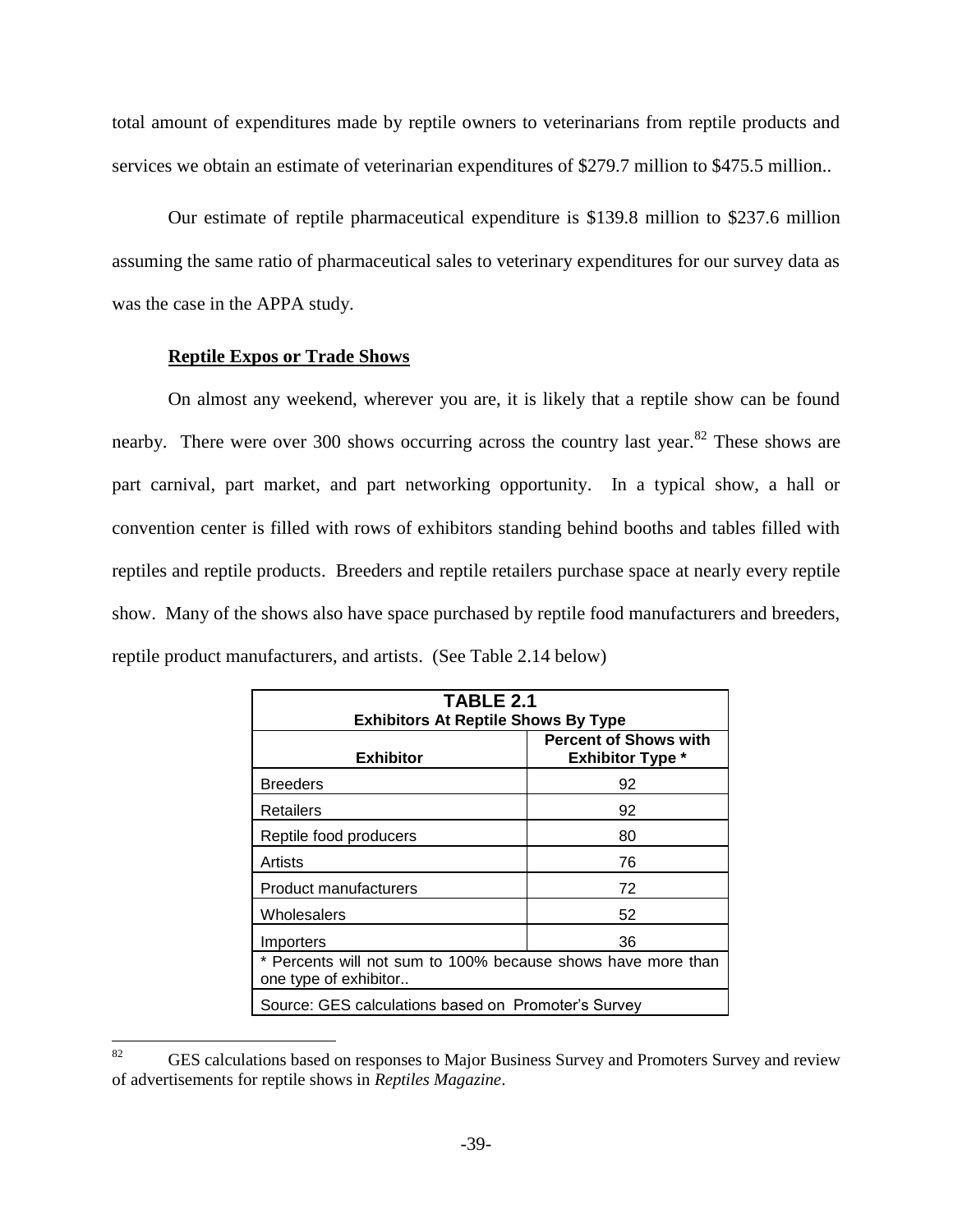total amount of expenditures made by reptile owners to veterinarians from reptile products and services we obtain an estimate of veterinarian expenditures of \$279.7 million to \$475.5 million..

Our estimate of reptile pharmaceutical expenditure is \$139.8 million to \$237.6 million assuming the same ratio of pharmaceutical sales to veterinary expenditures for our survey data as was the case in the APPA study.

# **Reptile Expos or Trade Shows**

On almost any weekend, wherever you are, it is likely that a reptile show can be found nearby. There were over 300 shows occurring across the country last year.<sup>82</sup> These shows are part carnival, part market, and part networking opportunity. In a typical show, a hall or convention center is filled with rows of exhibitors standing behind booths and tables filled with reptiles and reptile products. Breeders and reptile retailers purchase space at nearly every reptile show. Many of the shows also have space purchased by reptile food manufacturers and breeders, reptile product manufacturers, and artists. (See Table 2.14 below)

| TABLE 2.1<br><b>Exhibitors At Reptile Shows By Type</b>                               |                                                         |  |  |
|---------------------------------------------------------------------------------------|---------------------------------------------------------|--|--|
| <b>Exhibitor</b>                                                                      | <b>Percent of Shows with</b><br><b>Exhibitor Type *</b> |  |  |
| <b>Breeders</b>                                                                       | 92                                                      |  |  |
| Retailers                                                                             | 92                                                      |  |  |
| Reptile food producers                                                                | 80                                                      |  |  |
| Artists                                                                               | 76                                                      |  |  |
| Product manufacturers                                                                 | 72                                                      |  |  |
| Wholesalers                                                                           | 52                                                      |  |  |
| 36<br>Importers                                                                       |                                                         |  |  |
| * Percents will not sum to 100% because shows have more than<br>one type of exhibitor |                                                         |  |  |
| Source: GES calculations based on Promoter's Survey                                   |                                                         |  |  |

<sup>82</sup> GES calculations based on responses to Major Business Survey and Promoters Survey and review of advertisements for reptile shows in *Reptiles Magazine*.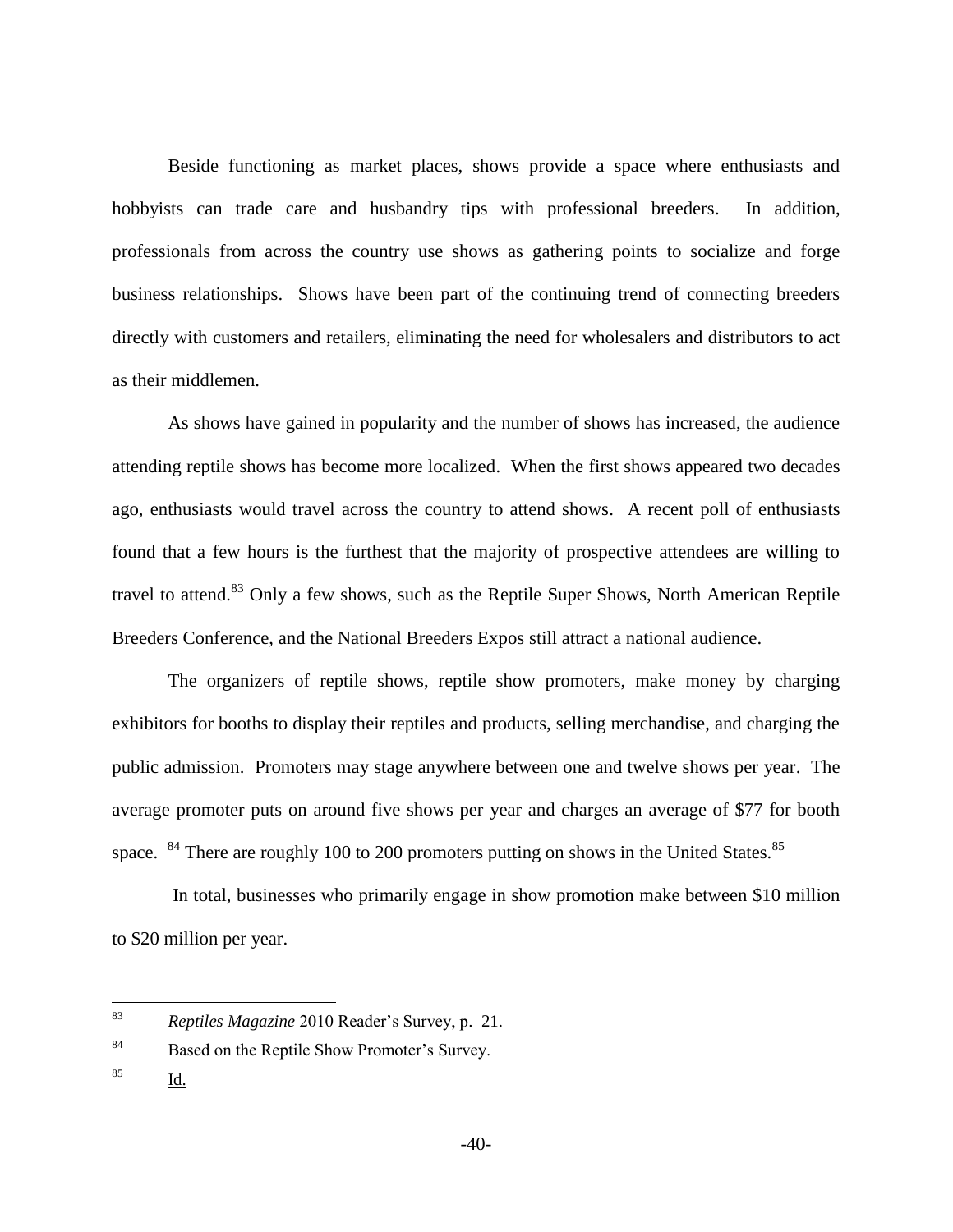Beside functioning as market places, shows provide a space where enthusiasts and hobbyists can trade care and husbandry tips with professional breeders. In addition, professionals from across the country use shows as gathering points to socialize and forge business relationships. Shows have been part of the continuing trend of connecting breeders directly with customers and retailers, eliminating the need for wholesalers and distributors to act as their middlemen.

As shows have gained in popularity and the number of shows has increased, the audience attending reptile shows has become more localized. When the first shows appeared two decades ago, enthusiasts would travel across the country to attend shows. A recent poll of enthusiasts found that a few hours is the furthest that the majority of prospective attendees are willing to travel to attend.<sup>83</sup> Only a few shows, such as the Reptile Super Shows, North American Reptile Breeders Conference, and the National Breeders Expos still attract a national audience.

The organizers of reptile shows, reptile show promoters, make money by charging exhibitors for booths to display their reptiles and products, selling merchandise, and charging the public admission. Promoters may stage anywhere between one and twelve shows per year. The average promoter puts on around five shows per year and charges an average of \$77 for booth space.  $84$  There are roughly 100 to 200 promoters putting on shows in the United States.<sup>85</sup>

In total, businesses who primarily engage in show promotion make between \$10 million to \$20 million per year.

<sup>85</sup> Id.

<sup>83</sup> <sup>83</sup> *Reptiles Magazine* 2010 Reader's Survey, p. 21.

<sup>84</sup> Based on the Reptile Show Promoter's Survey.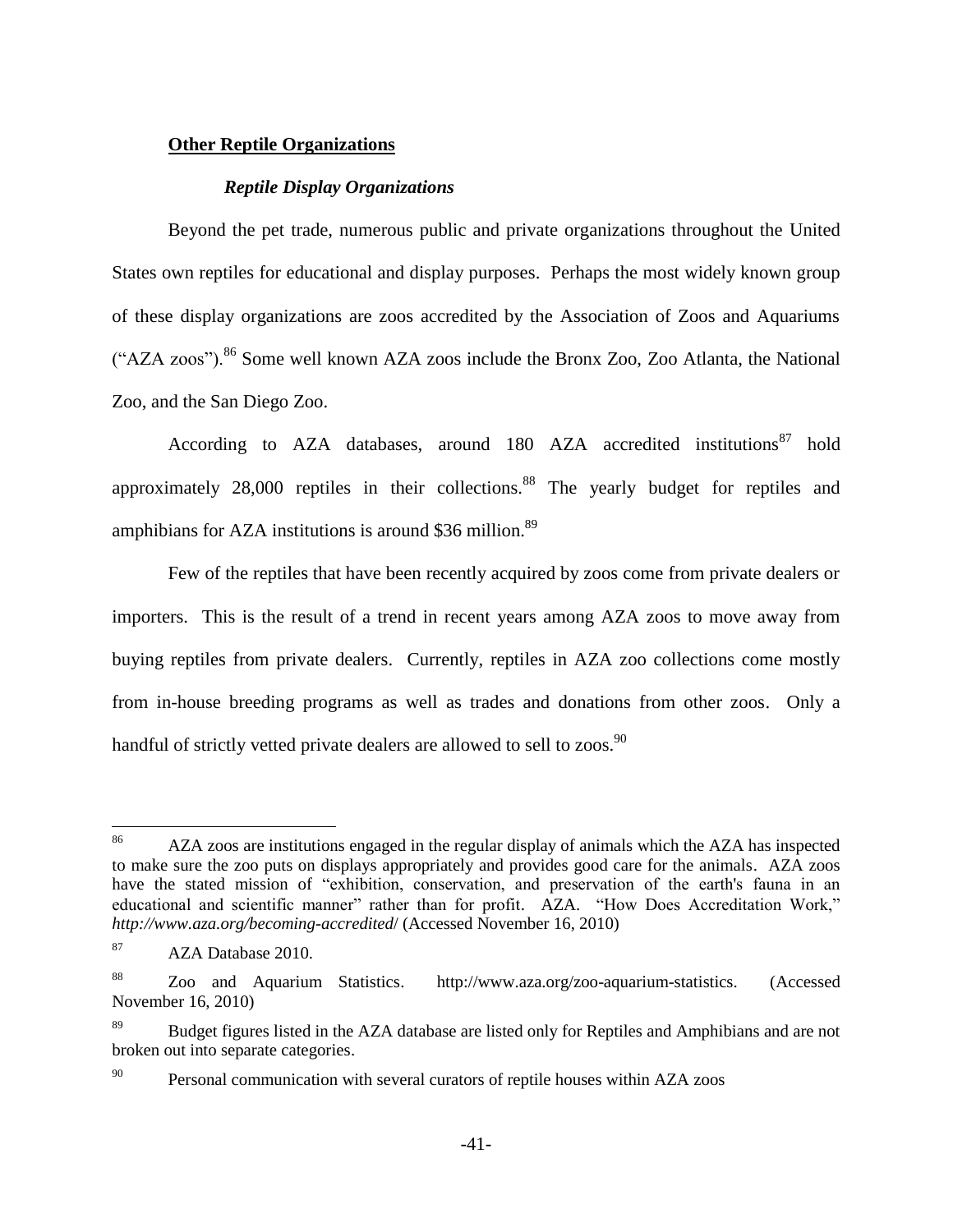# **Other Reptile Organizations**

### *Reptile Display Organizations*

Beyond the pet trade, numerous public and private organizations throughout the United States own reptiles for educational and display purposes. Perhaps the most widely known group of these display organizations are zoos accredited by the Association of Zoos and Aquariums ("AZA zoos").<sup>86</sup> Some well known AZA zoos include the Bronx Zoo, Zoo Atlanta, the National Zoo, and the San Diego Zoo.

According to AZA databases, around 180 AZA accredited institutions<sup>87</sup> hold approximately 28,000 reptiles in their collections.<sup>88</sup> The yearly budget for reptiles and amphibians for AZA institutions is around  $$36$  million.<sup>89</sup>

Few of the reptiles that have been recently acquired by zoos come from private dealers or importers. This is the result of a trend in recent years among AZA zoos to move away from buying reptiles from private dealers. Currently, reptiles in AZA zoo collections come mostly from in-house breeding programs as well as trades and donations from other zoos. Only a handful of strictly vetted private dealers are allowed to sell to zoos.<sup>90</sup>

 $\overline{a}$ 

<sup>&</sup>lt;sup>86</sup> AZA zoos are institutions engaged in the regular display of animals which the AZA has inspected to make sure the zoo puts on displays appropriately and provides good care for the animals. AZA zoos have the stated mission of "exhibition, conservation, and preservation of the earth's fauna in an educational and scientific manner" rather than for profit. AZA. "How Does Accreditation Work," *http://www.aza.org/becoming-accredited*/ (Accessed November 16, 2010)

<sup>87</sup> AZA Database 2010.

<sup>88</sup> Zoo and Aquarium Statistics. http://www.aza.org/zoo-aquarium-statistics. (Accessed November 16, 2010)

<sup>89</sup> Budget figures listed in the AZA database are listed only for Reptiles and Amphibians and are not broken out into separate categories.

<sup>&</sup>lt;sup>90</sup> Personal communication with several curators of reptile houses within AZA zoos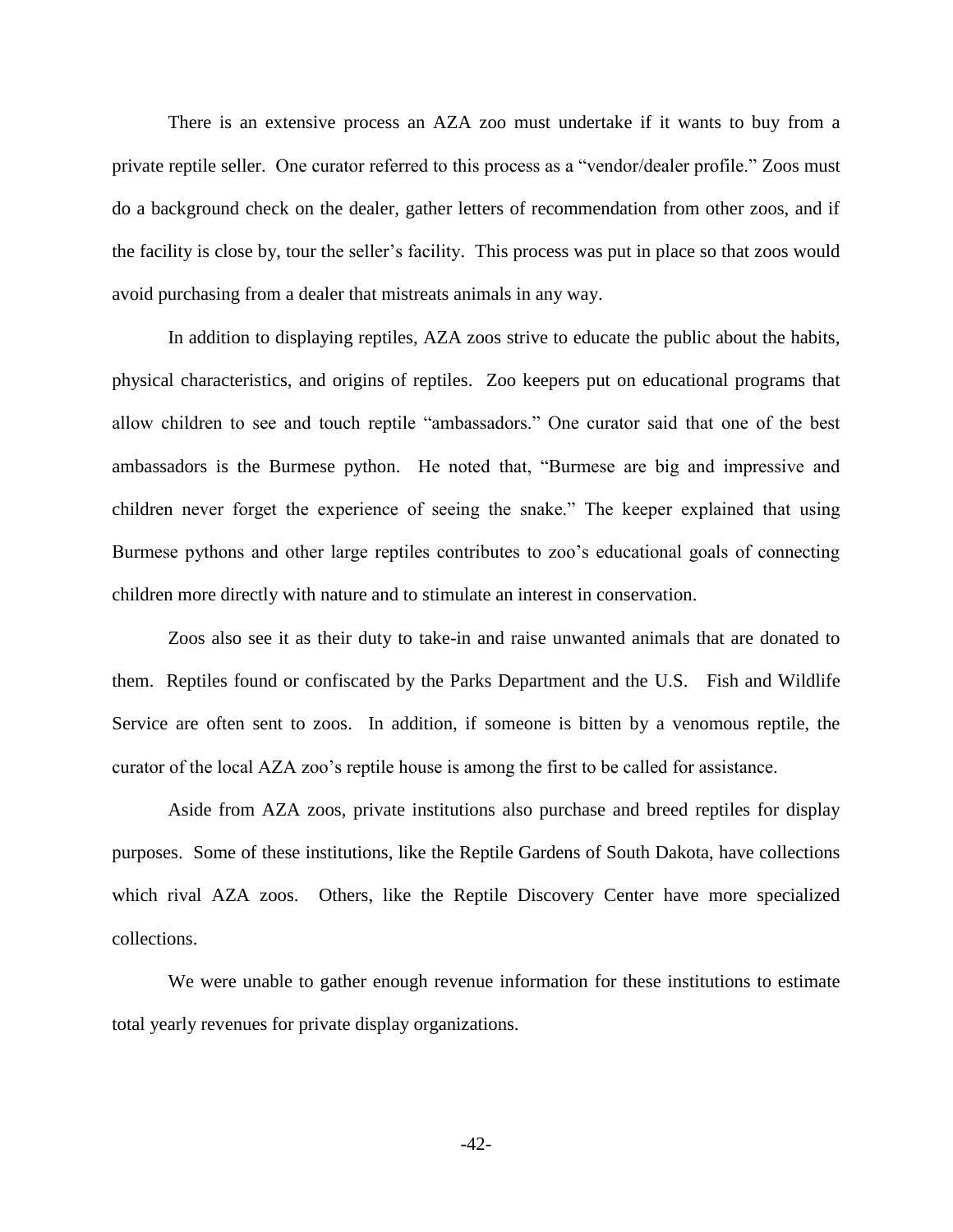There is an extensive process an AZA zoo must undertake if it wants to buy from a private reptile seller. One curator referred to this process as a "vendor/dealer profile." Zoos must do a background check on the dealer, gather letters of recommendation from other zoos, and if the facility is close by, tour the seller's facility. This process was put in place so that zoos would avoid purchasing from a dealer that mistreats animals in any way.

In addition to displaying reptiles, AZA zoos strive to educate the public about the habits, physical characteristics, and origins of reptiles. Zoo keepers put on educational programs that allow children to see and touch reptile "ambassadors." One curator said that one of the best ambassadors is the Burmese python. He noted that, "Burmese are big and impressive and children never forget the experience of seeing the snake." The keeper explained that using Burmese pythons and other large reptiles contributes to zoo's educational goals of connecting children more directly with nature and to stimulate an interest in conservation.

Zoos also see it as their duty to take-in and raise unwanted animals that are donated to them. Reptiles found or confiscated by the Parks Department and the U.S. Fish and Wildlife Service are often sent to zoos. In addition, if someone is bitten by a venomous reptile, the curator of the local AZA zoo's reptile house is among the first to be called for assistance.

Aside from AZA zoos, private institutions also purchase and breed reptiles for display purposes. Some of these institutions, like the Reptile Gardens of South Dakota, have collections which rival AZA zoos. Others, like the Reptile Discovery Center have more specialized collections.

We were unable to gather enough revenue information for these institutions to estimate total yearly revenues for private display organizations.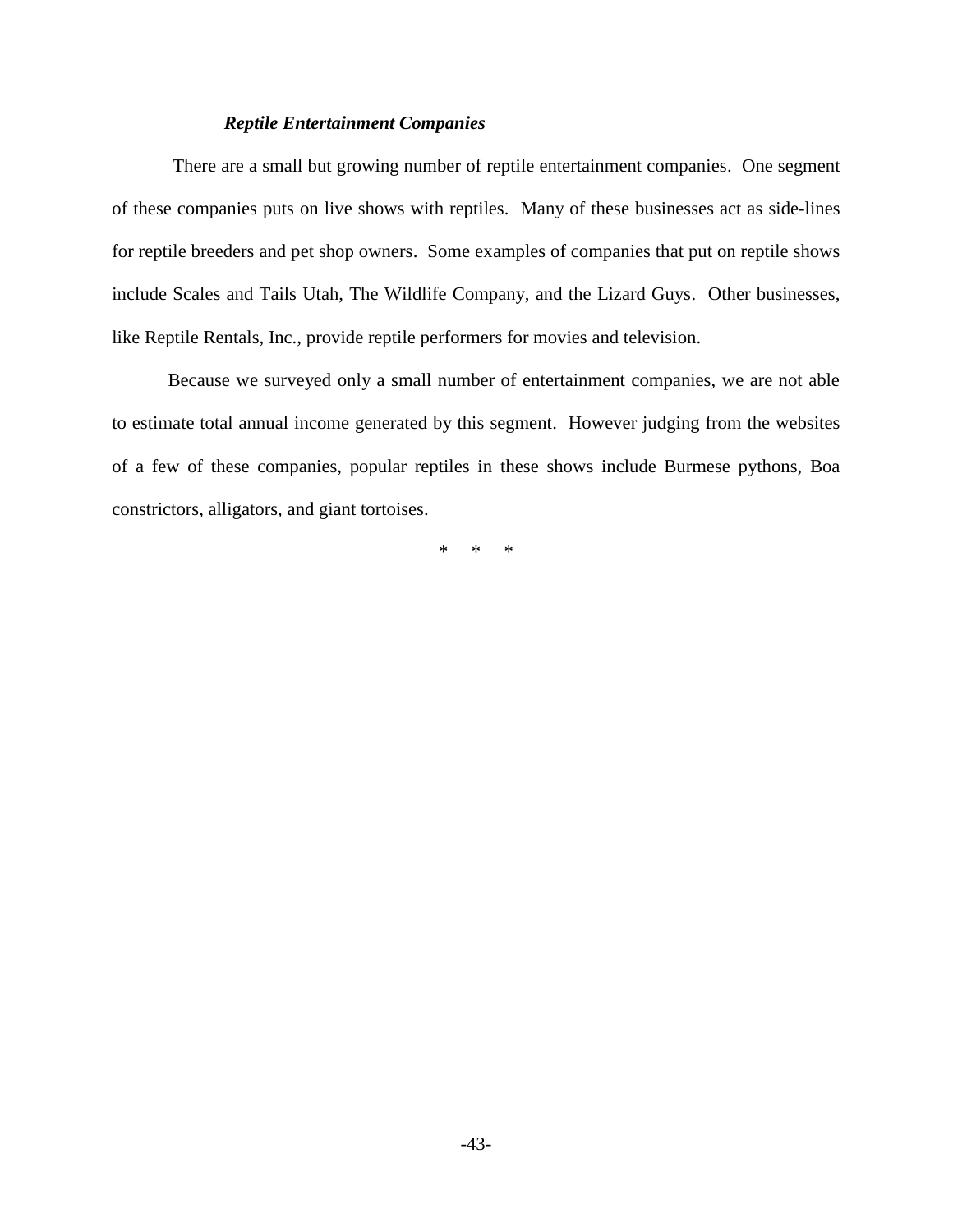### *Reptile Entertainment Companies*

There are a small but growing number of reptile entertainment companies. One segment of these companies puts on live shows with reptiles. Many of these businesses act as side-lines for reptile breeders and pet shop owners. Some examples of companies that put on reptile shows include Scales and Tails Utah, The Wildlife Company, and the Lizard Guys. Other businesses, like Reptile Rentals, Inc., provide reptile performers for movies and television.

Because we surveyed only a small number of entertainment companies, we are not able to estimate total annual income generated by this segment. However judging from the websites of a few of these companies, popular reptiles in these shows include Burmese pythons, Boa constrictors, alligators, and giant tortoises.

\* \* \*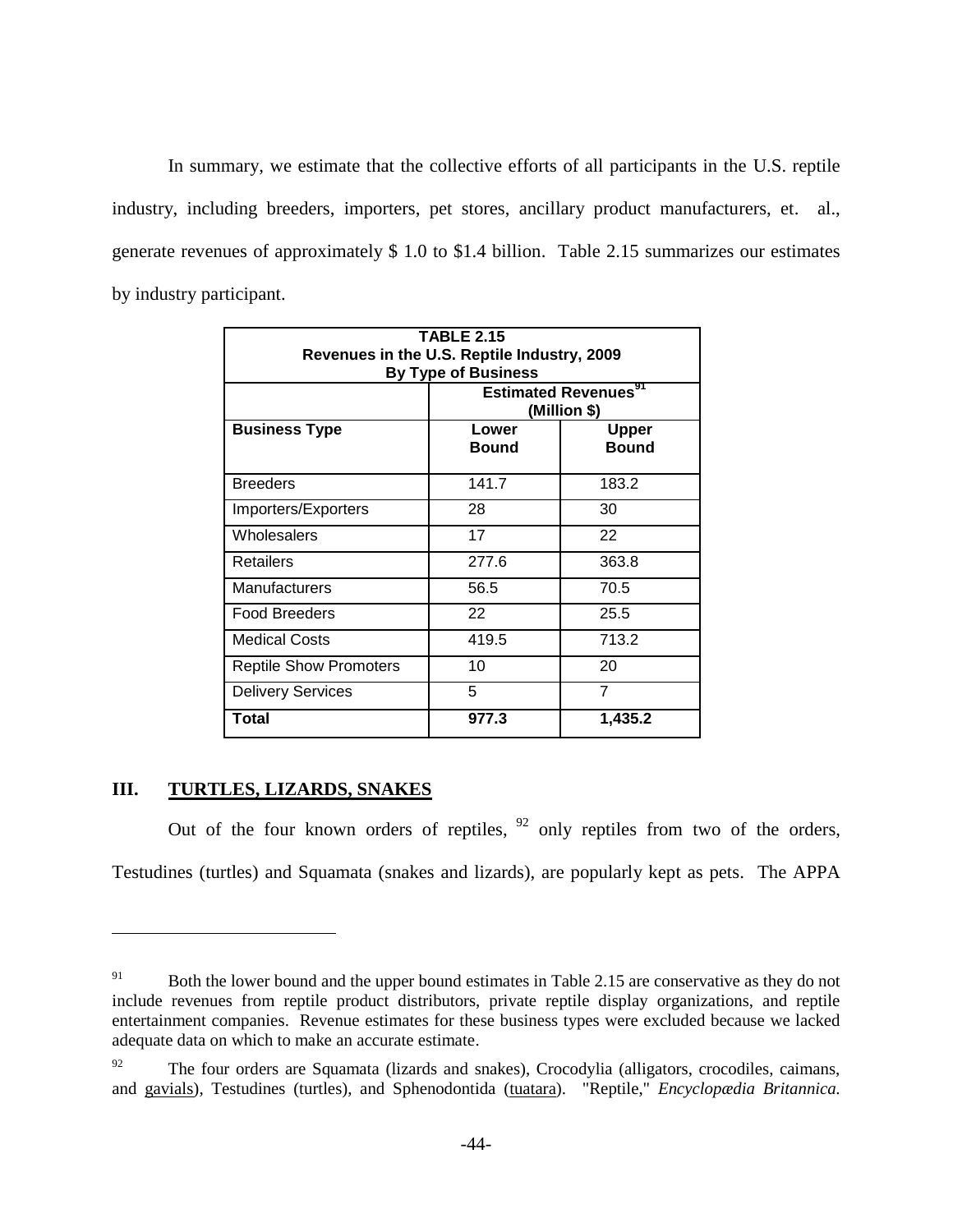In summary, we estimate that the collective efforts of all participants in the U.S. reptile industry, including breeders, importers, pet stores, ancillary product manufacturers, et. al., generate revenues of approximately \$ 1.0 to \$1.4 billion. Table 2.15 summarizes our estimates by industry participant.

| <b>TABLE 2.15</b><br>Revenues in the U.S. Reptile Industry, 2009<br><b>By Type of Business</b> |                                                         |                              |  |
|------------------------------------------------------------------------------------------------|---------------------------------------------------------|------------------------------|--|
|                                                                                                | <b>Estimated Revenues</b> <sup>91</sup><br>(Million \$) |                              |  |
| <b>Business Type</b>                                                                           | Lower<br><b>Bound</b>                                   | <b>Upper</b><br><b>Bound</b> |  |
| <b>Breeders</b>                                                                                | 141.7                                                   | 183.2                        |  |
| Importers/Exporters                                                                            | 28                                                      | 30                           |  |
| Wholesalers                                                                                    | 17                                                      | 22                           |  |
| <b>Retailers</b>                                                                               | 277.6                                                   | 363.8                        |  |
| Manufacturers                                                                                  | 56.5                                                    | 70.5                         |  |
| <b>Food Breeders</b>                                                                           | 22                                                      | 25.5                         |  |
| <b>Medical Costs</b>                                                                           | 419.5                                                   | 713.2                        |  |
| <b>Reptile Show Promoters</b>                                                                  | 10                                                      | 20                           |  |
| <b>Delivery Services</b>                                                                       | 5                                                       | $\overline{7}$               |  |
| Total                                                                                          | 977.3                                                   | 1,435.2                      |  |

# **III. TURTLES, LIZARDS, SNAKES**

 $\overline{a}$ 

Out of the four known orders of reptiles,  $92$  only reptiles from two of the orders, Testudines (turtles) and Squamata (snakes and lizards), are popularly kept as pets. The APPA

<sup>&</sup>lt;sup>91</sup> Both the lower bound and the upper bound estimates in Table 2.15 are conservative as they do not include revenues from reptile product distributors, private reptile display organizations, and reptile entertainment companies. Revenue estimates for these business types were excluded because we lacked adequate data on which to make an accurate estimate.

 $92$  The four orders are Squamata (lizards and snakes), Crocodylia (alligators, crocodiles, caimans, and gavials), Testudines (turtles), and Sphenodontida (tuatara). "Reptile," *Encyclopædia Britannica.*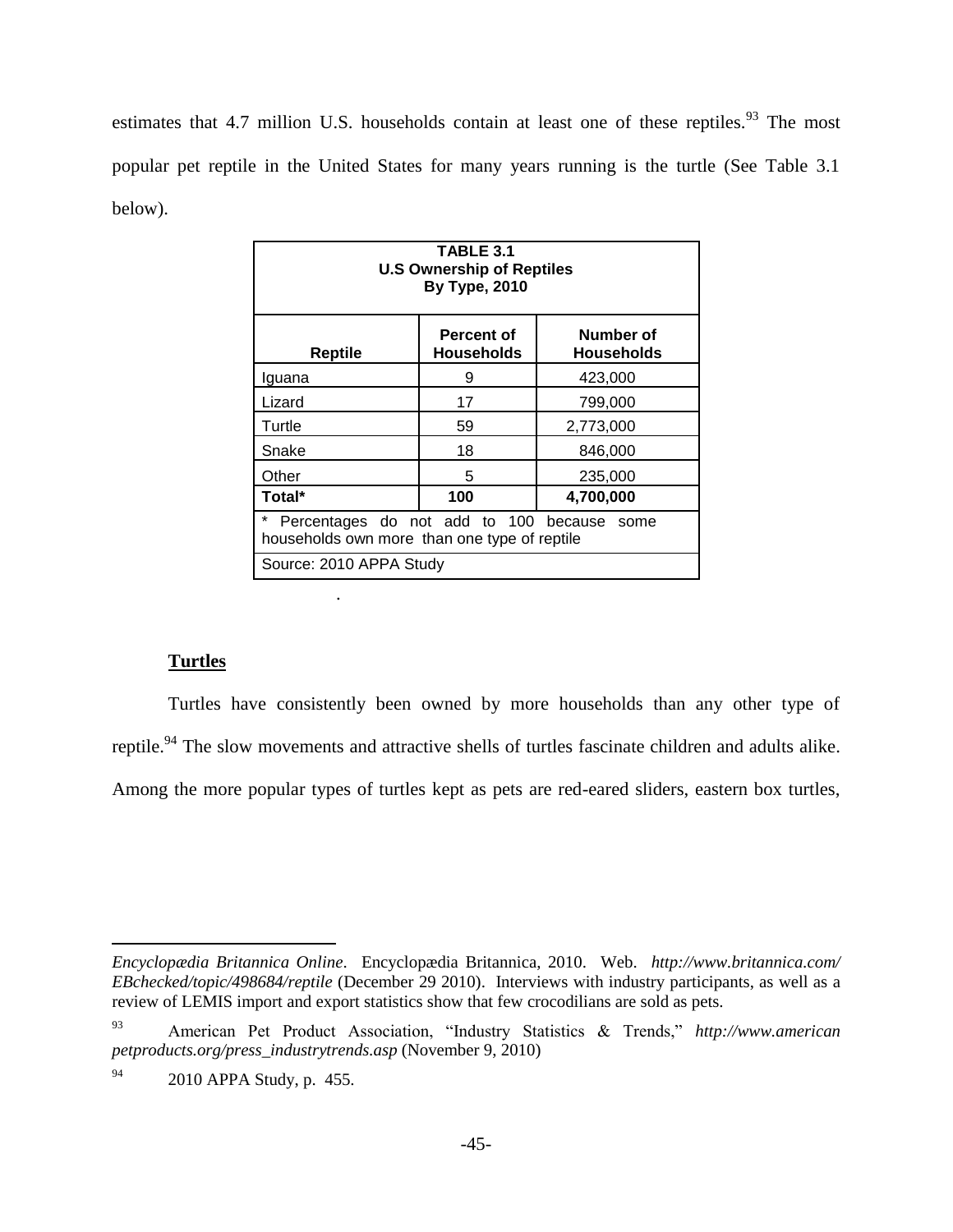estimates that 4.7 million U.S. households contain at least one of these reptiles.<sup>93</sup> The most popular pet reptile in the United States for many years running is the turtle (See Table 3.1 below).

| TABLE 3.1<br><b>U.S Ownership of Reptiles</b><br><b>By Type, 2010</b>                           |               |           |  |  |
|-------------------------------------------------------------------------------------------------|---------------|-----------|--|--|
| Number of<br><b>Percent of</b><br><b>Households</b><br><b>Reptile</b><br>Households             |               |           |  |  |
| Iguana                                                                                          | 9             | 423,000   |  |  |
| Lizard                                                                                          | 17<br>799,000 |           |  |  |
| Turtle                                                                                          | 59            | 2,773,000 |  |  |
| Snake<br>18<br>846,000                                                                          |               |           |  |  |
| Other<br>5<br>235,000                                                                           |               |           |  |  |
| Total*<br>100<br>4,700,000                                                                      |               |           |  |  |
| *<br>Percentages do not add to 100 because some<br>households own more than one type of reptile |               |           |  |  |
| Source: 2010 APPA Study                                                                         |               |           |  |  |

# **Turtles**

 $\overline{a}$ 

.

Turtles have consistently been owned by more households than any other type of reptile.<sup>94</sup> The slow movements and attractive shells of turtles fascinate children and adults alike. Among the more popular types of turtles kept as pets are red-eared sliders, eastern box turtles,

*Encyclopædia Britannica Online*. Encyclopædia Britannica, 2010. Web. *http://www.britannica.com/ EBchecked/topic/498684/reptile* (December 29 2010). Interviews with industry participants, as well as a review of LEMIS import and export statistics show that few crocodilians are sold as pets.

<sup>93</sup> American Pet Product Association, "Industry Statistics & Trends," *http://www.american petproducts.org/press\_industrytrends.asp* (November 9, 2010)

<sup>94</sup> 2010 APPA Study, p. 455.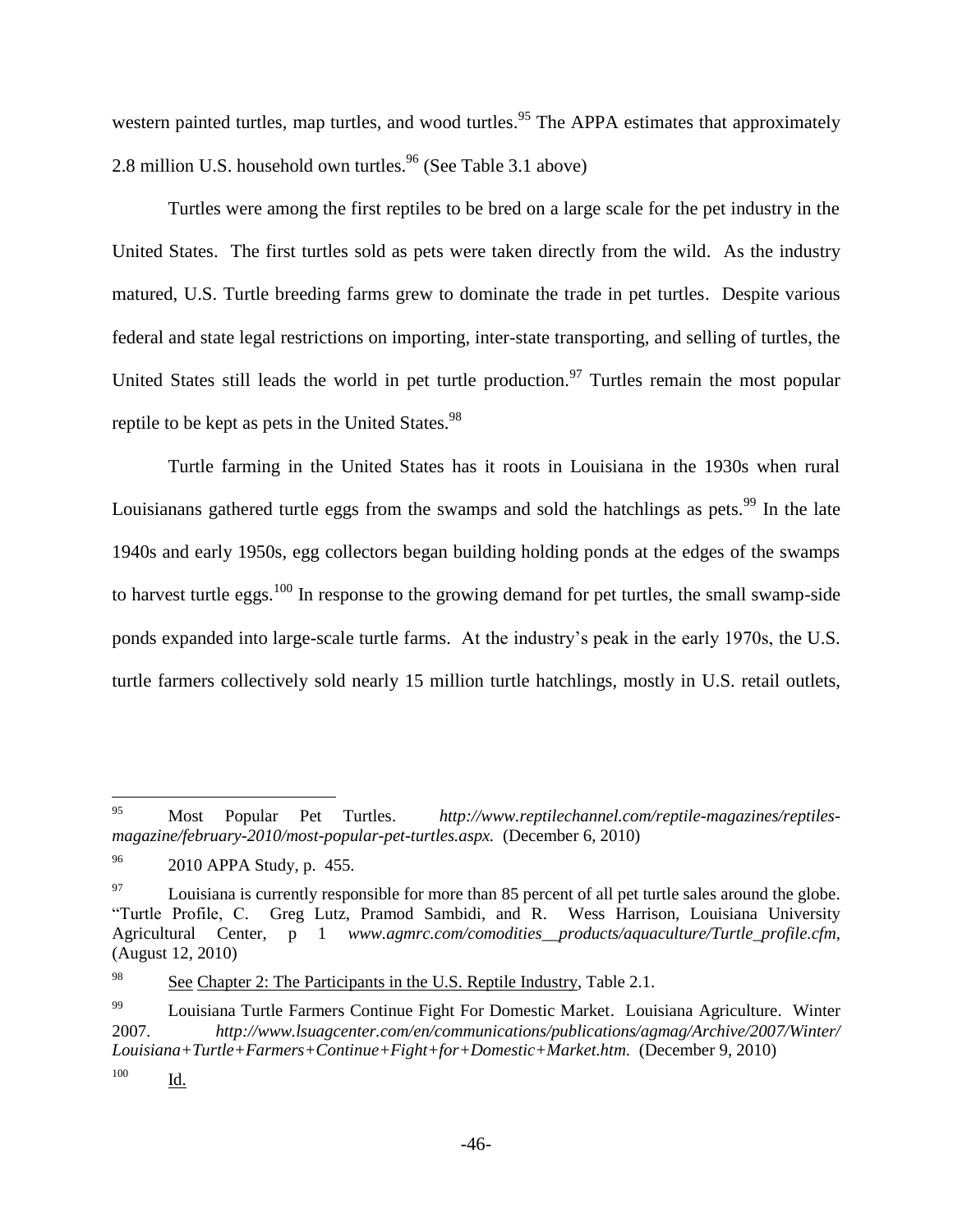western painted turtles, map turtles, and wood turtles.<sup>95</sup> The APPA estimates that approximately 2.8 million U.S. household own turtles.<sup>96</sup> (See Table 3.1 above)

Turtles were among the first reptiles to be bred on a large scale for the pet industry in the United States. The first turtles sold as pets were taken directly from the wild. As the industry matured, U.S. Turtle breeding farms grew to dominate the trade in pet turtles. Despite various federal and state legal restrictions on importing, inter-state transporting, and selling of turtles, the United States still leads the world in pet turtle production.<sup>97</sup> Turtles remain the most popular reptile to be kept as pets in the United States.<sup>98</sup>

Turtle farming in the United States has it roots in Louisiana in the 1930s when rural Louisianans gathered turtle eggs from the swamps and sold the hatchlings as pets. $99$  In the late 1940s and early 1950s, egg collectors began building holding ponds at the edges of the swamps to harvest turtle eggs.<sup>100</sup> In response to the growing demand for pet turtles, the small swamp-side ponds expanded into large-scale turtle farms. At the industry's peak in the early 1970s, the U.S. turtle farmers collectively sold nearly 15 million turtle hatchlings, mostly in U.S. retail outlets,

<sup>95</sup> <sup>95</sup> Most Popular Pet Turtles. *http://www.reptilechannel.com/reptile-magazines/reptilesmagazine/february-2010/most-popular-pet-turtles.aspx.* (December 6, 2010)

 $^{96}$  2010 APPA Study, p. 455.

 $^{97}$  Louisiana is currently responsible for more than 85 percent of all pet turtle sales around the globe. "Turtle Profile, C. Greg Lutz, Pramod Sambidi, and R. Wess Harrison, Louisiana University Agricultural Center, p 1 *www.agmrc.com/comodities\_\_products/aquaculture/Turtle\_profile.cfm*, (August 12, 2010)

<sup>&</sup>lt;sup>98</sup> See Chapter 2: The Participants in the U.S. Reptile Industry, Table 2.1.

<sup>&</sup>lt;sup>99</sup> Louisiana Turtle Farmers Continue Fight For Domestic Market. Louisiana Agriculture. Winter 2007. *http://www.lsuagcenter.com/en/communications/publications/agmag/Archive/2007/Winter/ Louisiana+Turtle+Farmers+Continue+Fight+for+Domestic+Market.htm.* (December 9, 2010)

<sup>100</sup> Id.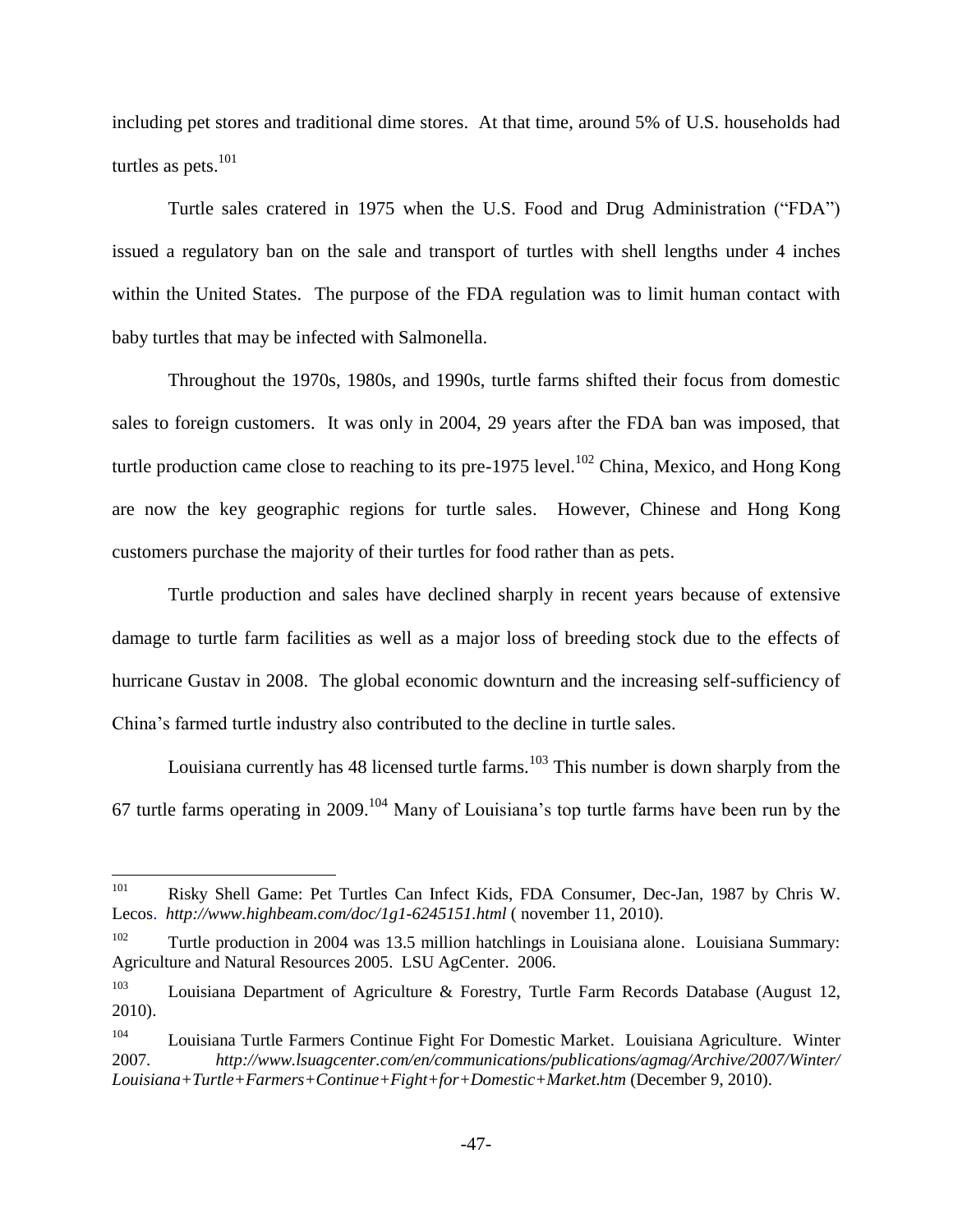including pet stores and traditional dime stores. At that time, around 5% of U.S. households had turtles as pets.<sup>101</sup>

Turtle sales cratered in 1975 when the U.S. Food and Drug Administration ("FDA") issued a regulatory ban on the sale and transport of turtles with shell lengths under 4 inches within the United States. The purpose of the FDA regulation was to limit human contact with baby turtles that may be infected with Salmonella.

Throughout the 1970s, 1980s, and 1990s, turtle farms shifted their focus from domestic sales to foreign customers. It was only in 2004, 29 years after the FDA ban was imposed, that turtle production came close to reaching to its pre-1975 level.<sup>102</sup> China, Mexico, and Hong Kong are now the key geographic regions for turtle sales. However, Chinese and Hong Kong customers purchase the majority of their turtles for food rather than as pets.

Turtle production and sales have declined sharply in recent years because of extensive damage to turtle farm facilities as well as a major loss of breeding stock due to the effects of hurricane Gustav in 2008. The global economic downturn and the increasing self-sufficiency of China's farmed turtle industry also contributed to the decline in turtle sales.

Louisiana currently has 48 licensed turtle farms.<sup>103</sup> This number is down sharply from the 67 turtle farms operating in 2009.<sup>104</sup> Many of Louisiana's top turtle farms have been run by the

<sup>101</sup> <sup>101</sup> Risky Shell Game: Pet Turtles Can Infect Kids, FDA Consumer, Dec-Jan, 1987 by Chris W. Lecos. *http://www.highbeam.com/doc/1g1-6245151.html* ( november 11, 2010).

<sup>&</sup>lt;sup>102</sup> Turtle production in 2004 was 13.5 million hatchlings in Louisiana alone. Louisiana Summary: Agriculture and Natural Resources 2005. LSU AgCenter. 2006.

<sup>&</sup>lt;sup>103</sup> Louisiana Department of Agriculture & Forestry, Turtle Farm Records Database (August 12, 2010).

<sup>104</sup> Louisiana Turtle Farmers Continue Fight For Domestic Market. Louisiana Agriculture. Winter 2007. *[http://www.lsuagcenter.com/en/communications/publications/agmag/Archive/2007/Winter/](http://www.lsuagcenter.com/en/communications/publications/agmag/Archive/2007/Winter/Louisiana+Turtle+Farmers+Continue+Fight+for+Domestic+Market.htm) [Louisiana+Turtle+Farmers+Continue+Fight+for+Domestic+Market.htm](http://www.lsuagcenter.com/en/communications/publications/agmag/Archive/2007/Winter/Louisiana+Turtle+Farmers+Continue+Fight+for+Domestic+Market.htm)* (December 9, 2010).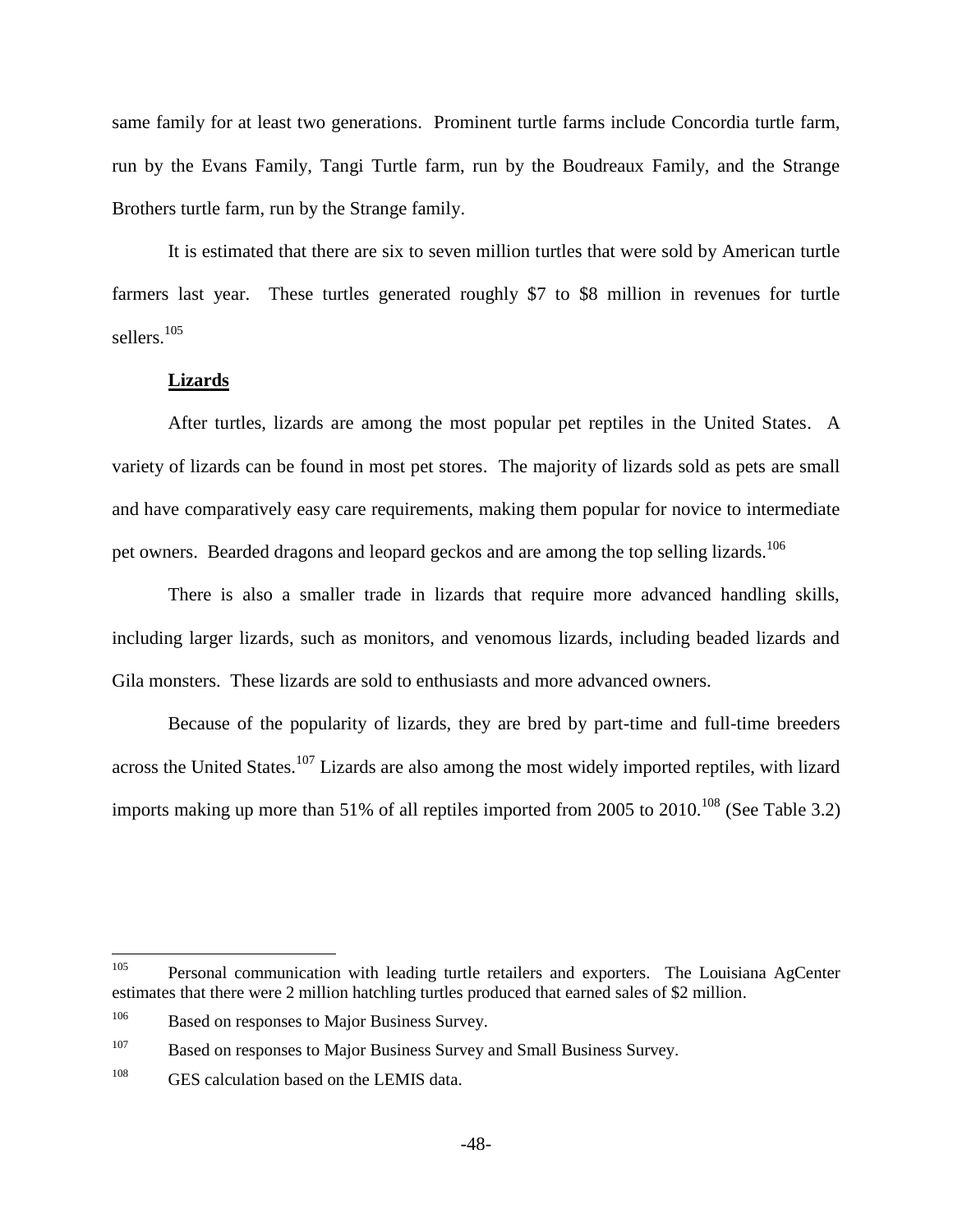same family for at least two generations. Prominent turtle farms include Concordia turtle farm, run by the Evans Family, Tangi Turtle farm, run by the Boudreaux Family, and the Strange Brothers turtle farm, run by the Strange family.

It is estimated that there are six to seven million turtles that were sold by American turtle farmers last year. These turtles generated roughly \$7 to \$8 million in revenues for turtle sellers.<sup>105</sup>

### **Lizards**

After turtles, lizards are among the most popular pet reptiles in the United States. A variety of lizards can be found in most pet stores. The majority of lizards sold as pets are small and have comparatively easy care requirements, making them popular for novice to intermediate pet owners. Bearded dragons and leopard geckos and are among the top selling lizards.<sup>106</sup>

There is also a smaller trade in lizards that require more advanced handling skills, including larger lizards, such as monitors, and venomous lizards, including beaded lizards and Gila monsters. These lizards are sold to enthusiasts and more advanced owners.

Because of the popularity of lizards, they are bred by part-time and full-time breeders across the United States.<sup>107</sup> Lizards are also among the most widely imported reptiles, with lizard imports making up more than 51% of all reptiles imported from 2005 to 2010.<sup>108</sup> (See Table 3.2)

 $105$ <sup>105</sup> Personal communication with leading turtle retailers and exporters. The Louisiana AgCenter estimates that there were 2 million hatchling turtles produced that earned sales of \$2 million.

<sup>&</sup>lt;sup>106</sup> Based on responses to Major Business Survey.

<sup>&</sup>lt;sup>107</sup> Based on responses to Major Business Survey and Small Business Survey.

<sup>&</sup>lt;sup>108</sup> GES calculation based on the LEMIS data.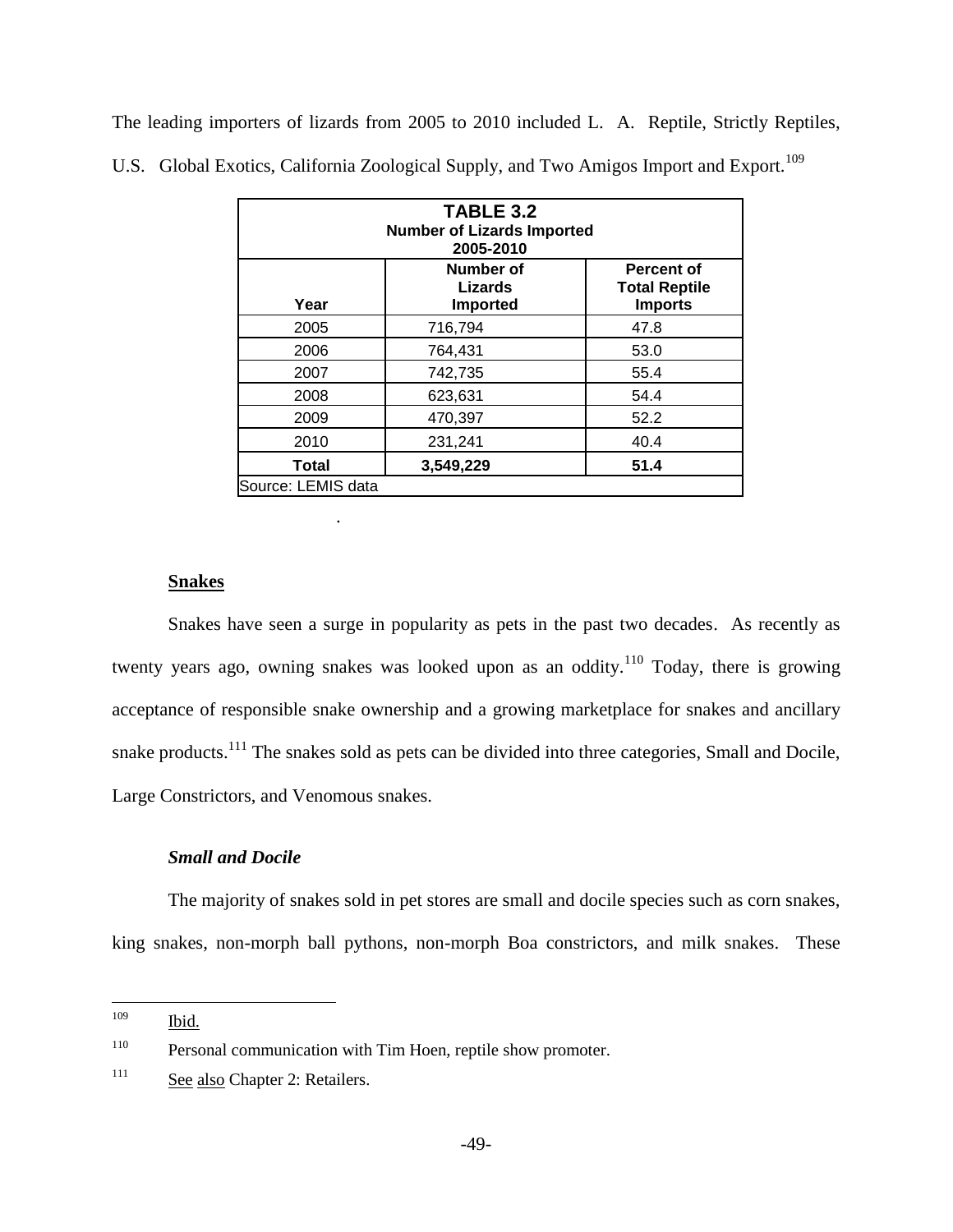The leading importers of lizards from 2005 to 2010 included L. A. Reptile, Strictly Reptiles, U.S. Global Exotics, California Zoological Supply, and Two Amigos Import and Export.<sup>109</sup>

| <b>TABLE 3.2</b><br><b>Number of Lizards Imported</b><br>2005-2010 |                                                |                                                             |  |
|--------------------------------------------------------------------|------------------------------------------------|-------------------------------------------------------------|--|
| Year                                                               | Number of<br><b>Lizards</b><br><b>Imported</b> | <b>Percent of</b><br><b>Total Reptile</b><br><b>Imports</b> |  |
| 2005                                                               | 716,794                                        | 47.8                                                        |  |
| 2006                                                               | 764,431                                        | 53.0                                                        |  |
| 2007                                                               | 742,735                                        | 55.4                                                        |  |
| 2008                                                               | 623,631                                        | 54.4                                                        |  |
| 2009                                                               | 470,397                                        | 52.2                                                        |  |
| 2010                                                               | 231,241                                        | 40.4                                                        |  |
| Total                                                              | 3,549,229                                      | 51.4                                                        |  |
| Source: LEMIS data                                                 |                                                |                                                             |  |

# **Snakes**

Snakes have seen a surge in popularity as pets in the past two decades. As recently as twenty years ago, owning snakes was looked upon as an oddity.<sup>110</sup> Today, there is growing acceptance of responsible snake ownership and a growing marketplace for snakes and ancillary snake products.<sup>111</sup> The snakes sold as pets can be divided into three categories, Small and Docile, Large Constrictors, and Venomous snakes.

# *Small and Docile*

The majority of snakes sold in pet stores are small and docile species such as corn snakes, king snakes, non-morph ball pythons, non-morph Boa constrictors, and milk snakes. These

.

<sup>109</sup> Ibid.

<sup>&</sup>lt;sup>110</sup> Personal communication with Tim Hoen, reptile show promoter.

<sup>&</sup>lt;sup>111</sup> See also Chapter 2: Retailers.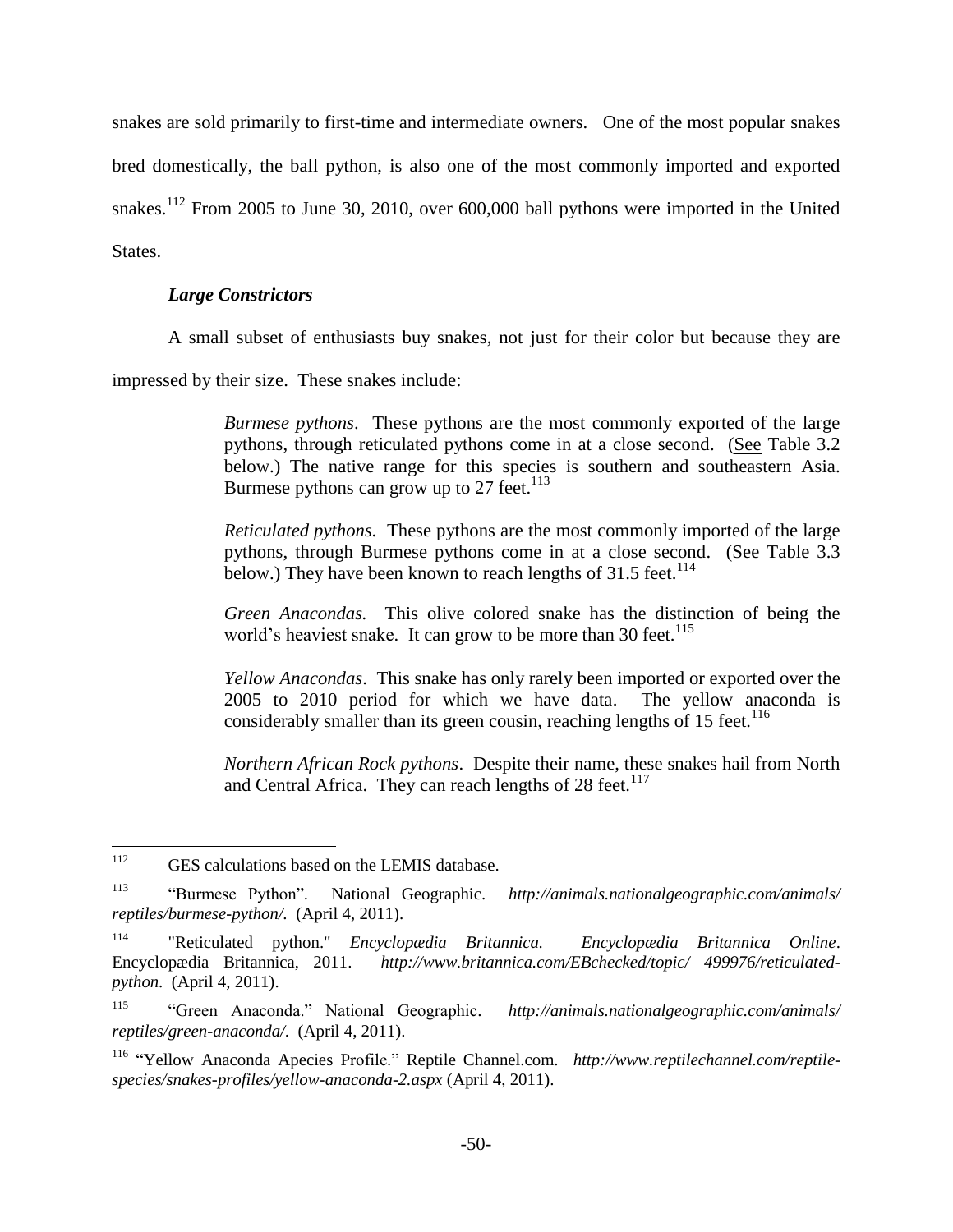snakes are sold primarily to first-time and intermediate owners. One of the most popular snakes bred domestically, the ball python, is also one of the most commonly imported and exported snakes.<sup>112</sup> From 2005 to June 30, 2010, over 600,000 ball pythons were imported in the United States.

# *Large Constrictors*

A small subset of enthusiasts buy snakes, not just for their color but because they are

impressed by their size. These snakes include:

*Burmese pythons*. These pythons are the most commonly exported of the large pythons, through reticulated pythons come in at a close second. (See Table 3.2 below.) The native range for this species is southern and southeastern Asia. Burmese pythons can grow up to 27 feet.<sup>113</sup>

*Reticulated pythons.* These pythons are the most commonly imported of the large pythons, through Burmese pythons come in at a close second. (See Table 3.3 below.) They have been known to reach lengths of  $31.5$  feet.<sup>114</sup>

*Green Anacondas.* This olive colored snake has the distinction of being the world's heaviest snake. It can grow to be more than 30 feet.<sup>115</sup>

*Yellow Anacondas*. This snake has only rarely been imported or exported over the 2005 to 2010 period for which we have data. The yellow anaconda is considerably smaller than its green cousin, reaching lengths of 15 feet.<sup>116</sup>

*Northern African Rock pythons*. Despite their name, these snakes hail from North and Central Africa. They can reach lengths of  $28$  feet.<sup>117</sup>

<sup>112</sup> GES calculations based on the LEMIS database.

<sup>113</sup> "Burmese Python"*.* National Geographic. *http://animals.nationalgeographic.com/animals/ reptiles/burmese-python/.* (April 4, 2011).

<sup>114</sup> "Reticulated python." *Encyclopædia Britannica. Encyclopædia Britannica Online*. Encyclopædia Britannica, 2011. *http://www.britannica.com/EBchecked/topic/ 499976/reticulatedpython*. (April 4, 2011).

<sup>115</sup> "Green Anaconda." National Geographic. *http://animals.nationalgeographic.com/animals/ reptiles/green-anaconda/.* (April 4, 2011).

<sup>116</sup> "Yellow Anaconda Apecies Profile." Reptile Channel.com. *http://www.reptilechannel.com/reptilespecies/snakes-profiles/yellow-anaconda-2.aspx* (April 4, 2011).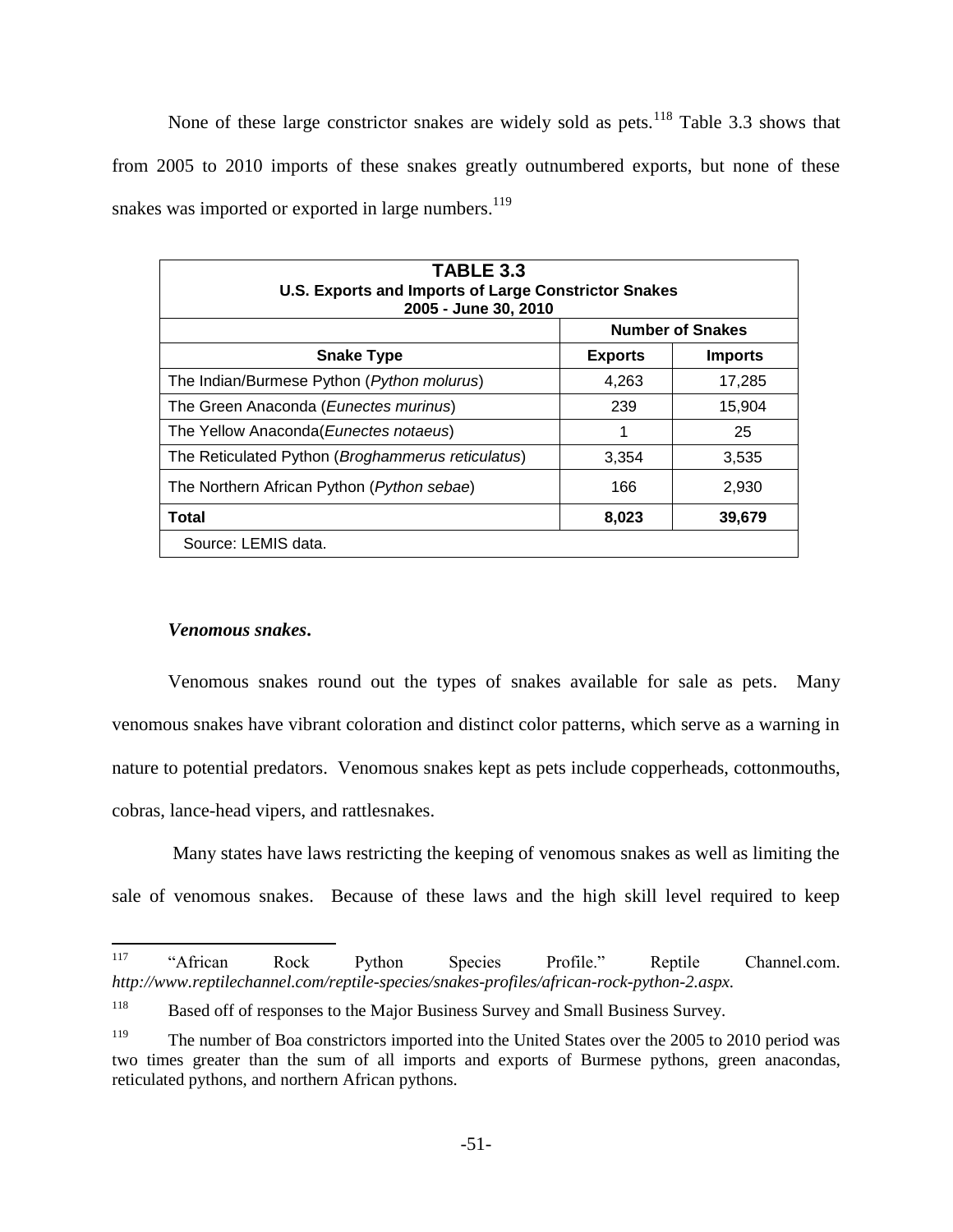None of these large constrictor snakes are widely sold as pets.<sup>118</sup> Table 3.3 shows that from 2005 to 2010 imports of these snakes greatly outnumbered exports, but none of these snakes was imported or exported in large numbers. $119$ 

| <b>TABLE 3.3</b><br><b>U.S. Exports and Imports of Large Constrictor Snakes</b><br>2005 - June 30, 2010 |                |                         |  |
|---------------------------------------------------------------------------------------------------------|----------------|-------------------------|--|
|                                                                                                         |                | <b>Number of Snakes</b> |  |
| <b>Snake Type</b>                                                                                       | <b>Exports</b> | <b>Imports</b>          |  |
| The Indian/Burmese Python (Python molurus)                                                              | 4,263          | 17,285                  |  |
| The Green Anaconda (Eunectes murinus)                                                                   | 239            | 15,904                  |  |
| The Yellow Anaconda (Eunectes notaeus)                                                                  | 1              | 25                      |  |
| The Reticulated Python (Broghammerus reticulatus)                                                       | 3,354          | 3,535                   |  |
| The Northern African Python ( <i>Python sebae</i> )                                                     | 166            | 2,930                   |  |
| <b>Total</b><br>8,023<br>39,679                                                                         |                |                         |  |
| Source: LEMIS data.                                                                                     |                |                         |  |

# *Venomous snakes***.**

Venomous snakes round out the types of snakes available for sale as pets. Many venomous snakes have vibrant coloration and distinct color patterns, which serve as a warning in nature to potential predators. Venomous snakes kept as pets include copperheads, cottonmouths, cobras, lance-head vipers, and rattlesnakes.

Many states have laws restricting the keeping of venomous snakes as well as limiting the sale of venomous snakes. Because of these laws and the high skill level required to keep

<sup>117</sup> <sup>117</sup> "African Rock Python Species Profile." Reptile Channel.com. *http://www.reptilechannel.com/reptile-species/snakes-profiles/african-rock-python-2.aspx.*

<sup>&</sup>lt;sup>118</sup> Based off of responses to the Major Business Survey and Small Business Survey.

<sup>&</sup>lt;sup>119</sup> The number of Boa constrictors imported into the United States over the 2005 to 2010 period was two times greater than the sum of all imports and exports of Burmese pythons, green anacondas, reticulated pythons, and northern African pythons.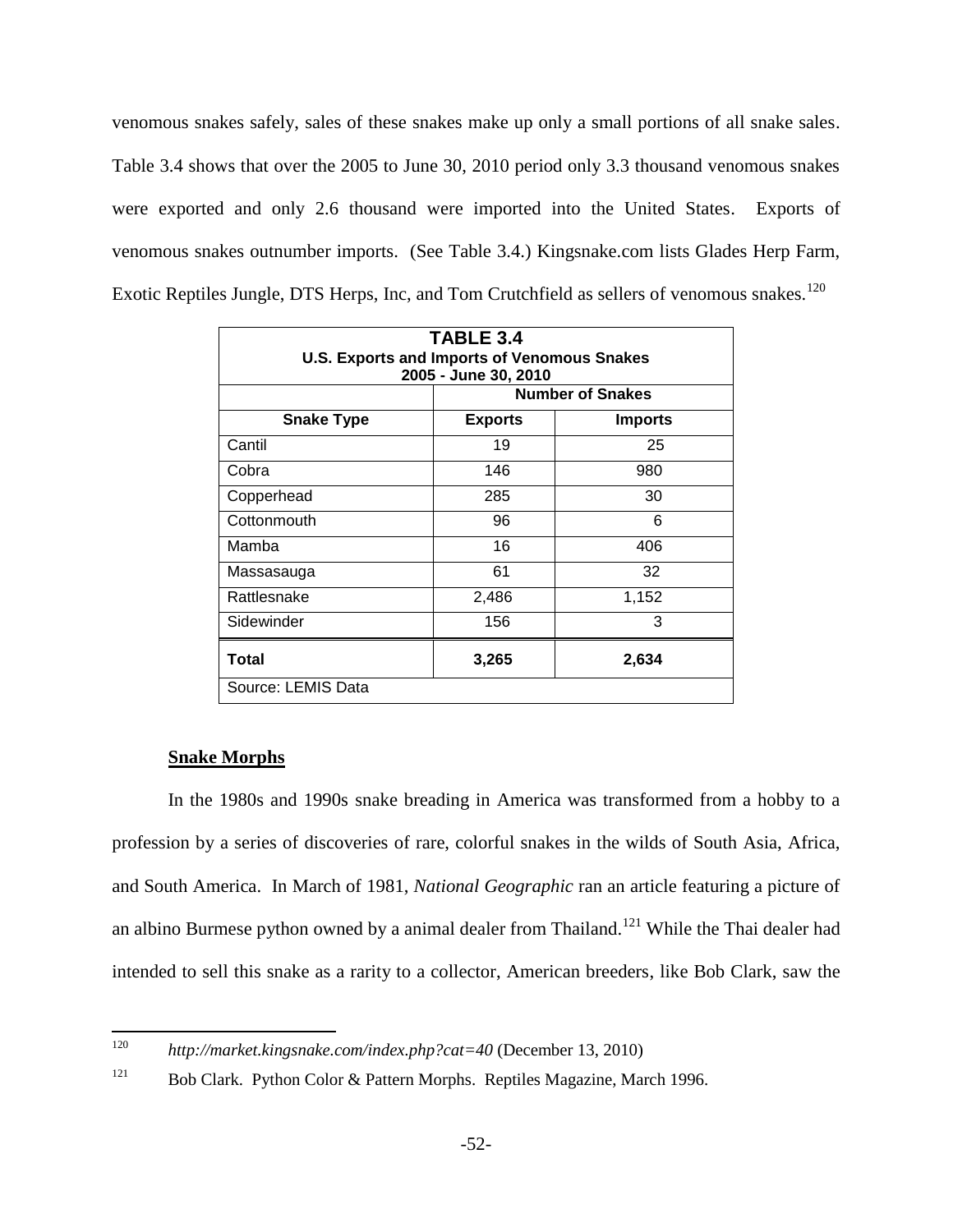venomous snakes safely, sales of these snakes make up only a small portions of all snake sales. Table 3.4 shows that over the 2005 to June 30, 2010 period only 3.3 thousand venomous snakes were exported and only 2.6 thousand were imported into the United States. Exports of venomous snakes outnumber imports. (See Table 3.4.) Kingsnake.com lists Glades Herp Farm, Exotic Reptiles Jungle, DTS Herps, Inc, and Tom Crutchfield as sellers of venomous snakes.<sup>120</sup>

| TABLE 3.4<br><b>U.S. Exports and Imports of Venomous Snakes</b><br>2005 - June 30, 2010<br><b>Number of Snakes</b> |                                  |       |  |  |
|--------------------------------------------------------------------------------------------------------------------|----------------------------------|-------|--|--|
| <b>Snake Type</b>                                                                                                  | <b>Exports</b><br><b>Imports</b> |       |  |  |
| Cantil                                                                                                             | 19                               | 25    |  |  |
| Cobra                                                                                                              | 146                              | 980   |  |  |
| Copperhead                                                                                                         | 285                              | 30    |  |  |
| Cottonmouth                                                                                                        | 96                               | 6     |  |  |
| Mamba                                                                                                              | 16                               | 406   |  |  |
| Massasauga                                                                                                         | 61                               | 32    |  |  |
| Rattlesnake                                                                                                        | 2,486                            | 1,152 |  |  |
| Sidewinder                                                                                                         | 156                              | 3     |  |  |
| Total                                                                                                              | 3,265                            | 2,634 |  |  |
| Source: LEMIS Data                                                                                                 |                                  |       |  |  |

#### **Snake Morphs**

In the 1980s and 1990s snake breading in America was transformed from a hobby to a profession by a series of discoveries of rare, colorful snakes in the wilds of South Asia, Africa, and South America. In March of 1981, *National Geographic* ran an article featuring a picture of an albino Burmese python owned by a animal dealer from Thailand.<sup>121</sup> While the Thai dealer had intended to sell this snake as a rarity to a collector, American breeders, like Bob Clark, saw the

<sup>120</sup> 

<sup>120</sup> *http://market.kingsnake.com/index.php?cat=40* (December 13, 2010)

<sup>&</sup>lt;sup>121</sup> Bob Clark. Python Color & Pattern Morphs. Reptiles Magazine, March 1996.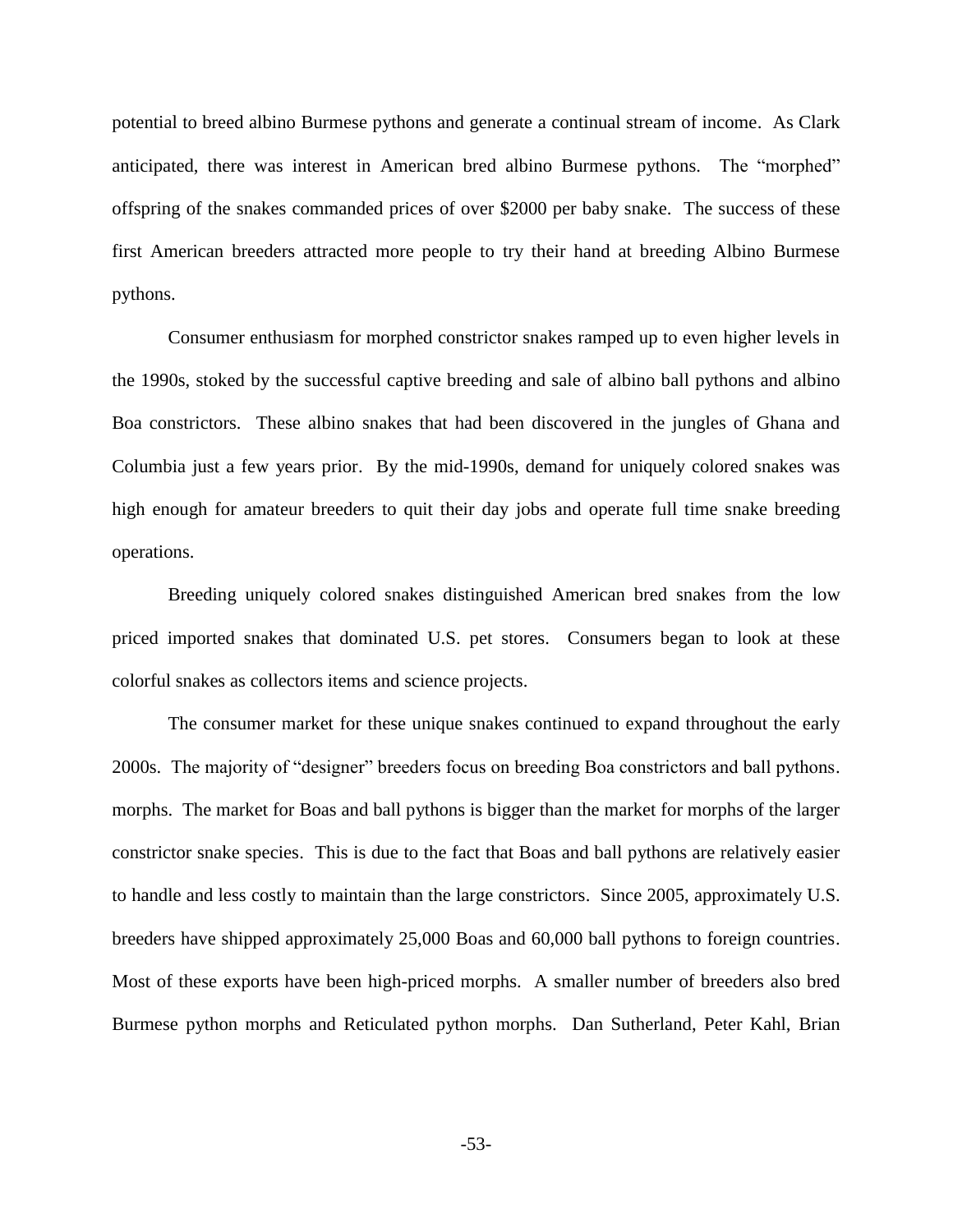potential to breed albino Burmese pythons and generate a continual stream of income. As Clark anticipated, there was interest in American bred albino Burmese pythons. The "morphed" offspring of the snakes commanded prices of over \$2000 per baby snake. The success of these first American breeders attracted more people to try their hand at breeding Albino Burmese pythons.

Consumer enthusiasm for morphed constrictor snakes ramped up to even higher levels in the 1990s, stoked by the successful captive breeding and sale of albino ball pythons and albino Boa constrictors. These albino snakes that had been discovered in the jungles of Ghana and Columbia just a few years prior. By the mid-1990s, demand for uniquely colored snakes was high enough for amateur breeders to quit their day jobs and operate full time snake breeding operations.

Breeding uniquely colored snakes distinguished American bred snakes from the low priced imported snakes that dominated U.S. pet stores. Consumers began to look at these colorful snakes as collectors items and science projects.

The consumer market for these unique snakes continued to expand throughout the early 2000s. The majority of "designer" breeders focus on breeding Boa constrictors and ball pythons. morphs. The market for Boas and ball pythons is bigger than the market for morphs of the larger constrictor snake species. This is due to the fact that Boas and ball pythons are relatively easier to handle and less costly to maintain than the large constrictors. Since 2005, approximately U.S. breeders have shipped approximately 25,000 Boas and 60,000 ball pythons to foreign countries. Most of these exports have been high-priced morphs. A smaller number of breeders also bred Burmese python morphs and Reticulated python morphs. Dan Sutherland, Peter Kahl, Brian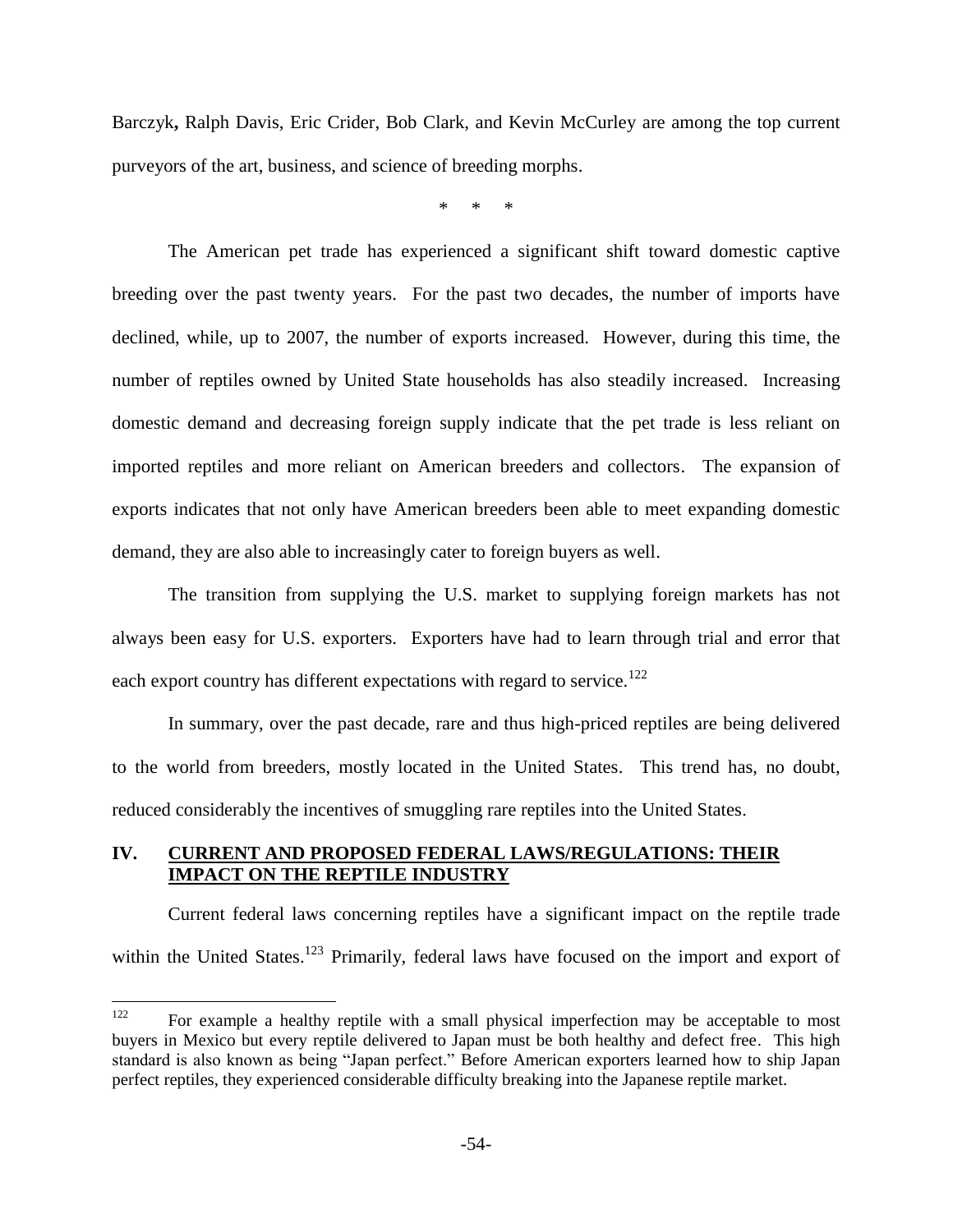Barczyk**,** Ralph Davis, Eric Crider, Bob Clark, and Kevin McCurley are among the top current purveyors of the art, business, and science of breeding morphs.

\* \* \*

The American pet trade has experienced a significant shift toward domestic captive breeding over the past twenty years. For the past two decades, the number of imports have declined, while, up to 2007, the number of exports increased. However, during this time, the number of reptiles owned by United State households has also steadily increased. Increasing domestic demand and decreasing foreign supply indicate that the pet trade is less reliant on imported reptiles and more reliant on American breeders and collectors. The expansion of exports indicates that not only have American breeders been able to meet expanding domestic demand, they are also able to increasingly cater to foreign buyers as well.

The transition from supplying the U.S. market to supplying foreign markets has not always been easy for U.S. exporters. Exporters have had to learn through trial and error that each export country has different expectations with regard to service.<sup>122</sup>

In summary, over the past decade, rare and thus high-priced reptiles are being delivered to the world from breeders, mostly located in the United States. This trend has, no doubt, reduced considerably the incentives of smuggling rare reptiles into the United States.

# **IV. CURRENT AND PROPOSED FEDERAL LAWS/REGULATIONS: THEIR IMPACT ON THE REPTILE INDUSTRY**

Current federal laws concerning reptiles have a significant impact on the reptile trade within the United States.<sup>123</sup> Primarily, federal laws have focused on the import and export of

<sup>122</sup> <sup>122</sup> For example a healthy reptile with a small physical imperfection may be acceptable to most buyers in Mexico but every reptile delivered to Japan must be both healthy and defect free. This high standard is also known as being "Japan perfect." Before American exporters learned how to ship Japan perfect reptiles, they experienced considerable difficulty breaking into the Japanese reptile market.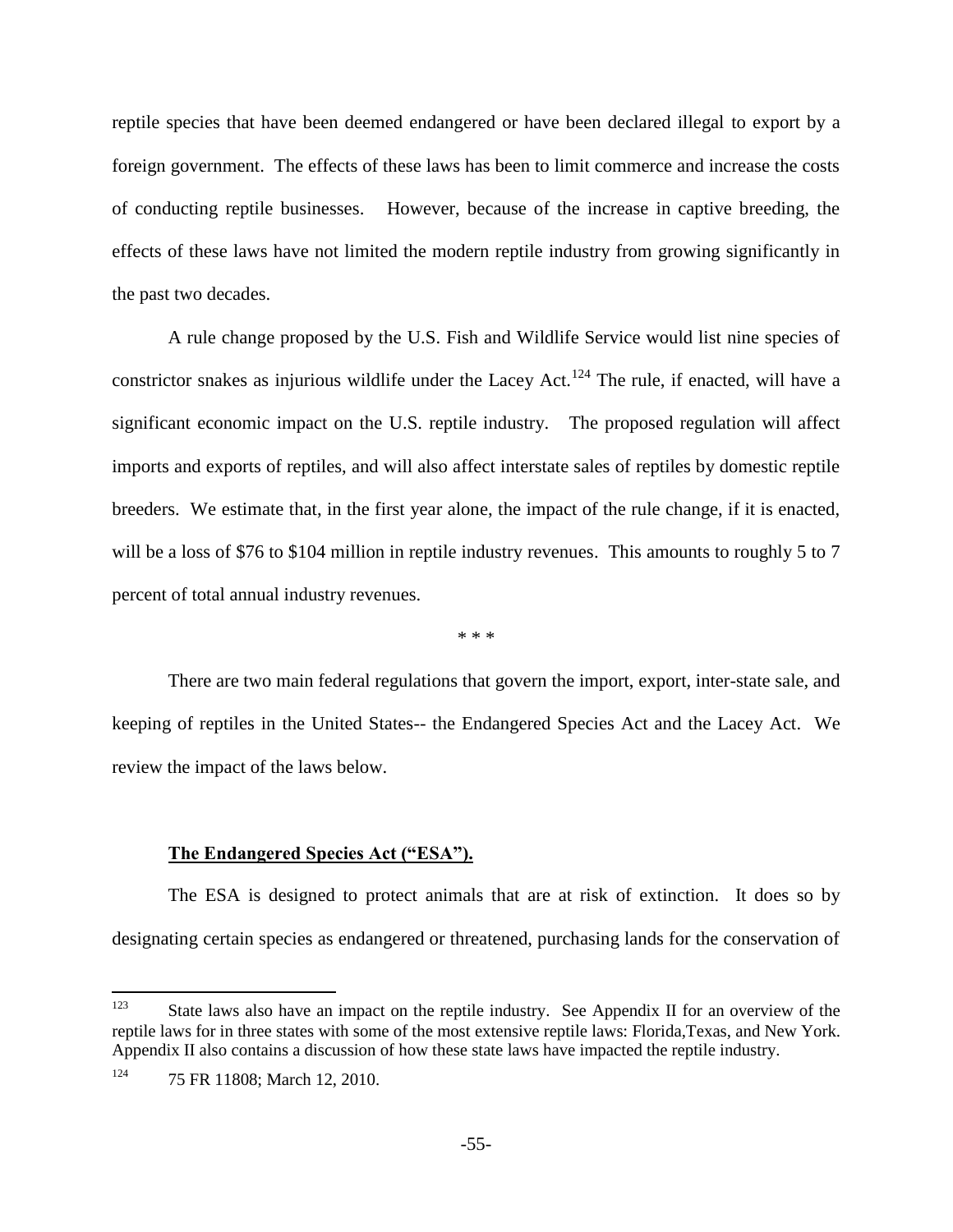reptile species that have been deemed endangered or have been declared illegal to export by a foreign government. The effects of these laws has been to limit commerce and increase the costs of conducting reptile businesses. However, because of the increase in captive breeding, the effects of these laws have not limited the modern reptile industry from growing significantly in the past two decades.

A rule change proposed by the U.S. Fish and Wildlife Service would list nine species of constrictor snakes as injurious wildlife under the Lacey Act.<sup>124</sup> The rule, if enacted, will have a significant economic impact on the U.S. reptile industry. The proposed regulation will affect imports and exports of reptiles, and will also affect interstate sales of reptiles by domestic reptile breeders. We estimate that, in the first year alone, the impact of the rule change, if it is enacted, will be a loss of \$76 to \$104 million in reptile industry revenues. This amounts to roughly 5 to 7 percent of total annual industry revenues.

\* \* \*

There are two main federal regulations that govern the import, export, inter-state sale, and keeping of reptiles in the United States-- the Endangered Species Act and the Lacey Act. We review the impact of the laws below.

### **The Endangered Species Act ("ESA").**

The ESA is designed to protect animals that are at risk of extinction. It does so by designating certain species as endangered or threatened, purchasing lands for the conservation of

 $\overline{a}$ 

<sup>&</sup>lt;sup>123</sup> State laws also have an impact on the reptile industry. See Appendix II for an overview of the reptile laws for in three states with some of the most extensive reptile laws: Florida,Texas, and New York. Appendix II also contains a discussion of how these state laws have impacted the reptile industry.

<sup>124</sup> 75 FR 11808; March 12, 2010.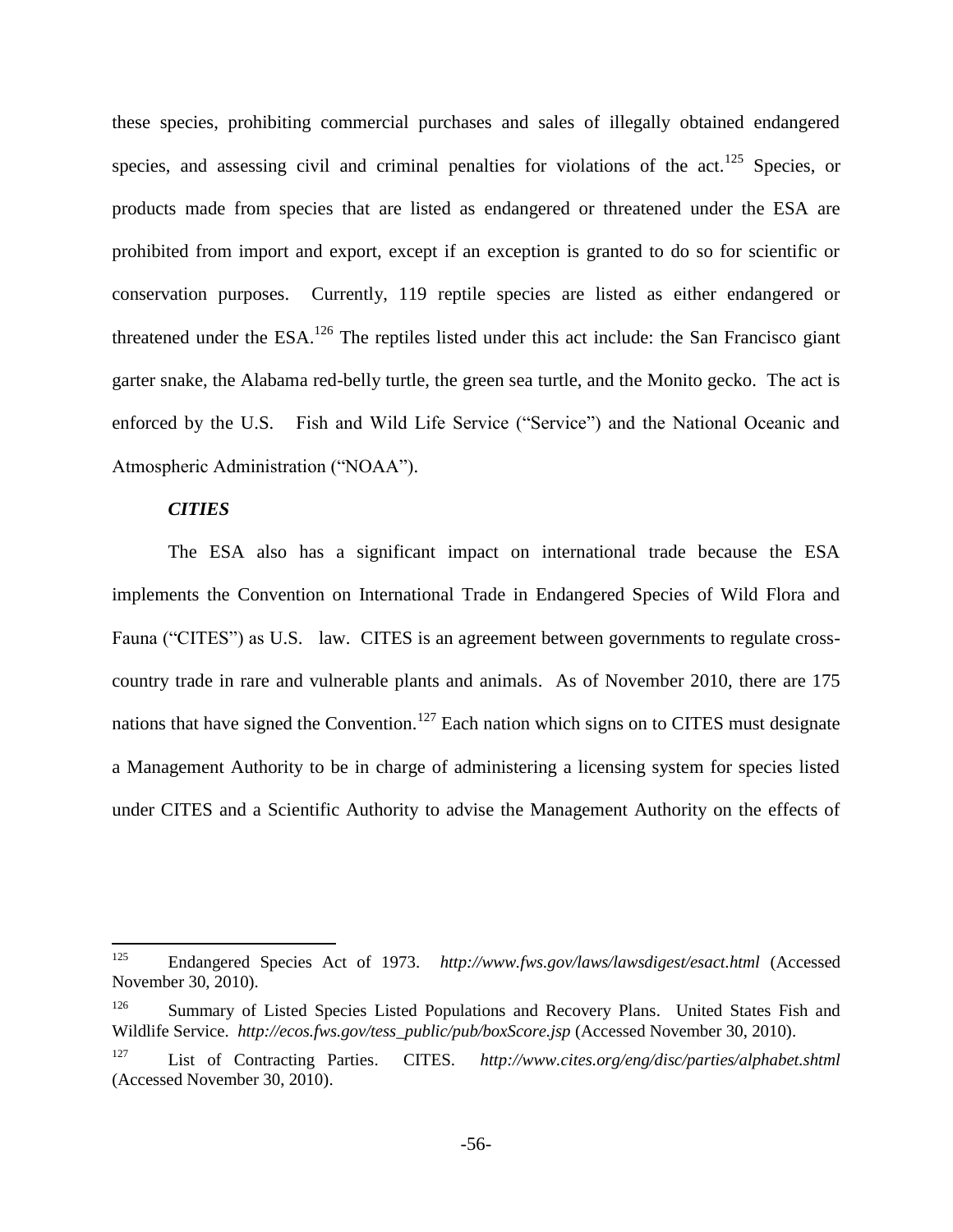these species, prohibiting commercial purchases and sales of illegally obtained endangered species, and assessing civil and criminal penalties for violations of the  $act.<sup>125</sup>$  Species, or products made from species that are listed as endangered or threatened under the ESA are prohibited from import and export, except if an exception is granted to do so for scientific or conservation purposes. Currently, 119 reptile species are listed as either endangered or threatened under the  $ESA$ <sup>126</sup>. The reptiles listed under this act include: the San Francisco giant garter snake, the Alabama red-belly turtle, the green sea turtle, and the Monito gecko. The act is enforced by the U.S. Fish and Wild Life Service ("Service") and the National Oceanic and Atmospheric Administration ("NOAA").

#### *CITIES*

The ESA also has a significant impact on international trade because the ESA implements the Convention on International Trade in Endangered Species of Wild Flora and Fauna ("CITES") as U.S. law. CITES is an agreement between governments to regulate crosscountry trade in rare and vulnerable plants and animals. As of November 2010, there are 175 nations that have signed the Convention.<sup>127</sup> Each nation which signs on to CITES must designate a Management Authority to be in charge of administering a licensing system for species listed under CITES and a Scientific Authority to advise the Management Authority on the effects of

<sup>125</sup> <sup>125</sup> Endangered Species Act of 1973. *http://www.fws.gov/laws/lawsdigest/esact.html* (Accessed November 30, 2010).

<sup>&</sup>lt;sup>126</sup> Summary of Listed Species Listed Populations and Recovery Plans. United States Fish and Wildlife Service. *http://ecos.fws.gov/tess\_public/pub/boxScore.jsp* (Accessed November 30, 2010).

<sup>127</sup> List of Contracting Parties. CITES. *http://www.cites.org/eng/disc/parties/alphabet.shtml* (Accessed November 30, 2010).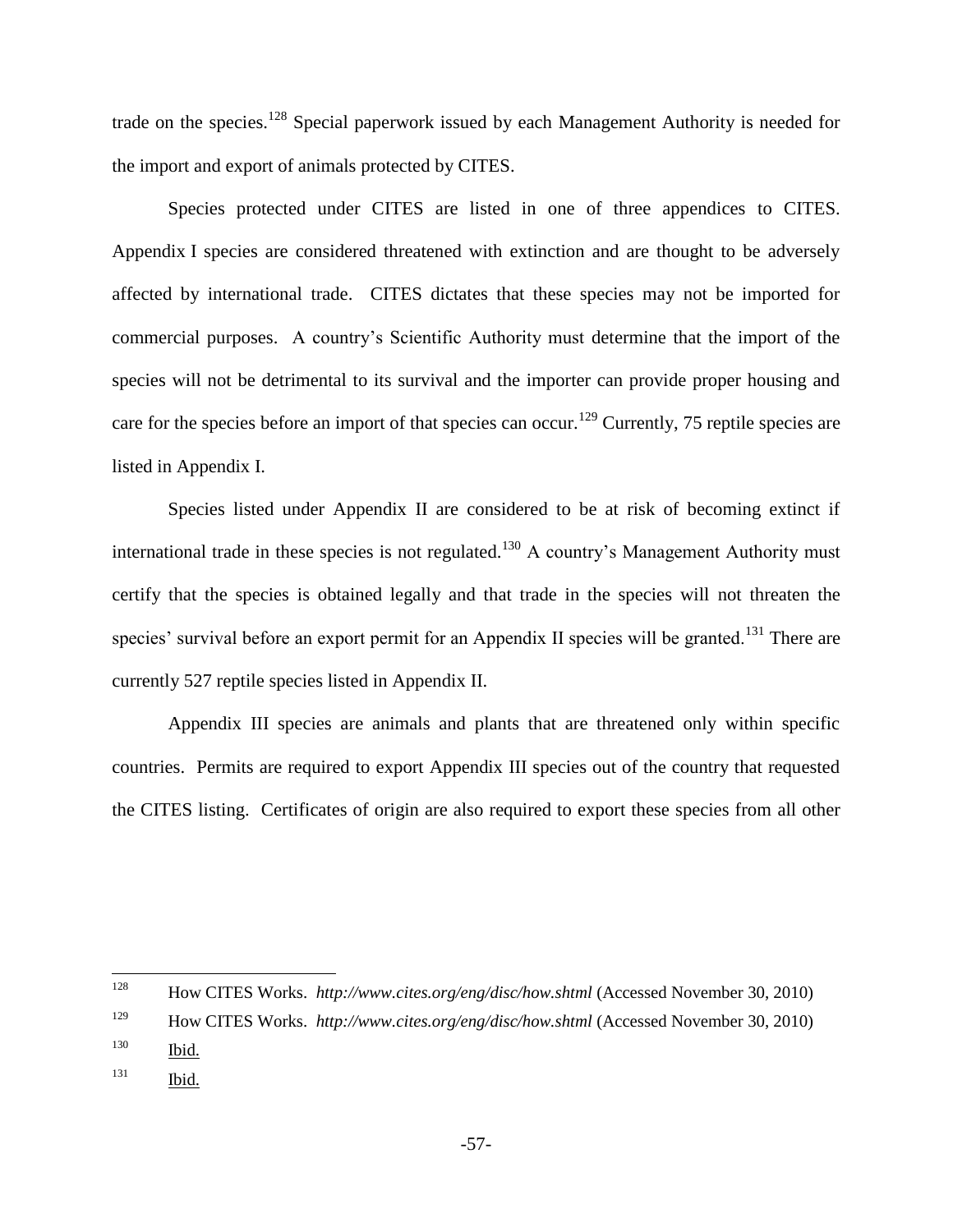trade on the species.<sup>128</sup> Special paperwork issued by each Management Authority is needed for the import and export of animals protected by CITES.

Species protected under CITES are listed in one of three appendices to CITES. Appendix I species are considered threatened with extinction and are thought to be adversely affected by international trade. CITES dictates that these species may not be imported for commercial purposes. A country's Scientific Authority must determine that the import of the species will not be detrimental to its survival and the importer can provide proper housing and care for the species before an import of that species can occur.<sup>129</sup> Currently, 75 reptile species are listed in Appendix I.

Species listed under Appendix II are considered to be at risk of becoming extinct if international trade in these species is not regulated.<sup>130</sup> A country's Management Authority must certify that the species is obtained legally and that trade in the species will not threaten the species' survival before an export permit for an Appendix II species will be granted.<sup>131</sup> There are currently 527 reptile species listed in Appendix II.

Appendix III species are animals and plants that are threatened only within specific countries. Permits are required to export Appendix III species out of the country that requested the CITES listing. Certificates of origin are also required to export these species from all other

<sup>128</sup> <sup>128</sup> How CITES Works. *http://www.cites.org/eng/disc/how.shtml* (Accessed November 30, 2010)

<sup>129</sup> How CITES Works. *http://www.cites.org/eng/disc/how.shtml* (Accessed November 30, 2010)

<sup>130</sup> Ibid.

<sup>131</sup> Ibid.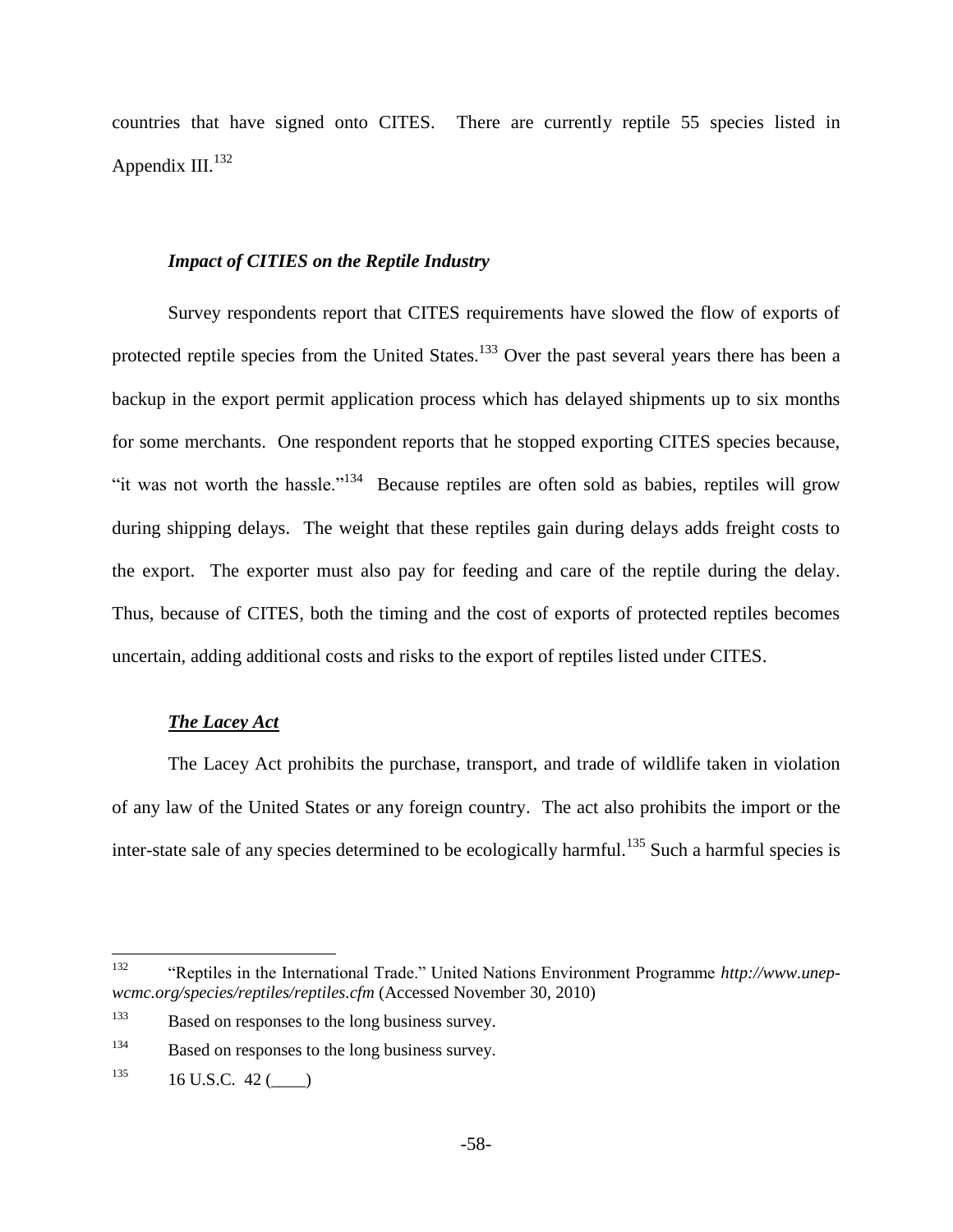countries that have signed onto CITES. There are currently reptile 55 species listed in Appendix III.<sup>132</sup>

### *Impact of CITIES on the Reptile Industry*

Survey respondents report that CITES requirements have slowed the flow of exports of protected reptile species from the United States.<sup>133</sup> Over the past several years there has been a backup in the export permit application process which has delayed shipments up to six months for some merchants. One respondent reports that he stopped exporting CITES species because, "it was not worth the hassle."<sup>134</sup> Because reptiles are often sold as babies, reptiles will grow during shipping delays. The weight that these reptiles gain during delays adds freight costs to the export. The exporter must also pay for feeding and care of the reptile during the delay. Thus, because of CITES, both the timing and the cost of exports of protected reptiles becomes uncertain, adding additional costs and risks to the export of reptiles listed under CITES.

# *The Lacey Act*

The Lacey Act prohibits the purchase, transport, and trade of wildlife taken in violation of any law of the United States or any foreign country. The act also prohibits the import or the inter-state sale of any species determined to be ecologically harmful.<sup>135</sup> Such a harmful species is

<sup>132</sup> <sup>132</sup> "Reptiles in the International Trade." United Nations Environment Programme *http://www.unepwcmc.org/species/reptiles/reptiles.cfm* (Accessed November 30, 2010)

<sup>133</sup> Based on responses to the long business survey.

<sup>&</sup>lt;sup>134</sup> Based on responses to the long business survey.

 $135$  16 U.S.C. 42 ()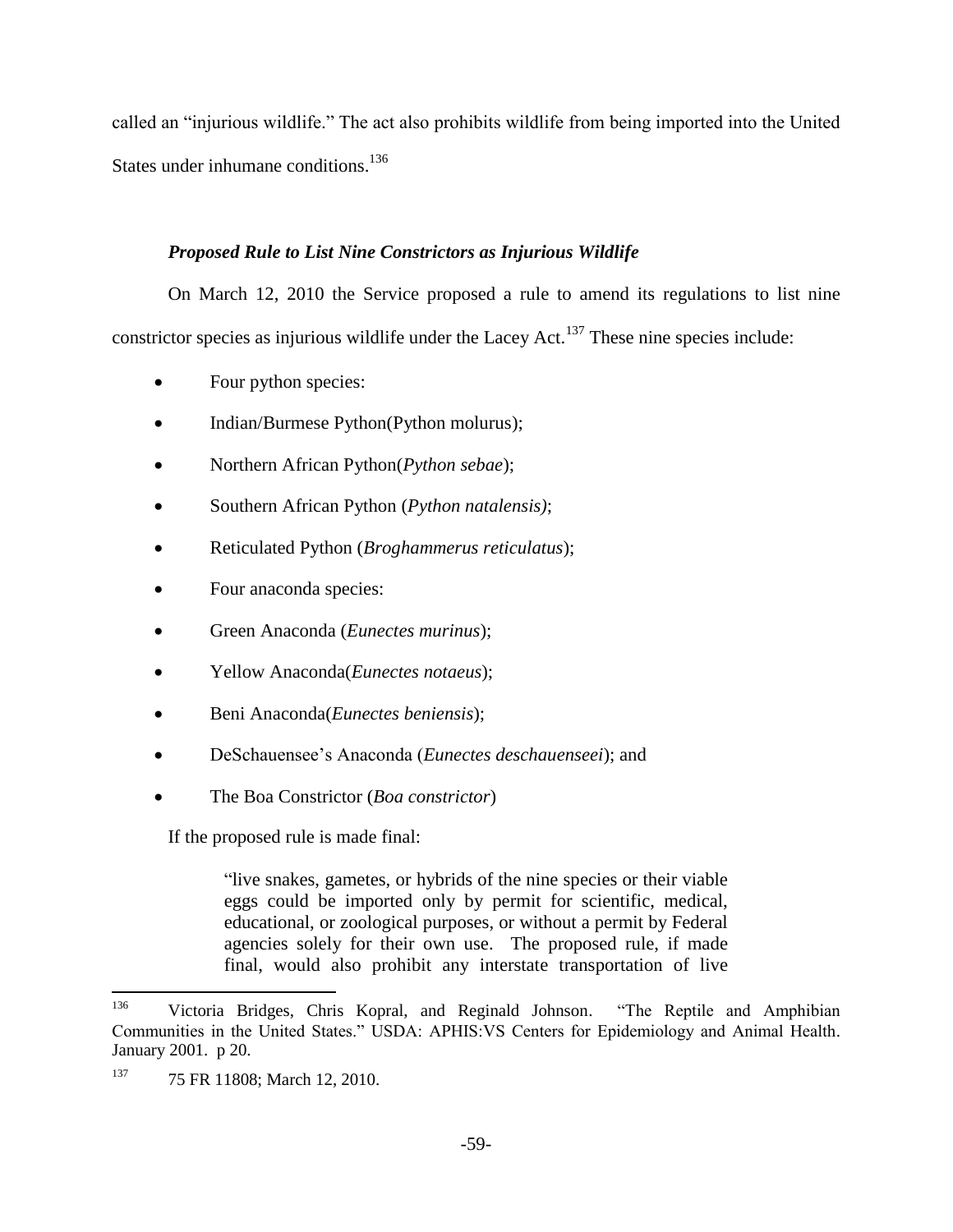called an "injurious wildlife." The act also prohibits wildlife from being imported into the United States under inhumane conditions.<sup>136</sup>

# *Proposed Rule to List Nine Constrictors as Injurious Wildlife*

On March 12, 2010 the Service proposed a rule to amend its regulations to list nine constrictor species as injurious wildlife under the Lacey Act.<sup>137</sup> These nine species include:

- Four python species:
- Indian/Burmese Python(Python molurus);
- Northern African Python(*Python sebae*);
- Southern African Python (*Python natalensis)*;
- Reticulated Python (*Broghammerus reticulatus*);
- Four anaconda species:
- Green Anaconda (*Eunectes murinus*);
- Yellow Anaconda(*Eunectes notaeus*);
- Beni Anaconda(*Eunectes beniensis*);
- DeSchauensee's Anaconda (*Eunectes deschauenseei*); and
- The Boa Constrictor (*Boa constrictor*)

If the proposed rule is made final:

"live snakes, gametes, or hybrids of the nine species or their viable eggs could be imported only by permit for scientific, medical, educational, or zoological purposes, or without a permit by Federal agencies solely for their own use. The proposed rule, if made final, would also prohibit any interstate transportation of live

 $\overline{a}$ 

<sup>136</sup> Victoria Bridges, Chris Kopral, and Reginald Johnson. "The Reptile and Amphibian Communities in the United States." USDA: APHIS:VS Centers for Epidemiology and Animal Health. January 2001. p 20.

<sup>137 75</sup> FR 11808; March 12, 2010.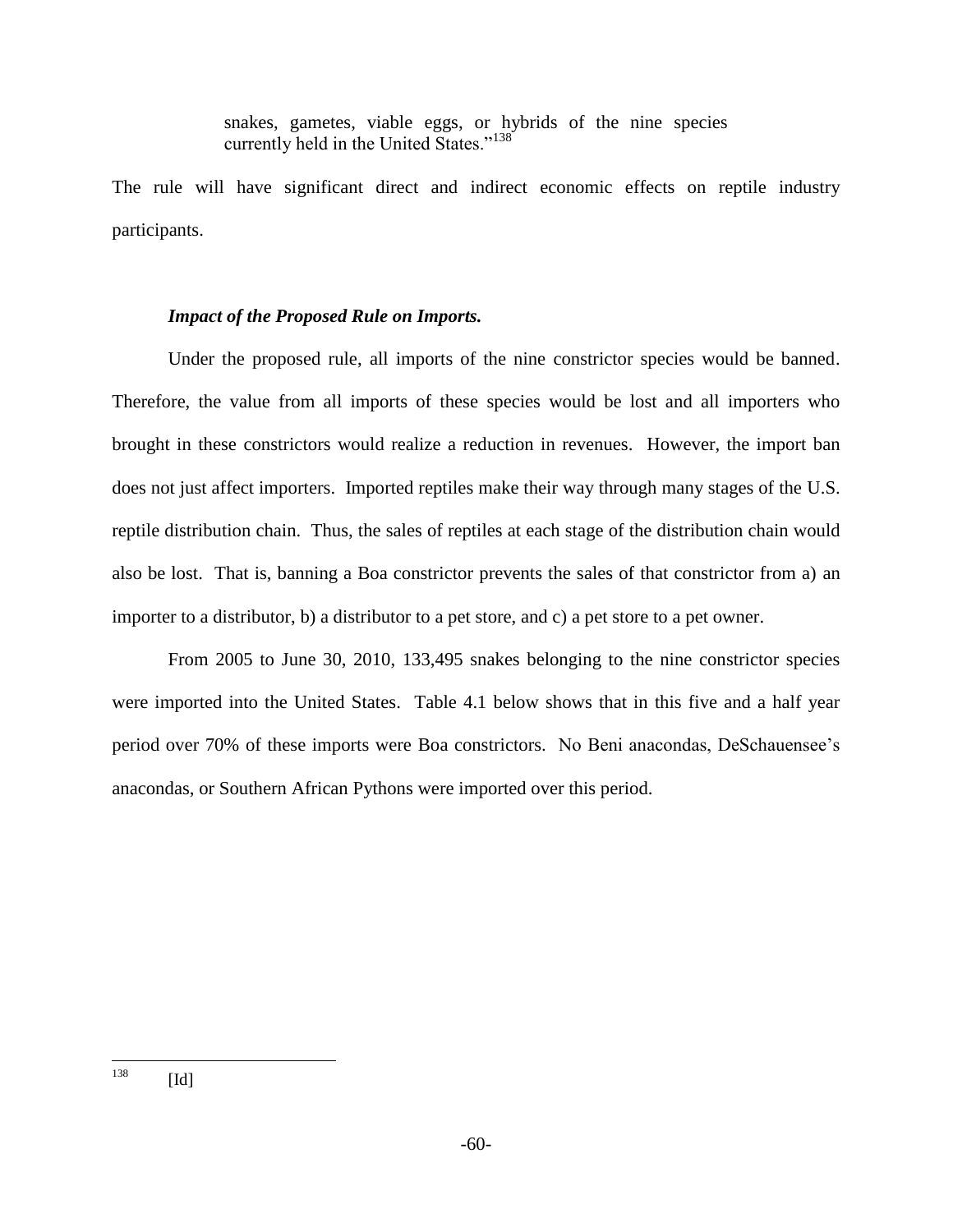snakes, gametes, viable eggs, or hybrids of the nine species currently held in the United States."<sup>138</sup>

The rule will have significant direct and indirect economic effects on reptile industry participants.

# *Impact of the Proposed Rule on Imports.*

Under the proposed rule, all imports of the nine constrictor species would be banned. Therefore, the value from all imports of these species would be lost and all importers who brought in these constrictors would realize a reduction in revenues. However, the import ban does not just affect importers. Imported reptiles make their way through many stages of the U.S. reptile distribution chain. Thus, the sales of reptiles at each stage of the distribution chain would also be lost. That is, banning a Boa constrictor prevents the sales of that constrictor from a) an importer to a distributor, b) a distributor to a pet store, and c) a pet store to a pet owner.

From 2005 to June 30, 2010, 133,495 snakes belonging to the nine constrictor species were imported into the United States. Table 4.1 below shows that in this five and a half year period over 70% of these imports were Boa constrictors. No Beni anacondas, DeSchauensee's anacondas, or Southern African Pythons were imported over this period.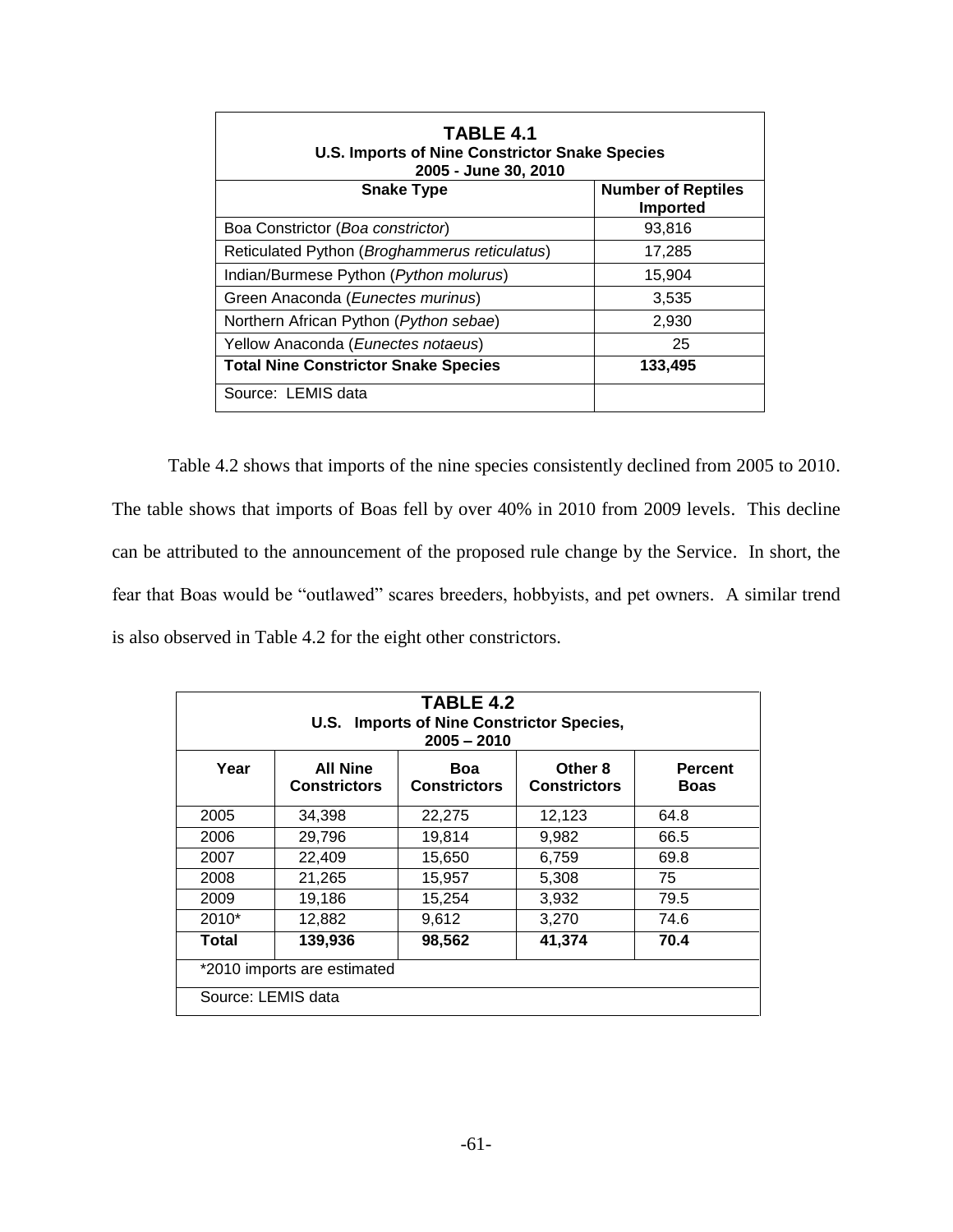| TABLE 4.1<br><b>U.S. Imports of Nine Constrictor Snake Species</b><br>2005 - June 30, 2010 |                                              |  |  |
|--------------------------------------------------------------------------------------------|----------------------------------------------|--|--|
| <b>Snake Type</b>                                                                          | <b>Number of Reptiles</b><br><b>Imported</b> |  |  |
| Boa Constrictor (Boa constrictor)                                                          | 93,816                                       |  |  |
| Reticulated Python (Broghammerus reticulatus)                                              | 17,285                                       |  |  |
| Indian/Burmese Python (Python molurus)                                                     | 15,904                                       |  |  |
| Green Anaconda (Eunectes murinus)                                                          | 3,535                                        |  |  |
| Northern African Python (Python sebae)                                                     | 2,930                                        |  |  |
| Yellow Anaconda (Eunectes notaeus)                                                         | 25                                           |  |  |
| <b>Total Nine Constrictor Snake Species</b>                                                | 133,495                                      |  |  |
| Source: LEMIS data                                                                         |                                              |  |  |

Table 4.2 shows that imports of the nine species consistently declined from 2005 to 2010. The table shows that imports of Boas fell by over 40% in 2010 from 2009 levels. This decline can be attributed to the announcement of the proposed rule change by the Service. In short, the fear that Boas would be "outlawed" scares breeders, hobbyists, and pet owners. A similar trend is also observed in Table 4.2 for the eight other constrictors.

| TABLE 4.2<br>U.S. Imports of Nine Constrictor Species,<br>$2005 - 2010$ |                                        |                            |                                |                               |
|-------------------------------------------------------------------------|----------------------------------------|----------------------------|--------------------------------|-------------------------------|
| Year                                                                    | <b>All Nine</b><br><b>Constrictors</b> | Boa<br><b>Constrictors</b> | Other 8<br><b>Constrictors</b> | <b>Percent</b><br><b>Boas</b> |
| 2005                                                                    | 34,398                                 | 22,275                     | 12,123                         | 64.8                          |
| 2006                                                                    | 29,796                                 | 19,814                     | 9.982                          | 66.5                          |
| 2007                                                                    | 22,409                                 | 15,650                     | 6,759                          | 69.8                          |
| 2008                                                                    | 21,265                                 | 15,957                     | 5,308                          | 75                            |
| 2009                                                                    | 19,186                                 | 15,254                     | 3,932                          | 79.5                          |
| $2010*$                                                                 | 12,882                                 | 9,612                      | 3,270                          | 74.6                          |
| 139,936<br>41,374<br>70.4<br>98,562<br>Total                            |                                        |                            |                                |                               |
| *2010 imports are estimated                                             |                                        |                            |                                |                               |
| Source: LEMIS data                                                      |                                        |                            |                                |                               |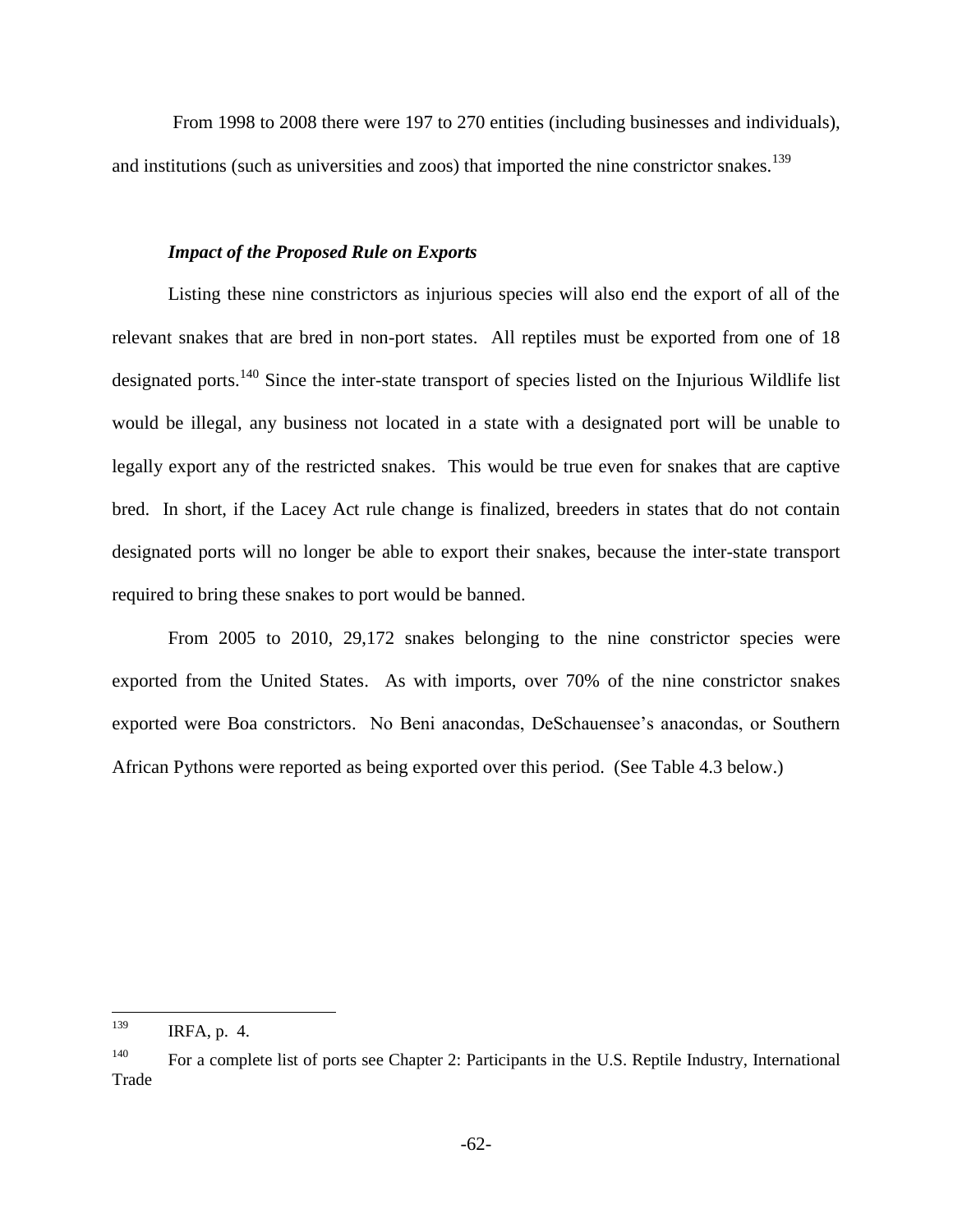From 1998 to 2008 there were 197 to 270 entities (including businesses and individuals), and institutions (such as universities and zoos) that imported the nine constrictor snakes.<sup>139</sup>

### *Impact of the Proposed Rule on Exports*

Listing these nine constrictors as injurious species will also end the export of all of the relevant snakes that are bred in non-port states. All reptiles must be exported from one of 18 designated ports.<sup>140</sup> Since the inter-state transport of species listed on the Injurious Wildlife list would be illegal, any business not located in a state with a designated port will be unable to legally export any of the restricted snakes. This would be true even for snakes that are captive bred. In short, if the Lacey Act rule change is finalized, breeders in states that do not contain designated ports will no longer be able to export their snakes, because the inter-state transport required to bring these snakes to port would be banned.

From 2005 to 2010, 29,172 snakes belonging to the nine constrictor species were exported from the United States. As with imports, over 70% of the nine constrictor snakes exported were Boa constrictors. No Beni anacondas, DeSchauensee's anacondas, or Southern African Pythons were reported as being exported over this period. (See Table 4.3 below.)

<sup>139</sup> IRFA, p. 4.

<sup>&</sup>lt;sup>140</sup> For a complete list of ports see Chapter 2: Participants in the U.S. Reptile Industry, International Trade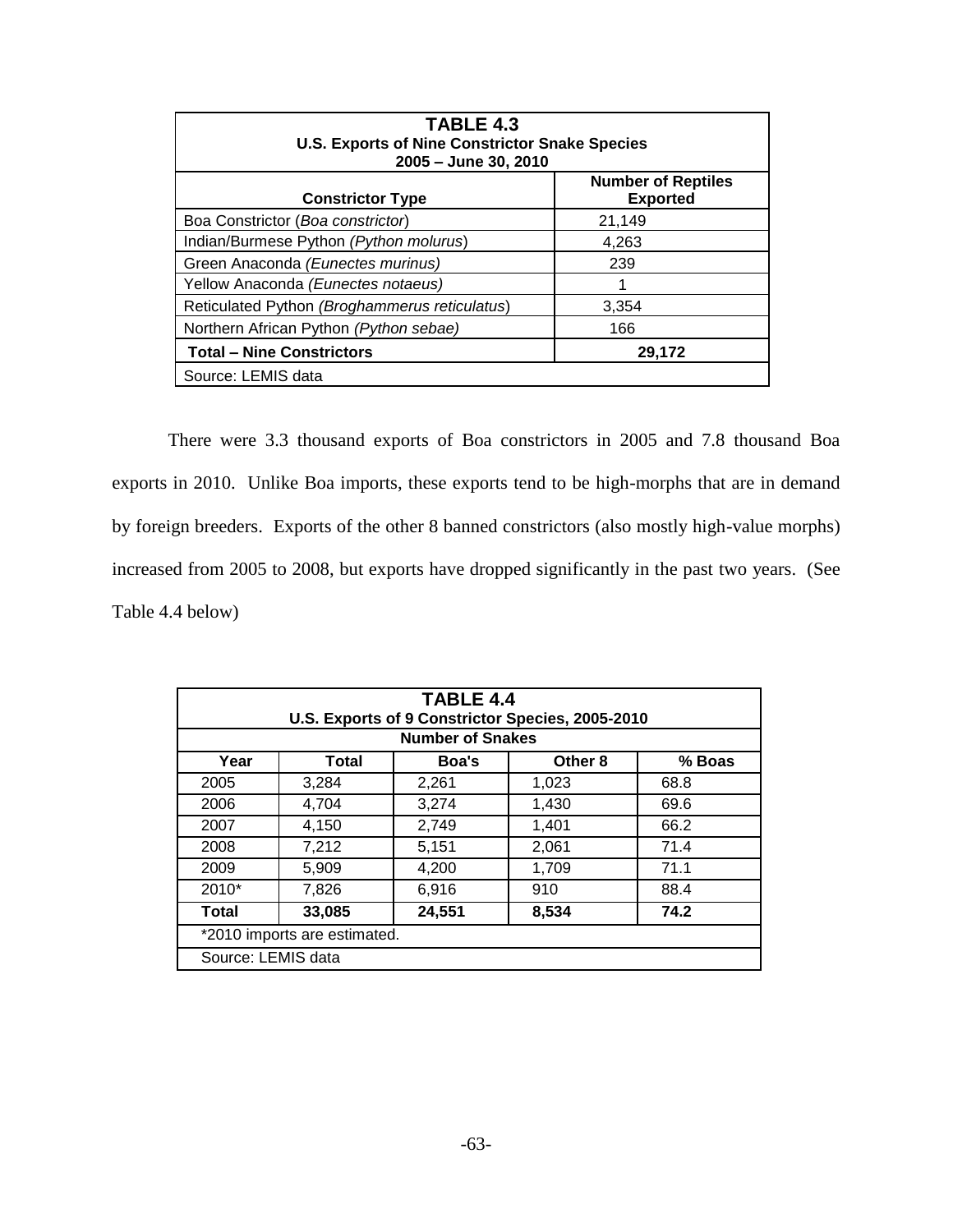| TABLE 4.3<br><b>U.S. Exports of Nine Constrictor Snake Species</b><br>2005 - June 30, 2010 |                                              |  |  |
|--------------------------------------------------------------------------------------------|----------------------------------------------|--|--|
| <b>Constrictor Type</b>                                                                    | <b>Number of Reptiles</b><br><b>Exported</b> |  |  |
| Boa Constrictor (Boa constrictor)                                                          | 21,149                                       |  |  |
| Indian/Burmese Python (Python molurus)                                                     | 4,263                                        |  |  |
| Green Anaconda (Eunectes murinus)                                                          | 239                                          |  |  |
| Yellow Anaconda (Eunectes notaeus)                                                         |                                              |  |  |
| Reticulated Python (Broghammerus reticulatus)                                              | 3,354                                        |  |  |
| Northern African Python (Python sebae)<br>166                                              |                                              |  |  |
| <b>Total – Nine Constrictors</b><br>29,172                                                 |                                              |  |  |
| Source: LEMIS data                                                                         |                                              |  |  |

There were 3.3 thousand exports of Boa constrictors in 2005 and 7.8 thousand Boa exports in 2010. Unlike Boa imports, these exports tend to be high-morphs that are in demand by foreign breeders. Exports of the other 8 banned constrictors (also mostly high-value morphs) increased from 2005 to 2008, but exports have dropped significantly in the past two years. (See Table 4.4 below)

| <b>TABLE 4.4</b><br>U.S. Exports of 9 Constrictor Species, 2005-2010<br><b>Number of Snakes</b> |              |        |                    |        |
|-------------------------------------------------------------------------------------------------|--------------|--------|--------------------|--------|
| Year                                                                                            | <b>Total</b> | Boa's  | Other <sub>8</sub> | % Boas |
| 2005                                                                                            | 3,284        | 2,261  | 1,023              | 68.8   |
| 2006                                                                                            | 4,704        | 3,274  | 1,430              | 69.6   |
| 2007                                                                                            | 4,150        | 2,749  | 1,401              | 66.2   |
| 2008                                                                                            | 7,212        | 5,151  | 2,061              | 71.4   |
| 2009                                                                                            | 5,909        | 4,200  | 1,709              | 71.1   |
| $2010*$                                                                                         | 7,826        | 6,916  | 910                | 88.4   |
| <b>Total</b>                                                                                    | 33,085       | 24,551 | 8,534              | 74.2   |
| *2010 imports are estimated.                                                                    |              |        |                    |        |
| Source: LEMIS data                                                                              |              |        |                    |        |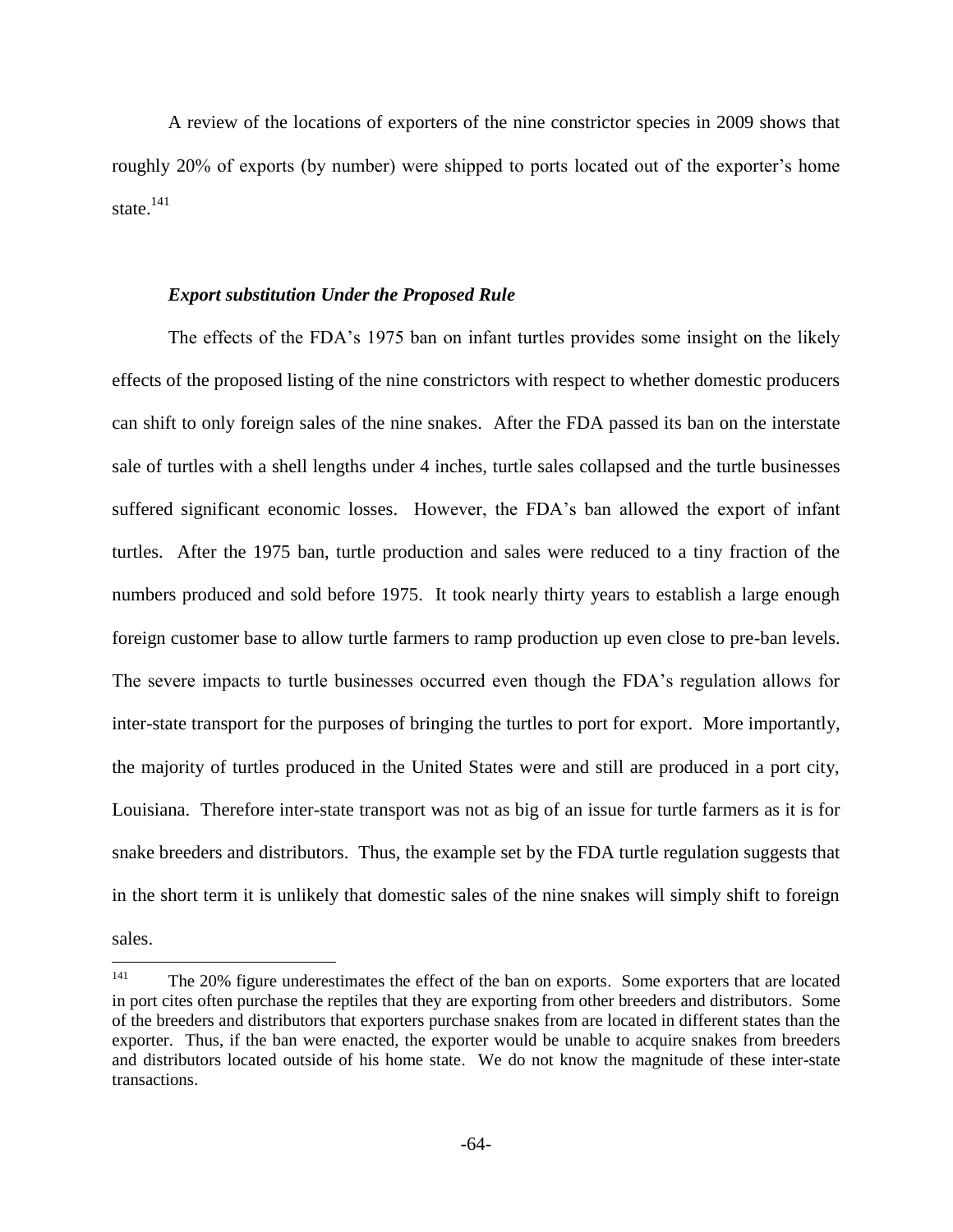A review of the locations of exporters of the nine constrictor species in 2009 shows that roughly 20% of exports (by number) were shipped to ports located out of the exporter's home state. $^{141}$ 

#### *Export substitution Under the Proposed Rule*

The effects of the FDA's 1975 ban on infant turtles provides some insight on the likely effects of the proposed listing of the nine constrictors with respect to whether domestic producers can shift to only foreign sales of the nine snakes. After the FDA passed its ban on the interstate sale of turtles with a shell lengths under 4 inches, turtle sales collapsed and the turtle businesses suffered significant economic losses. However, the FDA's ban allowed the export of infant turtles. After the 1975 ban, turtle production and sales were reduced to a tiny fraction of the numbers produced and sold before 1975. It took nearly thirty years to establish a large enough foreign customer base to allow turtle farmers to ramp production up even close to pre-ban levels. The severe impacts to turtle businesses occurred even though the FDA's regulation allows for inter-state transport for the purposes of bringing the turtles to port for export. More importantly, the majority of turtles produced in the United States were and still are produced in a port city, Louisiana. Therefore inter-state transport was not as big of an issue for turtle farmers as it is for snake breeders and distributors. Thus, the example set by the FDA turtle regulation suggests that in the short term it is unlikely that domestic sales of the nine snakes will simply shift to foreign sales.

<sup>141</sup> The 20% figure underestimates the effect of the ban on exports. Some exporters that are located in port cites often purchase the reptiles that they are exporting from other breeders and distributors. Some of the breeders and distributors that exporters purchase snakes from are located in different states than the exporter. Thus, if the ban were enacted, the exporter would be unable to acquire snakes from breeders and distributors located outside of his home state. We do not know the magnitude of these inter-state transactions.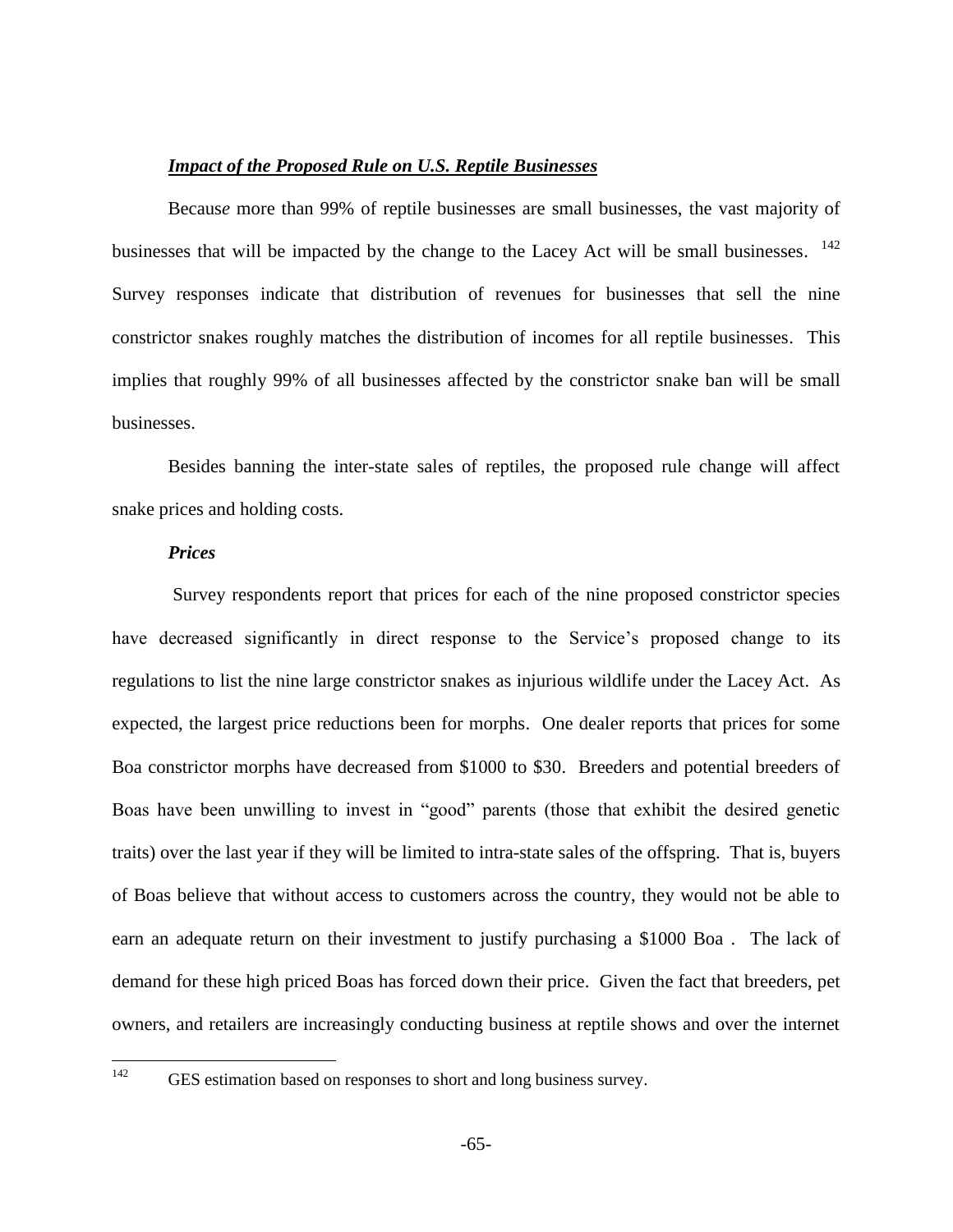#### *Impact of the Proposed Rule on U.S. Reptile Businesses*

Becaus*e* more than 99% of reptile businesses are small businesses, the vast majority of businesses that will be impacted by the change to the Lacey Act will be small businesses. 142 Survey responses indicate that distribution of revenues for businesses that sell the nine constrictor snakes roughly matches the distribution of incomes for all reptile businesses. This implies that roughly 99% of all businesses affected by the constrictor snake ban will be small businesses.

Besides banning the inter-state sales of reptiles, the proposed rule change will affect snake prices and holding costs.

#### *Prices*

Survey respondents report that prices for each of the nine proposed constrictor species have decreased significantly in direct response to the Service's proposed change to its regulations to list the nine large constrictor snakes as injurious wildlife under the Lacey Act. As expected, the largest price reductions been for morphs. One dealer reports that prices for some Boa constrictor morphs have decreased from \$1000 to \$30. Breeders and potential breeders of Boas have been unwilling to invest in "good" parents (those that exhibit the desired genetic traits) over the last year if they will be limited to intra-state sales of the offspring. That is, buyers of Boas believe that without access to customers across the country, they would not be able to earn an adequate return on their investment to justify purchasing a \$1000 Boa . The lack of demand for these high priced Boas has forced down their price. Given the fact that breeders, pet owners, and retailers are increasingly conducting business at reptile shows and over the internet

142

GES estimation based on responses to short and long business survey.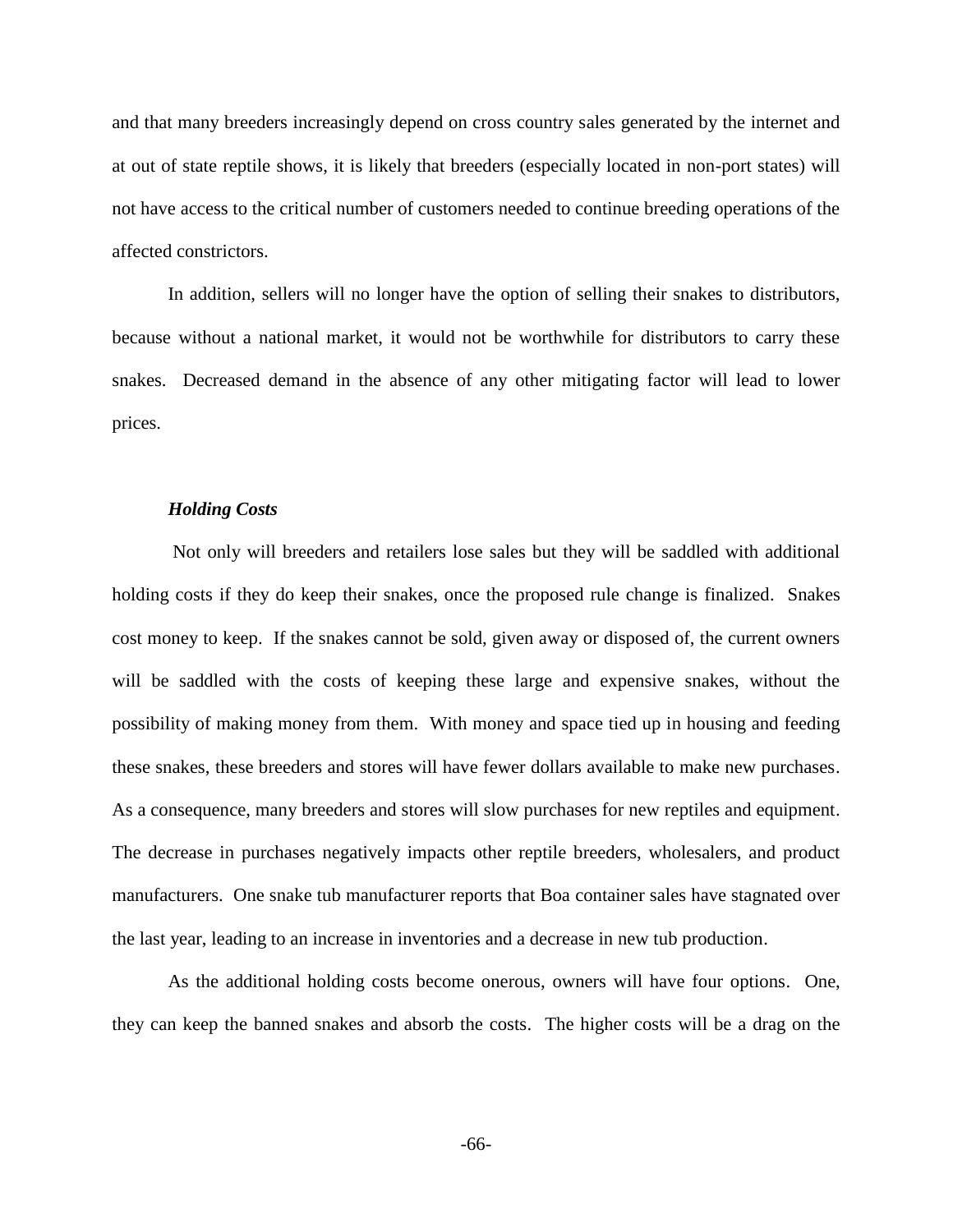and that many breeders increasingly depend on cross country sales generated by the internet and at out of state reptile shows, it is likely that breeders (especially located in non-port states) will not have access to the critical number of customers needed to continue breeding operations of the affected constrictors.

In addition, sellers will no longer have the option of selling their snakes to distributors, because without a national market, it would not be worthwhile for distributors to carry these snakes. Decreased demand in the absence of any other mitigating factor will lead to lower prices.

#### *Holding Costs*

Not only will breeders and retailers lose sales but they will be saddled with additional holding costs if they do keep their snakes, once the proposed rule change is finalized. Snakes cost money to keep. If the snakes cannot be sold, given away or disposed of, the current owners will be saddled with the costs of keeping these large and expensive snakes, without the possibility of making money from them. With money and space tied up in housing and feeding these snakes, these breeders and stores will have fewer dollars available to make new purchases. As a consequence, many breeders and stores will slow purchases for new reptiles and equipment. The decrease in purchases negatively impacts other reptile breeders, wholesalers, and product manufacturers. One snake tub manufacturer reports that Boa container sales have stagnated over the last year, leading to an increase in inventories and a decrease in new tub production.

As the additional holding costs become onerous, owners will have four options. One, they can keep the banned snakes and absorb the costs. The higher costs will be a drag on the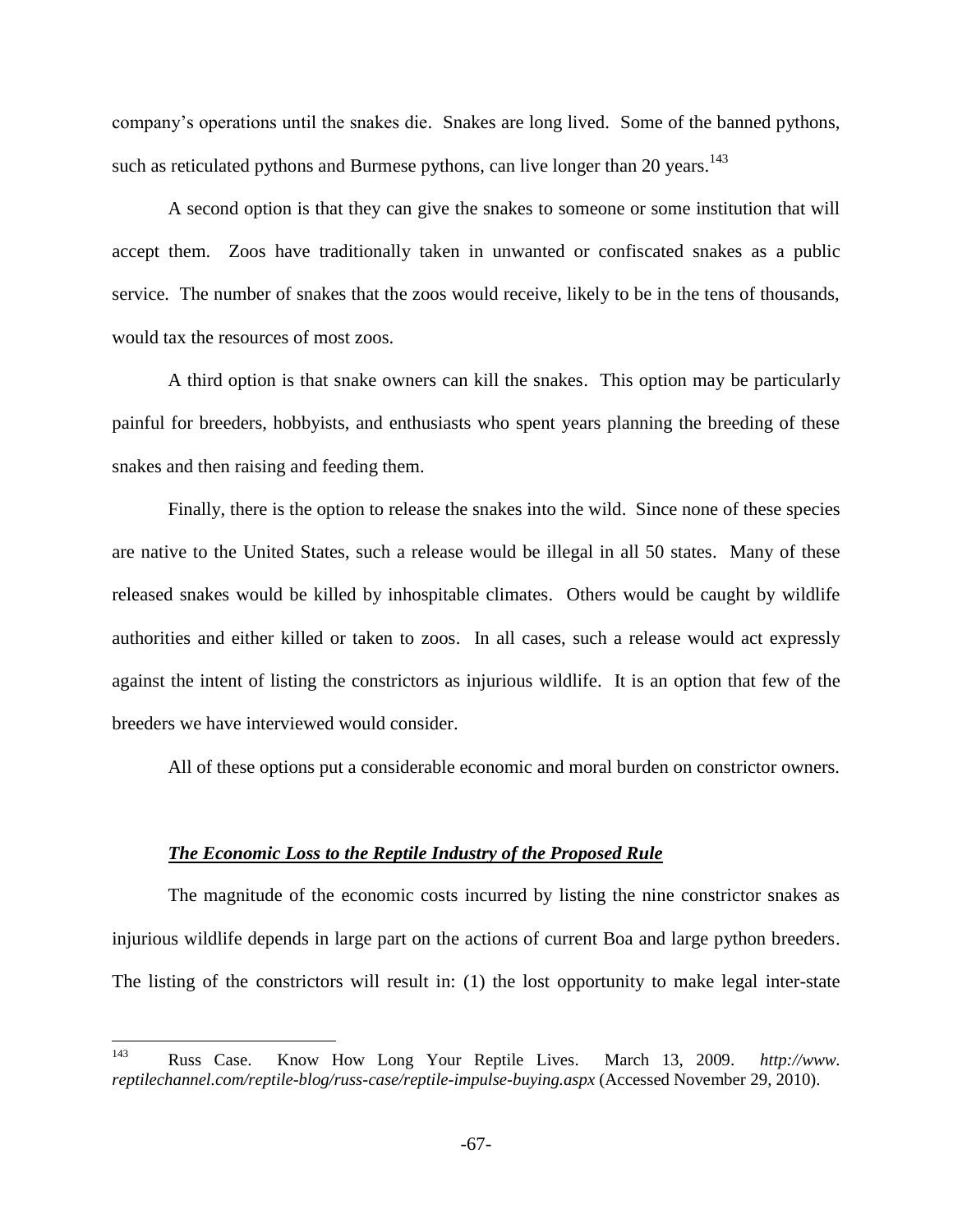company's operations until the snakes die. Snakes are long lived. Some of the banned pythons, such as reticulated pythons and Burmese pythons, can live longer than 20 years.<sup>143</sup>

A second option is that they can give the snakes to someone or some institution that will accept them. Zoos have traditionally taken in unwanted or confiscated snakes as a public service. The number of snakes that the zoos would receive, likely to be in the tens of thousands, would tax the resources of most zoos.

A third option is that snake owners can kill the snakes. This option may be particularly painful for breeders, hobbyists, and enthusiasts who spent years planning the breeding of these snakes and then raising and feeding them.

Finally, there is the option to release the snakes into the wild. Since none of these species are native to the United States, such a release would be illegal in all 50 states. Many of these released snakes would be killed by inhospitable climates. Others would be caught by wildlife authorities and either killed or taken to zoos. In all cases, such a release would act expressly against the intent of listing the constrictors as injurious wildlife. It is an option that few of the breeders we have interviewed would consider.

All of these options put a considerable economic and moral burden on constrictor owners.

#### *The Economic Loss to the Reptile Industry of the Proposed Rule*

The magnitude of the economic costs incurred by listing the nine constrictor snakes as injurious wildlife depends in large part on the actions of current Boa and large python breeders. The listing of the constrictors will result in: (1) the lost opportunity to make legal inter-state

<sup>143</sup> Russ Case. Know How Long Your Reptile Lives. March 13, 2009. *http://www. reptilechannel.com/reptile-blog/russ-case/reptile-impulse-buying.aspx* (Accessed November 29, 2010).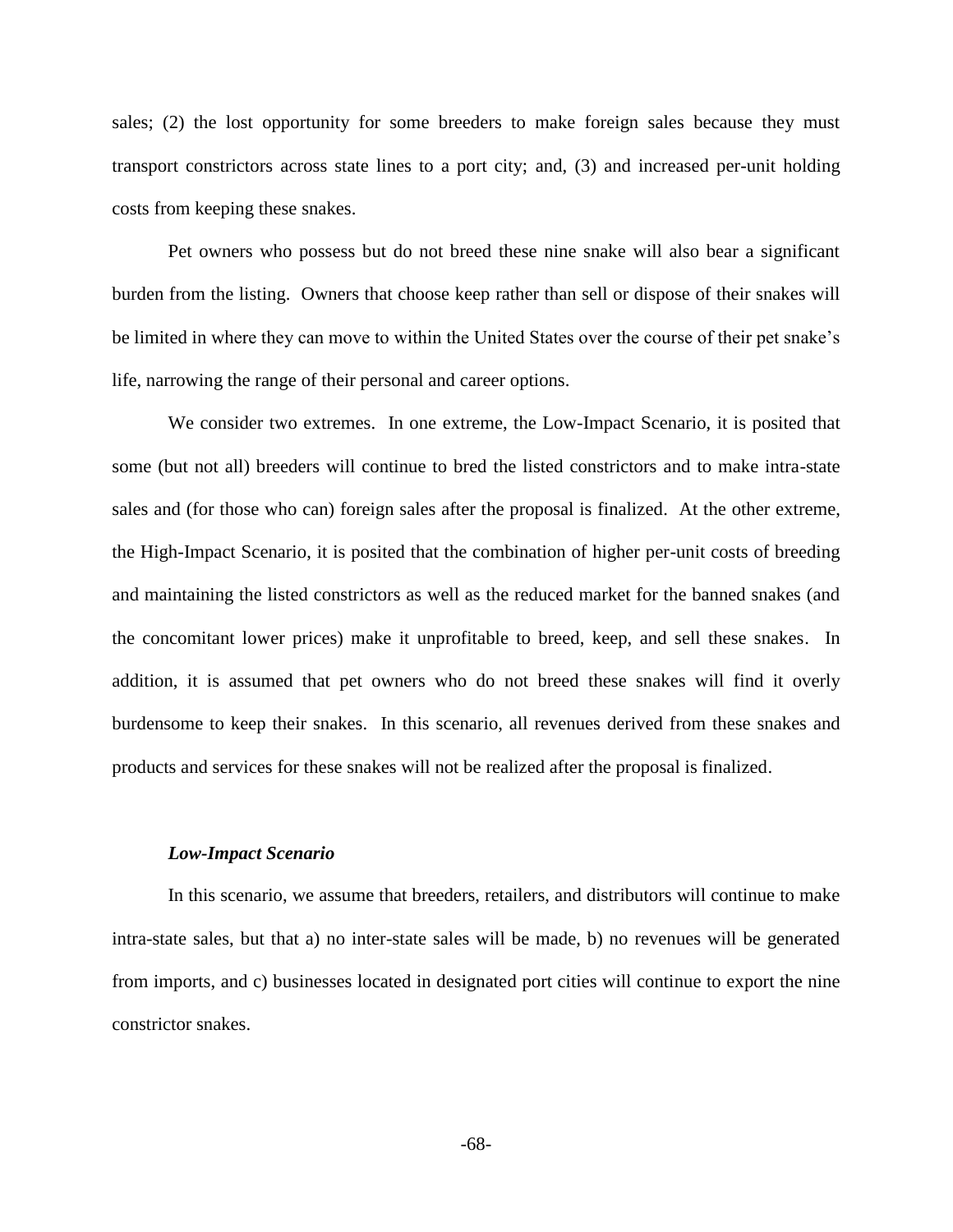sales; (2) the lost opportunity for some breeders to make foreign sales because they must transport constrictors across state lines to a port city; and, (3) and increased per-unit holding costs from keeping these snakes.

Pet owners who possess but do not breed these nine snake will also bear a significant burden from the listing. Owners that choose keep rather than sell or dispose of their snakes will be limited in where they can move to within the United States over the course of their pet snake's life, narrowing the range of their personal and career options.

We consider two extremes. In one extreme, the Low-Impact Scenario, it is posited that some (but not all) breeders will continue to bred the listed constrictors and to make intra-state sales and (for those who can) foreign sales after the proposal is finalized. At the other extreme, the High-Impact Scenario, it is posited that the combination of higher per-unit costs of breeding and maintaining the listed constrictors as well as the reduced market for the banned snakes (and the concomitant lower prices) make it unprofitable to breed, keep, and sell these snakes. In addition, it is assumed that pet owners who do not breed these snakes will find it overly burdensome to keep their snakes. In this scenario, all revenues derived from these snakes and products and services for these snakes will not be realized after the proposal is finalized.

#### *Low-Impact Scenario*

In this scenario, we assume that breeders, retailers, and distributors will continue to make intra-state sales, but that a) no inter-state sales will be made, b) no revenues will be generated from imports, and c) businesses located in designated port cities will continue to export the nine constrictor snakes.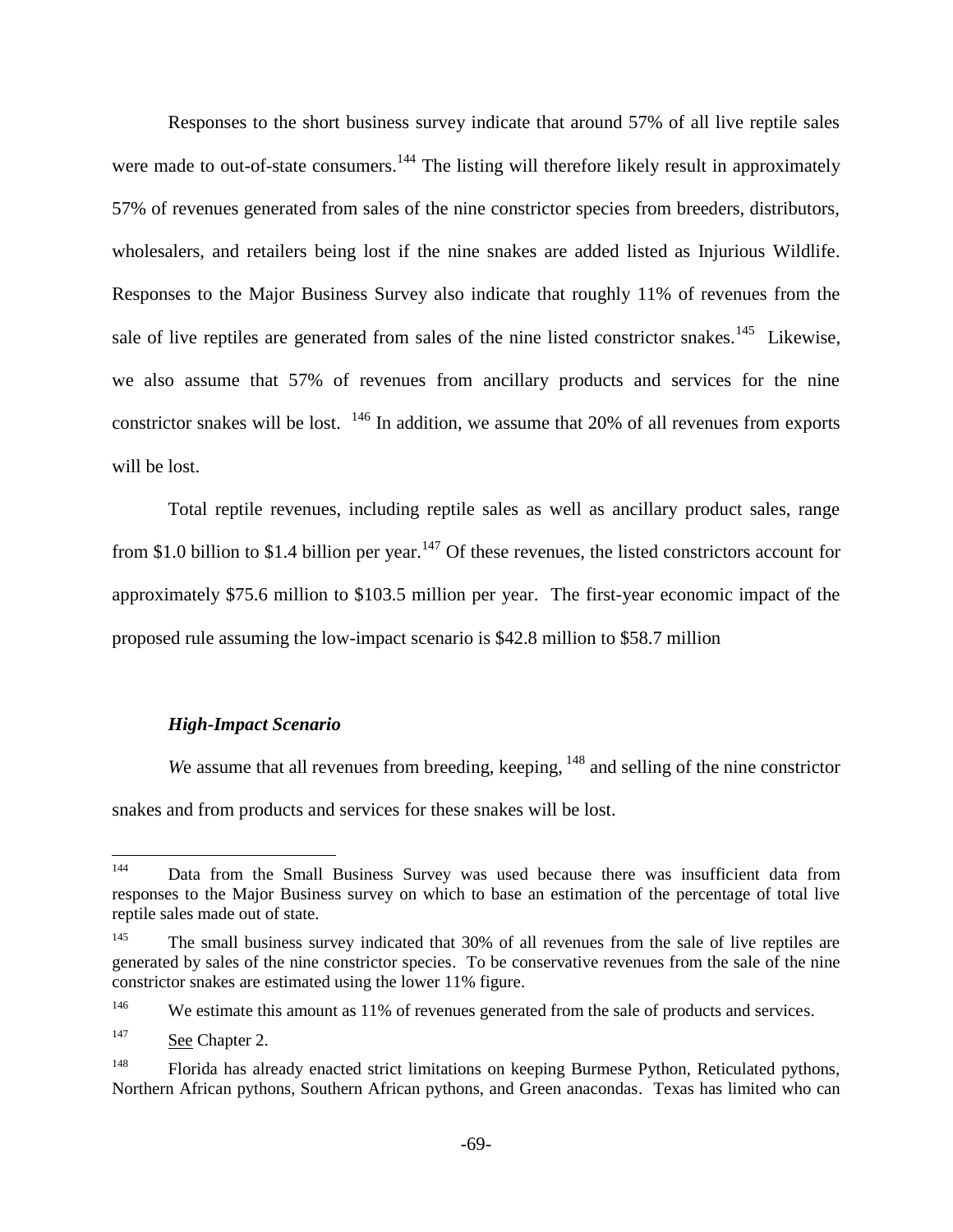Responses to the short business survey indicate that around 57% of all live reptile sales were made to out-of-state consumers.<sup>144</sup> The listing will therefore likely result in approximately 57% of revenues generated from sales of the nine constrictor species from breeders, distributors, wholesalers, and retailers being lost if the nine snakes are added listed as Injurious Wildlife. Responses to the Major Business Survey also indicate that roughly 11% of revenues from the sale of live reptiles are generated from sales of the nine listed constrictor snakes.<sup>145</sup> Likewise, we also assume that 57% of revenues from ancillary products and services for the nine constrictor snakes will be lost.  $146$  In addition, we assume that 20% of all revenues from exports will be lost.

Total reptile revenues, including reptile sales as well as ancillary product sales, range from \$1.0 billion to \$1.4 billion per year.<sup>147</sup> Of these revenues, the listed constrictors account for approximately \$75.6 million to \$103.5 million per year. The first-year economic impact of the proposed rule assuming the low-impact scenario is \$42.8 million to \$58.7 million

## *High-Impact Scenario*

*We assume that all revenues from breeding, keeping,* <sup>148</sup> and selling of the nine constrictor snakes and from products and services for these snakes will be lost.

<sup>144</sup> Data from the Small Business Survey was used because there was insufficient data from responses to the Major Business survey on which to base an estimation of the percentage of total live reptile sales made out of state.

The small business survey indicated that 30% of all revenues from the sale of live reptiles are generated by sales of the nine constrictor species. To be conservative revenues from the sale of the nine constrictor snakes are estimated using the lower 11% figure.

<sup>&</sup>lt;sup>146</sup> We estimate this amount as 11% of revenues generated from the sale of products and services.

<sup>&</sup>lt;sup>147</sup> See Chapter 2.

<sup>&</sup>lt;sup>148</sup> Florida has already enacted strict limitations on keeping Burmese Python, Reticulated pythons, Northern African pythons, Southern African pythons, and Green anacondas. Texas has limited who can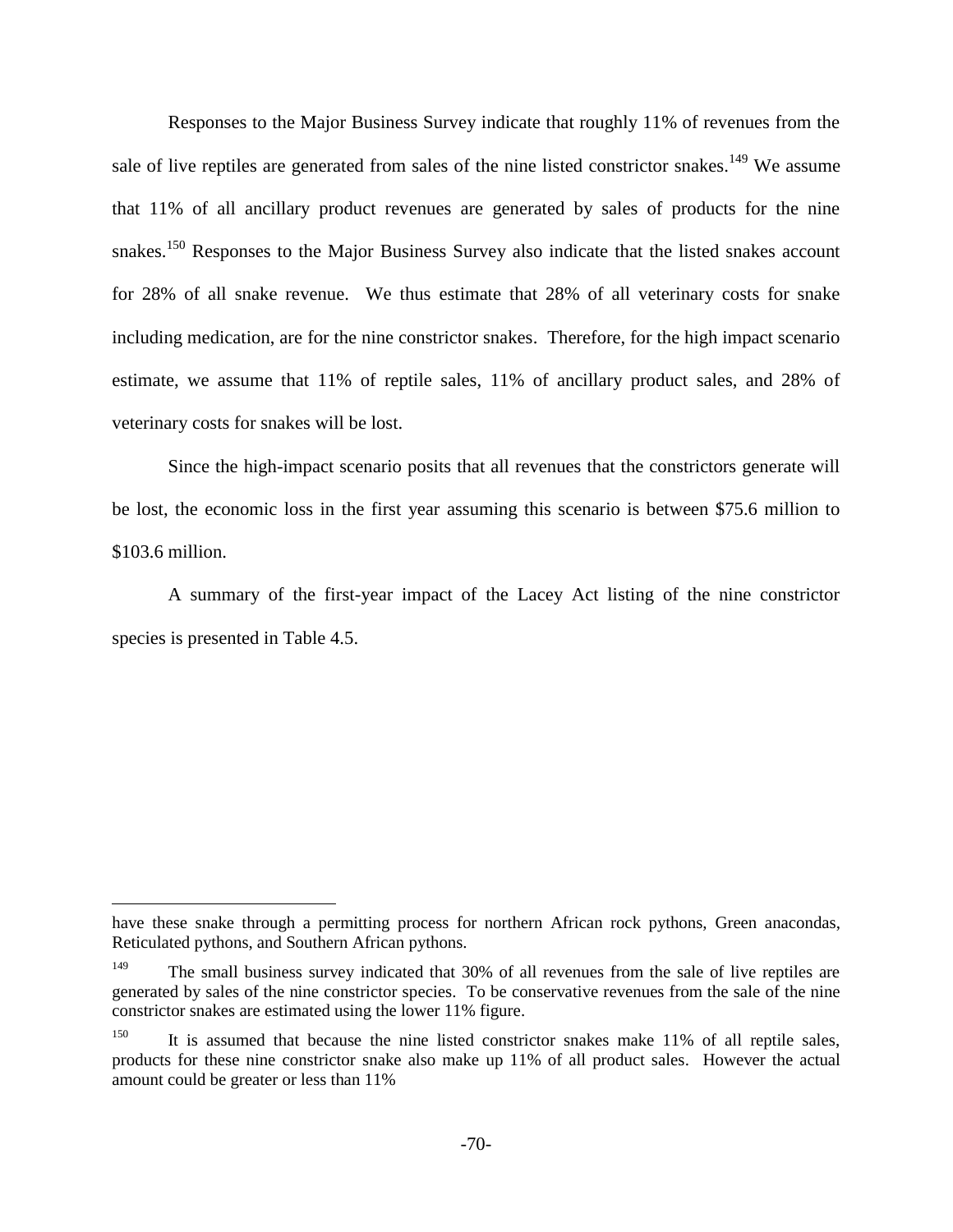Responses to the Major Business Survey indicate that roughly 11% of revenues from the sale of live reptiles are generated from sales of the nine listed constrictor snakes.<sup>149</sup> We assume that 11% of all ancillary product revenues are generated by sales of products for the nine snakes.<sup>150</sup> Responses to the Major Business Survey also indicate that the listed snakes account for 28% of all snake revenue. We thus estimate that 28% of all veterinary costs for snake including medication, are for the nine constrictor snakes. Therefore, for the high impact scenario estimate, we assume that 11% of reptile sales, 11% of ancillary product sales, and 28% of veterinary costs for snakes will be lost.

Since the high-impact scenario posits that all revenues that the constrictors generate will be lost, the economic loss in the first year assuming this scenario is between \$75.6 million to \$103.6 million.

A summary of the first-year impact of the Lacey Act listing of the nine constrictor species is presented in Table 4.5.

 $\overline{a}$ 

have these snake through a permitting process for northern African rock pythons, Green anacondas, Reticulated pythons, and Southern African pythons.

The small business survey indicated that 30% of all revenues from the sale of live reptiles are generated by sales of the nine constrictor species. To be conservative revenues from the sale of the nine constrictor snakes are estimated using the lower 11% figure.

It is assumed that because the nine listed constrictor snakes make 11% of all reptile sales, products for these nine constrictor snake also make up 11% of all product sales. However the actual amount could be greater or less than 11%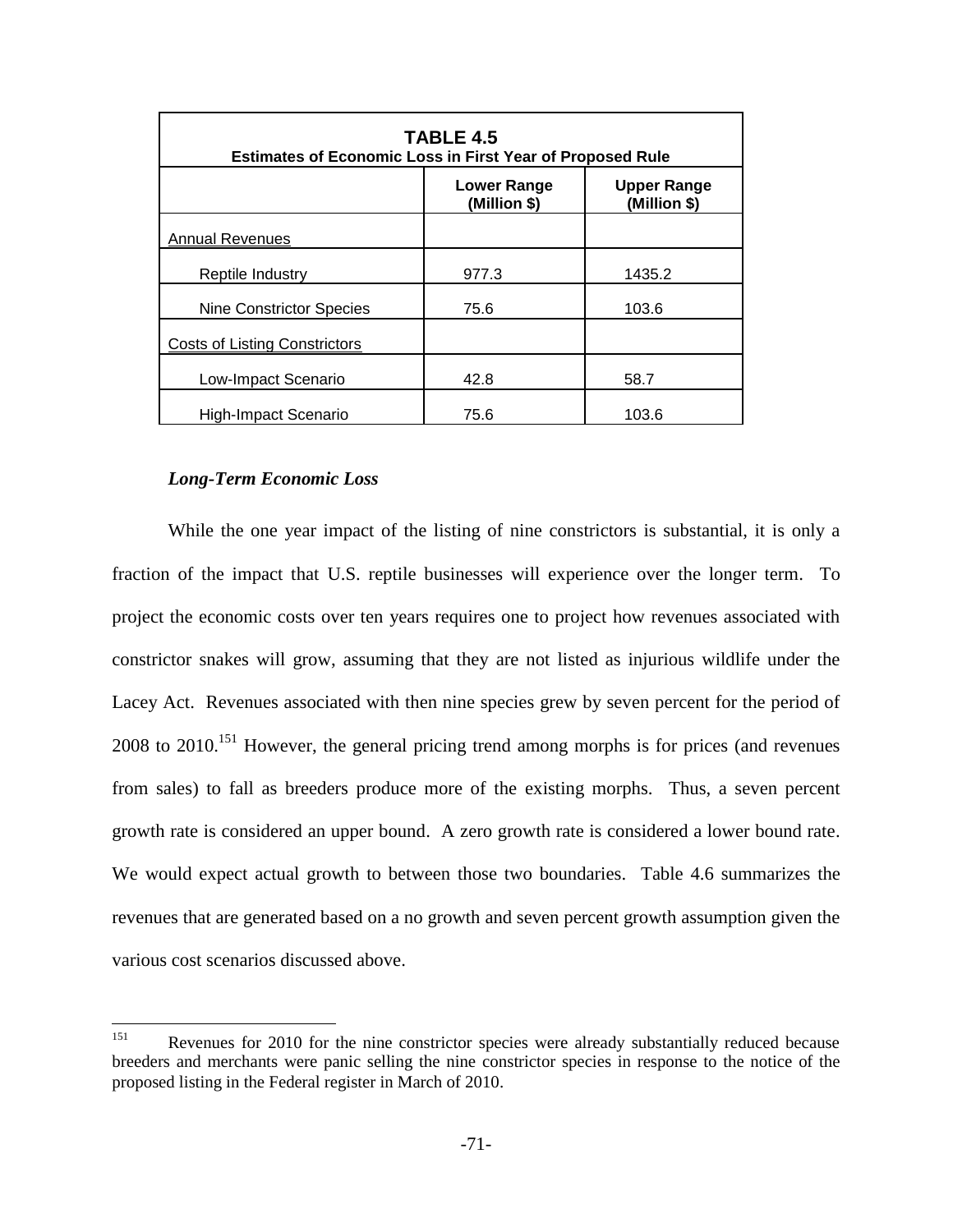| <b>TABLE 4.5</b><br><b>Estimates of Economic Loss in First Year of Proposed Rule</b> |                             |                                    |  |
|--------------------------------------------------------------------------------------|-----------------------------|------------------------------------|--|
|                                                                                      | Lower Range<br>(Million \$) | <b>Upper Range</b><br>(Million \$) |  |
| <b>Annual Revenues</b>                                                               |                             |                                    |  |
| Reptile Industry                                                                     | 977.3                       | 1435.2                             |  |
| <b>Nine Constrictor Species</b>                                                      | 75.6                        | 103.6                              |  |
| Costs of Listing Constrictors                                                        |                             |                                    |  |
| Low-Impact Scenario                                                                  | 42.8                        | 58.7                               |  |
| High-Impact Scenario                                                                 | 75.6                        | 103.6                              |  |

## *Long-Term Economic Loss*

While the one year impact of the listing of nine constrictors is substantial, it is only a fraction of the impact that U.S. reptile businesses will experience over the longer term. To project the economic costs over ten years requires one to project how revenues associated with constrictor snakes will grow, assuming that they are not listed as injurious wildlife under the Lacey Act. Revenues associated with then nine species grew by seven percent for the period of 2008 to 2010.<sup>151</sup> However, the general pricing trend among morphs is for prices (and revenues from sales) to fall as breeders produce more of the existing morphs. Thus, a seven percent growth rate is considered an upper bound. A zero growth rate is considered a lower bound rate. We would expect actual growth to between those two boundaries. Table 4.6 summarizes the revenues that are generated based on a no growth and seven percent growth assumption given the various cost scenarios discussed above.

<sup>151</sup> Revenues for 2010 for the nine constrictor species were already substantially reduced because breeders and merchants were panic selling the nine constrictor species in response to the notice of the proposed listing in the Federal register in March of 2010.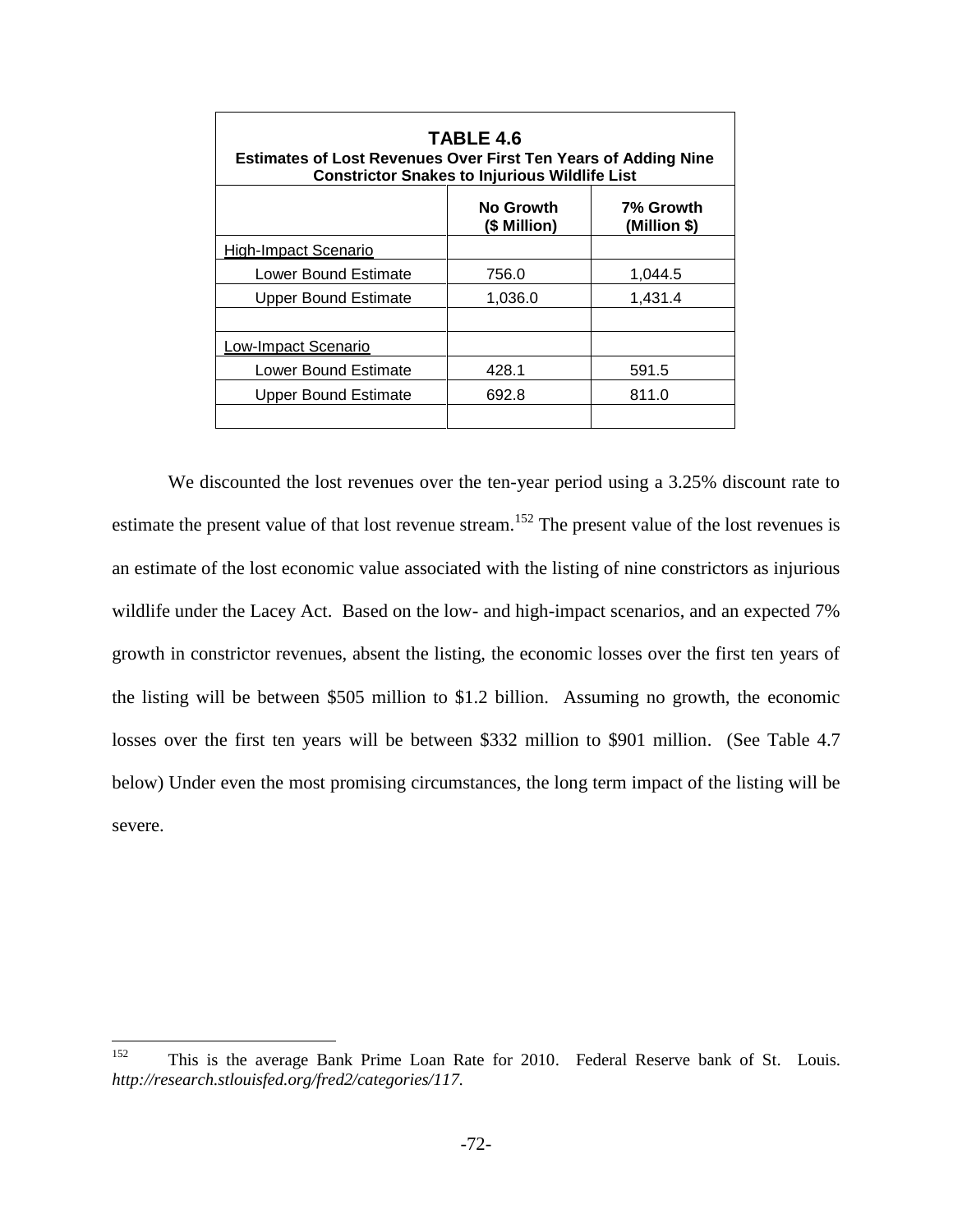| TABLE 4.6<br><b>Estimates of Lost Revenues Over First Ten Years of Adding Nine</b><br><b>Constrictor Snakes to Injurious Wildlife List</b> |                           |                           |  |
|--------------------------------------------------------------------------------------------------------------------------------------------|---------------------------|---------------------------|--|
|                                                                                                                                            | No Growth<br>(\$ Million) | 7% Growth<br>(Million \$) |  |
| High-Impact Scenario                                                                                                                       |                           |                           |  |
| Lower Bound Estimate                                                                                                                       | 756.0                     | 1,044.5                   |  |
| <b>Upper Bound Estimate</b>                                                                                                                | 1,036.0                   | 1.431.4                   |  |
|                                                                                                                                            |                           |                           |  |
| Low-Impact Scenario                                                                                                                        |                           |                           |  |
| Lower Bound Estimate                                                                                                                       | 428.1                     | 591.5                     |  |
| <b>Upper Bound Estimate</b>                                                                                                                | 692.8                     | 811.0                     |  |
|                                                                                                                                            |                           |                           |  |

We discounted the lost revenues over the ten-year period using a 3.25% discount rate to estimate the present value of that lost revenue stream.<sup>152</sup> The present value of the lost revenues is an estimate of the lost economic value associated with the listing of nine constrictors as injurious wildlife under the Lacey Act. Based on the low- and high-impact scenarios, and an expected 7% growth in constrictor revenues, absent the listing, the economic losses over the first ten years of the listing will be between \$505 million to \$1.2 billion. Assuming no growth, the economic losses over the first ten years will be between \$332 million to \$901 million. (See Table 4.7 below) Under even the most promising circumstances, the long term impact of the listing will be severe.

<sup>152</sup> This is the average Bank Prime Loan Rate for 2010. Federal Reserve bank of St. Louis. *http://research.stlouisfed.org/fred2/categories/117.*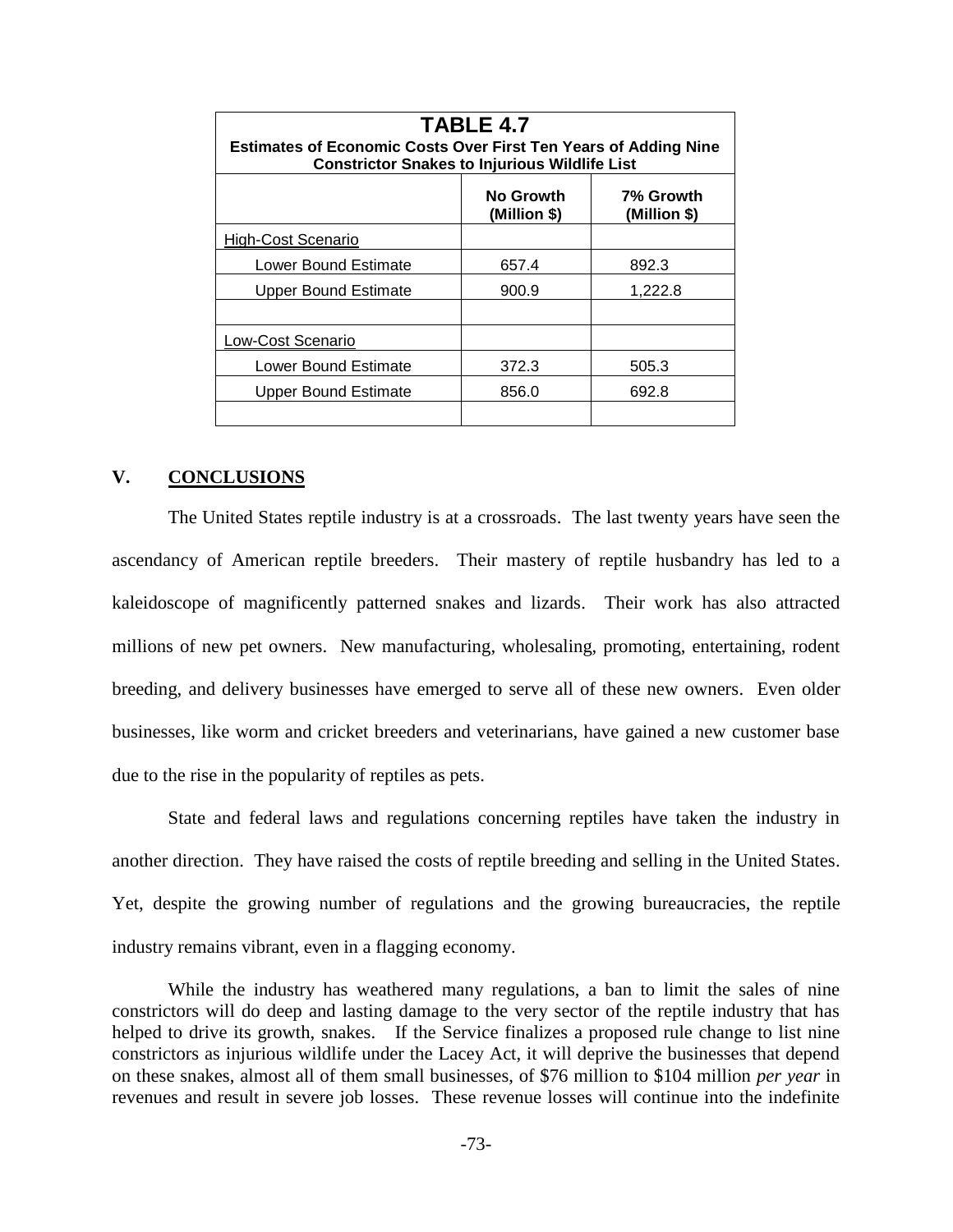| <b>TABLE 4.7</b><br><b>Estimates of Economic Costs Over First Ten Years of Adding Nine</b><br><b>Constrictor Snakes to Injurious Wildlife List</b> |                           |                           |  |
|----------------------------------------------------------------------------------------------------------------------------------------------------|---------------------------|---------------------------|--|
|                                                                                                                                                    | No Growth<br>(Million \$) | 7% Growth<br>(Million \$) |  |
| <b>High-Cost Scenario</b>                                                                                                                          |                           |                           |  |
| <b>Lower Bound Estimate</b>                                                                                                                        | 657.4                     | 892.3                     |  |
| Upper Bound Estimate                                                                                                                               | 900.9                     | 1,222.8                   |  |
|                                                                                                                                                    |                           |                           |  |
| Low-Cost Scenario                                                                                                                                  |                           |                           |  |
| Lower Bound Estimate                                                                                                                               | 372.3                     | 505.3                     |  |
| Upper Bound Estimate                                                                                                                               | 856.0                     | 692.8                     |  |
|                                                                                                                                                    |                           |                           |  |

## **V. CONCLUSIONS**

The United States reptile industry is at a crossroads. The last twenty years have seen the ascendancy of American reptile breeders. Their mastery of reptile husbandry has led to a kaleidoscope of magnificently patterned snakes and lizards. Their work has also attracted millions of new pet owners. New manufacturing, wholesaling, promoting, entertaining, rodent breeding, and delivery businesses have emerged to serve all of these new owners. Even older businesses, like worm and cricket breeders and veterinarians, have gained a new customer base due to the rise in the popularity of reptiles as pets.

State and federal laws and regulations concerning reptiles have taken the industry in another direction. They have raised the costs of reptile breeding and selling in the United States. Yet, despite the growing number of regulations and the growing bureaucracies, the reptile industry remains vibrant, even in a flagging economy.

While the industry has weathered many regulations, a ban to limit the sales of nine constrictors will do deep and lasting damage to the very sector of the reptile industry that has helped to drive its growth, snakes. If the Service finalizes a proposed rule change to list nine constrictors as injurious wildlife under the Lacey Act, it will deprive the businesses that depend on these snakes, almost all of them small businesses, of \$76 million to \$104 million *per year* in revenues and result in severe job losses. These revenue losses will continue into the indefinite